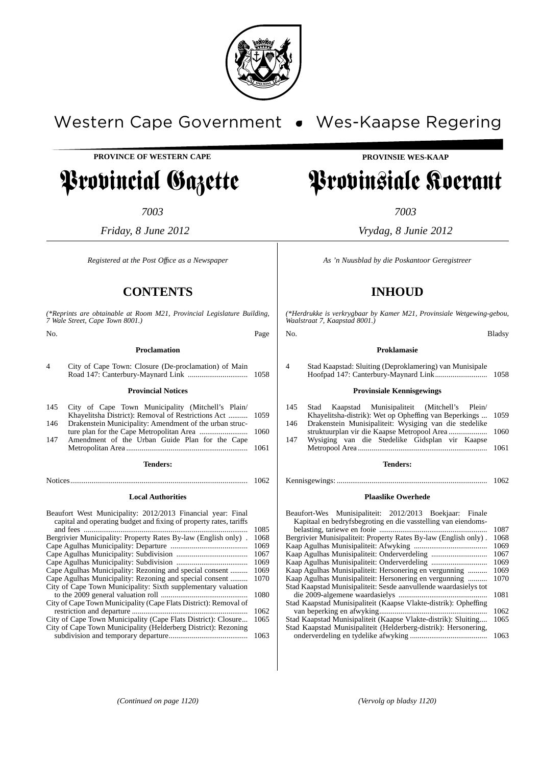

# Western Cape Government . Wes-Kaapse Regering

**PROVINCE OF WESTERN CAPE**

# Provincial Gazette

*7003*

*Friday, 8 June 2012*

*Registered at the Post Offıce as a Newspaper*

## **CONTENTS**

*(\*Reprints are obtainable at Room M21, Provincial Legislature Building, 7 Wale Street, Cape Town 8001.)*

No. Page **Proclamation** 4 City of Cape Town: Closure (De-proclamation) of Main Road 147: Canterbury-Maynard Link ............................... 1058 **Provincial Notices**

|      | 145 City of Cape Town Municipality (Mitchell's Plain/       |  |  |  |
|------|-------------------------------------------------------------|--|--|--|
|      | Khayelitsha District): Removal of Restrictions Act  1059    |  |  |  |
|      | 146 Drakenstein Municipality: Amendment of the urban struc- |  |  |  |
|      |                                                             |  |  |  |
| 147  | Amendment of the Urban Guide Plan for the Cape              |  |  |  |
| 1061 |                                                             |  |  |  |
|      | <b>Tenders:</b>                                             |  |  |  |
|      |                                                             |  |  |  |

## Notices............................................................................................ 1062 **Local Authorities**

| Beaufort West Municipality: 2012/2013 Financial year: Final        |      |
|--------------------------------------------------------------------|------|
| capital and operating budget and fixing of property rates, tariffs |      |
|                                                                    | 1085 |
| Bergrivier Municipality: Property Rates By-law (English only).     | 1068 |
|                                                                    | 1069 |
|                                                                    | 1067 |
|                                                                    | 1069 |
| Cape Agulhas Municipality: Rezoning and special consent            | 1069 |
| Cape Agulhas Municipality: Rezoning and special consent            | 1070 |
| City of Cape Town Municipality: Sixth supplementary valuation      |      |
|                                                                    | 1080 |
| City of Cape Town Municipality (Cape Flats District): Removal of   |      |
|                                                                    | 1062 |
| City of Cape Town Municipality (Cape Flats District): Closure      | 1065 |
| City of Cape Town Municipality (Helderberg District): Rezoning     |      |
|                                                                    | 1063 |
|                                                                    |      |

**PROVINSIE WES-KAAP**

# Provinsiale Koerant

*7003*

*Vrydag, 8 Junie 2012*

*As 'n Nuusblad by die Poskantoor Geregistreer*

## **INHOUD**

*(\*Herdrukke is verkrygbaar by Kamer M21, Provinsiale Wetgewing-gebou, Waalstraat 7, Kaapstad 8001.)*

No. Bladsy

#### **Proklamasie**

4 Stad Kaapstad: Sluiting (Deproklamering) van Munisipale Hoofpad 147: Canterbury-Maynard Link........................... 1058

### **Provinsiale Kennisgewings**

| 145 |  | Stad Kaapstad Munisipaliteit (Mitchell's Plein/             |  |  |
|-----|--|-------------------------------------------------------------|--|--|
|     |  | Khavelitsha-distrik): Wet op Opheffing van Beperkings  1059 |  |  |
| 146 |  | Drakenstein Munisipaliteit: Wysiging van die stedelike      |  |  |
|     |  |                                                             |  |  |
| 147 |  | Wysiging van die Stedelike Gidsplan vir Kaapse              |  |  |

Metropool Area ................................................................... 1061

## **Tenders:**

Kennisgewings: .............................................................................. 1062

#### **Plaaslike Owerhede**

| Beaufort-Wes Munisipaliteit: 2012/2013 Boekjaar:<br>Finale       |      |
|------------------------------------------------------------------|------|
| Kapitaal en bedryfsbegroting en die vasstelling van eiendoms-    |      |
|                                                                  | 1087 |
| Bergrivier Munisipaliteit: Property Rates By-law (English only). | 1068 |
|                                                                  | 1069 |
|                                                                  | 1067 |
|                                                                  | 1069 |
| Kaap Agulhas Munisipaliteit: Hersonering en vergunning           | 1069 |
| Kaap Agulhas Munisipaliteit: Hersonering en vergunning           | 1070 |
| Stad Kaapstad Munisipaliteit: Sesde aanvullende waardasielys tot |      |
|                                                                  | 1081 |
| Stad Kaapstad Munisipaliteit (Kaapse Vlakte-distrik): Opheffing  |      |
|                                                                  | 1062 |
| Stad Kaapstad Munisipaliteit (Kaapse Vlakte-distrik): Sluiting   | 1065 |
| Stad Kaapstad Munisipaliteit (Helderberg-distrik): Hersonering,  |      |
|                                                                  | 1063 |
|                                                                  |      |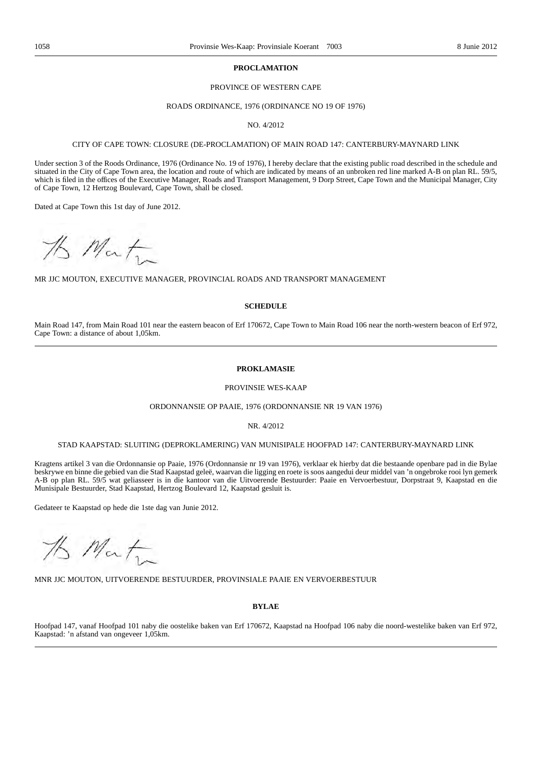#### **PROCLAMATION**

### PROVINCE OF WESTERN CAPE

#### ROADS ORDINANCE, 1976 (ORDINANCE NO 19 OF 1976)

#### NO. 4/2012

#### CITY OF CAPE TOWN: CLOSURE (DE-PROCLAMATION) OF MAIN ROAD 147: CANTERBURY-MAYNARD LINK

Under section 3 of the Roods Ordinance, 1976 (Ordinance No. 19 of 1976), I hereby declare that the existing public road described in the schedule and situated in the City of Cape Town area, the location and route of which are indicated by means of an unbroken red line marked A-B on plan RL. 59/5, which is filed in the offices of the Executive Manager, Roads and Transport Management, 9 Dorp Street, Cape Town and the Municipal Manager, City of Cape Town, 12 Hertzog Boulevard, Cape Town, shall be closed.

Dated at Cape Town this 1st day of June 2012.

15 Matin

MR JJC MOUTON, EXECUTIVE MANAGER, PROVINCIAL ROADS AND TRANSPORT MANAGEMENT

### **SCHEDULE**

Main Road 147, from Main Road 101 near the eastern beacon of Erf 170672, Cape Town to Main Road 106 near the north-western beacon of Erf 972, Cape Town: a distance of about 1,05km.

#### **PROKLAMASIE**

#### PROVINSIE WES-KAAP

## ORDONNANSIE OP PAAIE, 1976 (ORDONNANSIE NR 19 VAN 1976)

NR. 4/2012

### STAD KAAPSTAD: SLUITING (DEPROKLAMERING) VAN MUNISIPALE HOOFPAD 147: CANTERBURY-MAYNARD LINK

Kragtens artikel 3 van die Ordonnansie op Paaie, 1976 (Ordonnansie nr 19 van 1976), verklaar ek hierby dat die bestaande openbare pad in die Bylae beskrywe en binne die gebied van die Stad Kaapstad geleë, waarvan die ligging en roete is soos aangedui deur middel van 'n ongebroke rooi lyn gemerk A-B op plan RL. 59/5 wat geliasseer is in die kantoor van die Uitvoerende Bestuurder: Paaie en Vervoerbestuur, Dorpstraat 9, Kaapstad en die Munisipale Bestuurder, Stad Kaapstad, Hertzog Boulevard 12, Kaapstad gesluit is.

Gedateer te Kaapstad op hede die 1ste dag van Junie 2012.

15 Mat

MNR JJC MOUTON, UITVOERENDE BESTUURDER, PROVINSIALE PAAIE EN VERVOERBESTUUR

#### **BYLAE**

Hoofpad 147, vanaf Hoofpad 101 naby die oostelike baken van Erf 170672, Kaapstad na Hoofpad 106 naby die noord-westelike baken van Erf 972, Kaapstad: 'n afstand van ongeveer 1,05km.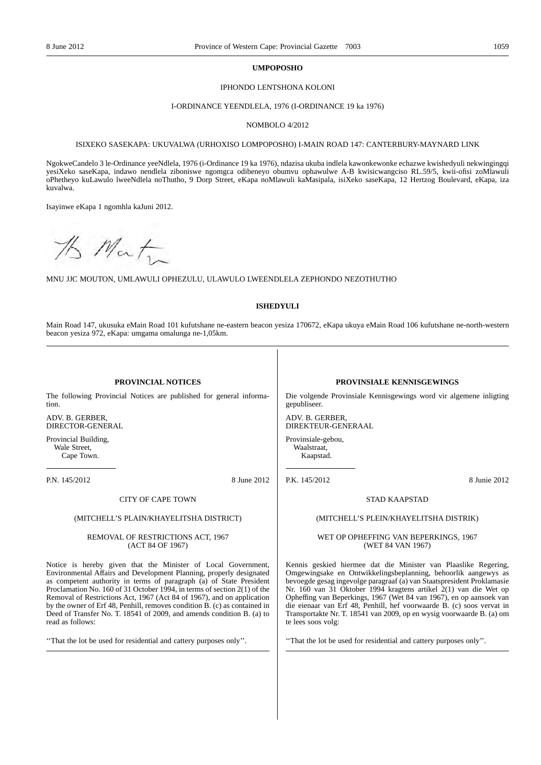#### **UMPOPOSHO**

### IPHONDO LENTSHONA KOLONI

#### I-ORDINANCE YEENDLELA, 1976 (I-ORDINANCE 19 ka 1976)

#### NOMBOLO 4/2012

#### ISIXEKO SASEKAPA: UKUVALWA (URHOXISO LOMPOPOSHO) I-MAIN ROAD 147: CANTERBURY-MAYNARD LINK

NgokweCandelo 3 le-Ordinance yeeNdlela, 1976 (i-Ordinance 19 ka 1976), ndazisa ukuba indlela kawonkewonke echazwe kwishedyuli nekwingingqi yesiXeko saseKapa, indawo nendlela ziboniswe ngomgca odibeneyo obumvu ophawulwe A-B kwisicwangciso RL.59/5, kwii-ofisi zoMlawuli oPhetheyo kuLawulo lweeNdlela noThutho, 9 Dorp Street, eKapa noMlawuli kaMasipala, isiXeko saseKapa, 12 Hertzog Boulevard, eKapa, iza kuvalwa.

Isayinwe eKapa 1 ngomhla kaJuni 2012.

15 Matin

MNU JJC MOUTON, UMLAWULI OPHEZULU, ULAWULO LWEENDLELA ZEPHONDO NEZOTHUTHO

## **ISHEDYULI**

Main Road 147, ukusuka eMain Road 101 kufutshane ne-eastern beacon yesiza 170672, eKapa ukuya eMain Road 106 kufutshane ne-north-western beacon yesiza 972, eKapa: umgama omalunga ne-1,05km.

## **PROVINCIAL NOTICES**

The following Provincial Notices are published for general information.

ADV. B. GERBER, DIRECTOR-GENERAL

Provincial Building, Wale Street, Cape Town.

P.N. 145/2012 8 June 2012

### CITY OF CAPE TOWN

### (MITCHELL'S PLAIN/KHAYELITSHA DISTRICT)

#### REMOVAL OF RESTRICTIONS ACT, 1967 (ACT 84 OF 1967)

Notice is hereby given that the Minister of Local Government, Environmental Affairs and Development Planning, properly designated as competent authority in terms of paragraph (a) of State President Proclamation No. 160 of 31 October 1994, in terms of section 2(1) of the Removal of Restrictions Act, 1967 (Act 84 of 1967), and on application by the owner of Erf 48, Penhill, removes condition B. (c) as contained in Deed of Transfer No. T. 18541 of 2009, and amends condition B. (a) to read as follows:

''That the lot be used for residential and cattery purposes only''.

### **PROVINSIALE KENNISGEWINGS**

Die volgende Provinsiale Kennisgewings word vir algemene inligting gepubliseer.

ADV. B. GERBER, DIREKTEUR-GENERAAL

Provinsiale-gebou, Waalstraat, Kaapstad.

P.K. 145/2012 8 Junie 2012

#### STAD KAAPSTAD

#### (MITCHELL'S PLEIN/KHAYELITSHA DISTRIK)

#### WET OP OPHEFFING VAN BEPERKINGS, 1967 (WET 84 VAN 1967)

Kennis geskied hiermee dat die Minister van Plaaslike Regering, Omgewingsake en Ontwikkelingsbeplanning, behoorlik aangewys as bevoegde gesag ingevolge paragraaf (a) van Staatspresident Proklamasie Nr. 160 van 31 Oktober 1994 kragtens artikel 2(1) van die Wet op Opheffing van Beperkings, 1967 (Wet 84 van 1967), en op aansoek van die eienaar van Erf 48, Penhill, hef voorwaarde B. (c) soos vervat in Transportakte Nr. T. 18541 van 2009, op en wysig voorwaarde B. (a) om te lees soos volg:

''That the lot be used for residential and cattery purposes only''.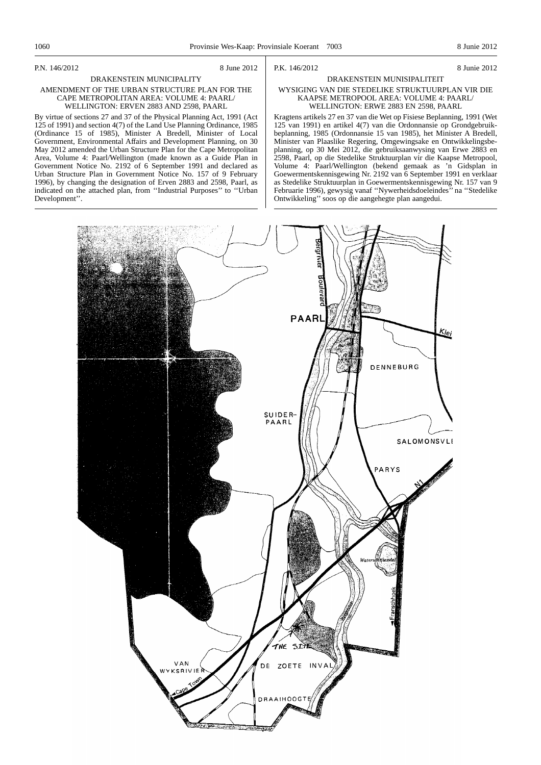P.N. 146/2012 8 June 2012

#### DRAKENSTEIN MUNICIPALITY AMENDMENT OF THE URBAN STRUCTURE PLAN FOR THE CAPE METROPOLITAN AREA: VOLUME 4: PAARL/ WELLINGTON: ERVEN 2883 AND 2598, PAARL

By virtue of sections 27 and 37 of the Physical Planning Act, 1991 (Act 125 of 1991) and section 4(7) of the Land Use Planning Ordinance, 1985 (Ordinance 15 of 1985), Minister A Bredell, Minister of Local Government, Environmental Affairs and Development Planning, on 30 May 2012 amended the Urban Structure Plan for the Cape Metropolitan Area, Volume 4: Paarl/Wellington (made known as a Guide Plan in Government Notice No. 2192 of 6 September 1991 and declared as Urban Structure Plan in Government Notice No. 157 of 9 February 1996), by changing the designation of Erven 2883 and 2598, Paarl, as indicated on the attached plan, from ''Industrial Purposes'' to ''Urban Development''.

### P.K. 146/2012 8 Junie 2012

#### DRAKENSTEIN MUNISIPALITEIT

#### WYSIGING VAN DIE STEDELIKE STRUKTUURPLAN VIR DIE KAAPSE METROPOOL AREA: VOLUME 4: PAARL/ WELLINGTON: ERWE 2883 EN 2598, PAARL

Kragtens artikels 27 en 37 van die Wet op Fisiese Beplanning, 1991 (Wet 125 van 1991) en artikel 4(7) van die Ordonnansie op Grondgebruikbeplanning, 1985 (Ordonnansie 15 van 1985), het Minister A Bredell, Minister van Plaaslike Regering, Omgewingsake en Ontwikkelingsbeplanning, op 30 Mei 2012, die gebruiksaanwysing van Erwe 2883 en 2598, Paarl, op die Stedelike Struktuurplan vir die Kaapse Metropool, Volume 4: Paarl/Wellington (bekend gemaak as 'n Gidsplan in Goewermentskennisgewing Nr. 2192 van 6 September 1991 en verklaar as Stedelike Struktuurplan in Goewermentskennisgewing Nr. 157 van 9 Februarie 1996), gewysig vanaf ''Nywerheidsdoeleindes'' na ''Stedelike Ontwikkeling'' soos op die aangehegte plan aangedui.

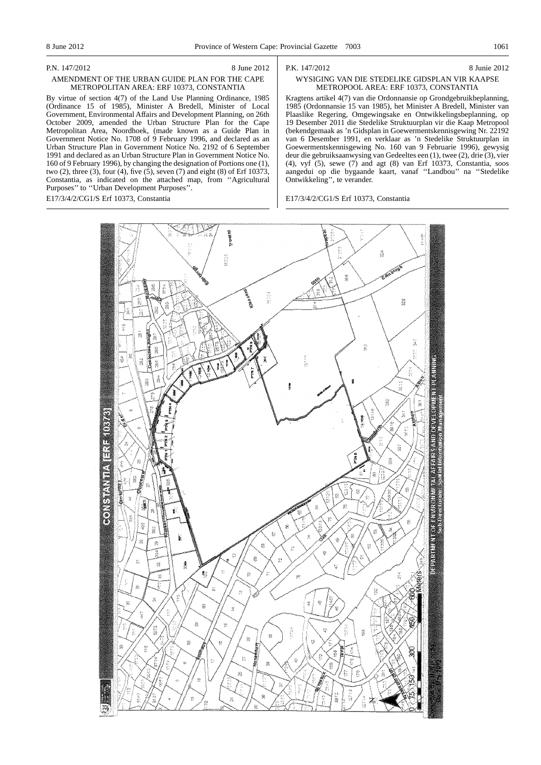#### P.N. 147/2012 8 June 2012

### AMENDMENT OF THE URBAN GUIDE PLAN FOR THE CAPE METROPOLITAN AREA: ERF 10373, CONSTANTIA

By virtue of section 4(7) of the Land Use Planning Ordinance, 1985 (Ordinance 15 of 1985), Minister A Bredell, Minister of Local Government, Environmental Affairs and Development Planning, on 26th October 2009, amended the Urban Structure Plan for the Cape Metropolitan Area, Noordhoek, (made known as a Guide Plan in Government Notice No. 1708 of 9 February 1996, and declared as an Urban Structure Plan in Government Notice No. 2192 of 6 September 1991 and declared as an Urban Structure Plan in Government Notice No. 160 of 9 February 1996), by changing the designation of Portions one (1), two (2), three (3), four (4), five (5), seven (7) and eight (8) of Erf 10373, Constantia, as indicated on the attached map, from ''Agricultural Purposes'' to ''Urban Development Purposes''.

E17/3/4/2/CG1/S Erf 10373, Constantia

#### P.K. 147/2012 8 Junie 2012

## WYSIGING VAN DIE STEDELIKE GIDSPLAN VIR KAAPSE METROPOOL AREA: ERF 10373, CONSTANTIA

Kragtens artikel 4(7) van die Ordonnansie op Grondgebruikbeplanning, 1985 (Ordonnansie 15 van 1985), het Minister A Bredell, Minister van Plaaslike Regering, Omgewingsake en Ontwikkelingsbeplanning, op 19 Desember 2011 die Stedelike Struktuurplan vir die Kaap Metropool (bekendgemaak as 'n Gidsplan in Goewermentskennisgewing Nr. 22192 van 6 Desember 1991, en verklaar as 'n Stedelike Struktuurplan in Goewermentskennisgewing No. 160 van 9 Februarie 1996), gewysig deur die gebruiksaanwysing van Gedeeltes een (1), twee (2), drie (3), vier (4), vyf (5), sewe (7) and agt (8) van Erf 10373, Constantia, soos aangedui op die bygaande kaart, vanaf ''Landbou'' na ''Stedelike Ontwikkeling'', te verander.

E17/3/4/2/CG1/S Erf 10373, Constantia

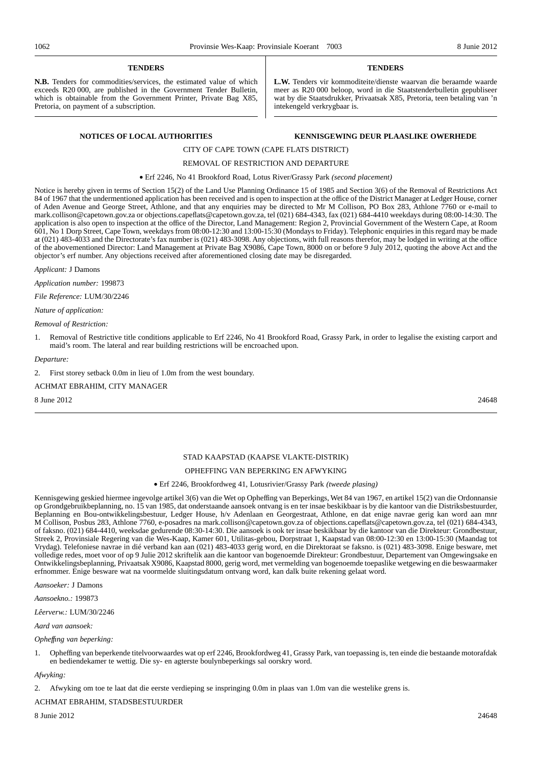#### **TENDERS**

**N.B.** Tenders for commodities/services, the estimated value of which exceeds R20 000, are published in the Government Tender Bulletin, which is obtainable from the Government Printer, Private Bag X85, Pretoria, on payment of a subscription.

#### **TENDERS**

**L.W.** Tenders vir kommoditeite/dienste waarvan die beraamde waarde meer as R20 000 beloop, word in die Staatstenderbulletin gepubliseer wat by die Staatsdrukker, Privaatsak X85, Pretoria, teen betaling van 'n intekengeld verkrygbaar is.

## **NOTICES OF LOCAL AUTHORITIES KENNISGEWING DEUR PLAASLIKE OWERHEDE**

## CITY OF CAPE TOWN (CAPE FLATS DISTRICT)

## REMOVAL OF RESTRICTION AND DEPARTURE

• Erf 2246, No 41 Brookford Road, Lotus River/Grassy Park *(second placement)*

Notice is hereby given in terms of Section 15(2) of the Land Use Planning Ordinance 15 of 1985 and Section 3(6) of the Removal of Restrictions Act 84 of 1967 that the undermentioned application has been received and is open to inspection at the office of the District Manager at Ledger House, corner of Aden Avenue and George Street, Athlone, and that any enquiries may be directed to Mr M Collison, PO Box 283, Athlone 7760 or e-mail to mark.collison@capetown.gov.za or objections.capeflats@capetown.gov.za, tel (021) 684-4343, fax (021) 684-4410 weekdays during 08:00-14:30. The application is also open to inspection at the office of the Director, Land Management: Region 2, Provincial Government of the Western Cape, at Room 601, No 1 Dorp Street, Cape Town, weekdays from 08:00-12:30 and 13:00-15:30 (Mondays to Friday). Telephonic enquiries in this regard may be made at (021) 483-4033 and the Directorate's fax number is (021) 483-3098. Any objections, with full reasons therefor, may be lodged in writing at the office of the abovementioned Director: Land Management at Private Bag X9086, Cape Town, 8000 on or before 9 July 2012, quoting the above Act and the objector's erf number. Any objections received after aforementioned closing date may be disregarded.

*Applicant:* J Damons

*Application number:* 199873

*File Reference:* LUM/30/2246

*Nature of application:*

#### *Removal of Restriction:*

1. Removal of Restrictive title conditions applicable to Erf 2246, No 41 Brookford Road, Grassy Park, in order to legalise the existing carport and maid's room. The lateral and rear building restrictions will be encroached upon.

*Departure:*

2. First storey setback 0.0m in lieu of 1.0m from the west boundary.

ACHMAT EBRAHIM, CITY MANAGER

 $8 \text{ June } 2012$  24648

## STAD KAAPSTAD (KAAPSE VLAKTE-DISTRIK)

### OPHEFFING VAN BEPERKING EN AFWYKING

#### • Erf 2246, Brookfordweg 41, Lotusrivier/Grassy Park *(tweede plasing)*

Kennisgewing geskied hiermee ingevolge artikel 3(6) van die Wet op Opheffing van Beperkings, Wet 84 van 1967, en artikel 15(2) van die Ordonnansie op Grondgebruikbeplanning, no. 15 van 1985, dat onderstaande aansoek ontvang is en ter insae beskikbaar is by die kantoor van die Distriksbestuurder, Beplanning en Bou-ontwikkelingsbestuur, Ledger House, h/v Adenlaan en Georgestraat, Athlone, en dat enige navrae gerig kan word aan mnr M Collison, Posbus 283, Athlone 7760, e-posadres na mark.collison@capetown.gov.za of objections.capeflats@capetown.gov.za, tel (021) 684-4343, of faksno. (021) 684-4410, weeksdae gedurende 08:30-14:30. Die aansoek is ook ter insae beskikbaar by die kantoor van die Direkteur: Grondbestuur, Streek 2, Provinsiale Regering van die Wes-Kaap, Kamer 601, Utilitas-gebou, Dorpstraat 1, Kaapstad van 08:00-12:30 en 13:00-15:30 (Maandag tot Vrydag). Telefoniese navrae in dié verband kan aan (021) 483-4033 gerig word, en die Direktoraat se faksno. is (021) 483-3098. Enige besware, met volledige redes, moet voor of op 9 Julie 2012 skriftelik aan die kantoor van bogenoemde Direkteur: Grondbestuur, Departement van Omgewingsake en Ontwikkelingsbeplanning, Privaatsak X9086, Kaapstad 8000, gerig word, met vermelding van bogenoemde toepaslike wetgewing en die beswaarmaker erfnommer. Enige besware wat na voormelde sluitingsdatum ontvang word, kan dalk buite rekening gelaat word.

*Aansoeker:* J Damons

*Aansoekno.:* 199873

*Lêerverw.:* LUM/30/2246

#### *Aard van aansoek:*

*Opheffıng van beperking:*

1. Opheffing van beperkende titelvoorwaardes wat op erf 2246, Brookfordweg 41, Grassy Park, van toepassing is, ten einde die bestaande motorafdak en bediendekamer te wettig. Die sy- en agterste boulynbeperkings sal oorskry word.

*Afwyking:*

2. Afwyking om toe te laat dat die eerste verdieping se inspringing 0.0m in plaas van 1.0m van die westelike grens is.

ACHMAT EBRAHIM, STADSBESTUURDER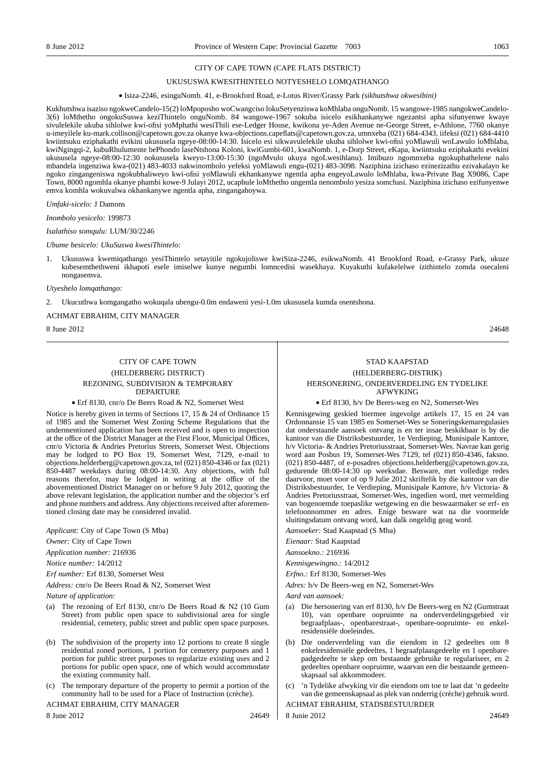### CITY OF CAPE TOWN (CAPE FLATS DISTRICT)

#### UKUSUSWA KWESITHINTELO NOTYESHELO LOMQATHANGO

#### • Isiza-2246, esinguNomb. 41, e-Brookford Road, e-Lotus River/Grassy Park *(sikhutshwa okwesibini)*

Kukhutshwa isaziso ngokweCandelo-15(2) loMpoposho woCwangciso lokuSetyenziswa koMhlaba onguNomb. 15 wangowe-1985 nangokweCandelo-3(6) loMthetho ongokuSuswa keziThintelo onguNomb. 84 wangowe-1967 sokuba isicelo esikhankanywe ngezantsi apha sifunyenwe kwaye sivulelekile ukuba sihlolwe kwi-ofisi yoMphathi wesiThili ese-Ledger House, kwikona ye-Aden Avenue ne-George Street, e-Athlone, 7760 okanye u-imeyilele ku-mark.collison@capetown.gov.za okanye kwa-objections.capeflats@capetown.gov.za, umnxeba (021) 684-4343, iifeksi (021) 684-4410 kwiintsuku eziphakathi evikini ukususela ngeye-08:00-14:30. Isicelo esi sikwavulelekile ukuba sihlolwe kwi-ofisi yoMlawuli woLawulo loMhlaba, kwiNgingqi-2, kubuRhulumente bePhondo laseNtshona Koloni, kwiGumbi-601, kwaNomb. 1, e-Dorp Street, eKapa, kwiintsuku eziphakathi evekini ukususela ngeye-08:00-12:30 nokususela kweyo-13:00-15:30 (ngoMvulo ukuya ngoLwesihlanu). Imibuzo ngomnxeba ngokuphathelene nalo mbandela ingenziwa kwa-(021) 483-4033 nakwinombolo yefeksi yoMlawuli engu-(021) 483-3098. Naziphina izichaso ezinezizathu ezivakalayo ke ngoko zingangeniswa ngokubhaliweyo kwi-ofisi yoMlawuli ekhankanywe ngentla apha engeyoLawulo loMhlaba, kwa-Private Bag X9086, Cape Town, 8000 ngomhla okanye phambi kowe-9 Julayi 2012, ucaphule loMthetho ungentla nenombolo yesiza somchasi. Naziphina izichaso ezifunyenwe emva komhla wokuvalwa okhankanywe ngentla apha, zingangahoywa.

*Umfaki-sicelo:* J Damons

*Inombolo yesicelo:* 199873

#### *Isalathiso somqulu:* LUM/30/2246

#### *Ubume besicelo: UkuSuswa kwesiThintelo:*

1. Ukususwa kwemiqathango yesiThintelo setayitile ngokujoliswe kwiSiza-2246, esikwaNomb. 41 Brookford Road, e-Grassy Park, ukuze kubesemthethweni ikhapoti esele imiselwe kunye negumbi lomncedisi wasekhaya. Kuyakuthi kufakelelwe izithintelo zomda osecaleni nongasemva.

*Utyeshelo lomqathango:*

2. Ukucuthwa komgangatho wokuqala ubengu-0.0m endaweni yesi-1.0m ukususela kumda osentshona.

### ACHMAT EBRAHIM, CITY MANAGER

 $8 \text{ June } 2012$  24648

## CITY OF CAPE TOWN (HELDERBERG DISTRICT) REZONING, SUBDIVISION & TEMPORARY DEPARTURE

#### • Erf 8130, cnr/o De Beers Road & N2, Somerset West

Notice is hereby given in terms of Sections 17, 15 & 24 of Ordinance 15 of 1985 and the Somerset West Zoning Scheme Regulations that the undermentioned application has been received and is open to inspection at the office of the District Manager at the First Floor, Municipal Offices, cnr/o Victoria & Andries Pretorius Streets, Somerset West. Objections may be lodged to PO Box 19, Somerset West, 7129, e-mail to objections.helderberg@capetown.gov.za, tel (021) 850-4346 or fax (021) 850-4487 weekdays during 08:00-14:30. Any objections, with full reasons therefor, may be lodged in writing at the office of the abovementioned District Manager on or before 9 July 2012, quoting the above relevant legislation, the application number and the objector's erf and phone numbers and address. Any objections received after aforementioned closing date may be considered invalid.

*Applicant:* City of Cape Town (S Mba)

*Owner:* City of Cape Town

*Application number:* 216936

*Notice number:* 14/2012

*Erf number:* Erf 8130, Somerset West

*Address:* cnr/o De Beers Road & N2, Somerset West

*Nature of application:*

- (a) The rezoning of Erf 8130, cnr/o De Beers Road & N2 (10 Gum Street) from public open space to subdivisional area for single residential, cemetery, public street and public open space purposes.
- (b) The subdivision of the property into 12 portions to create 8 single residential zoned portions, 1 portion for cemetery purposes and 1 portion for public street purposes to regularize existing uses and 2 portions for public open space, one of which would accommodate the existing community hall.
- The temporary departure of the property to permit a portion of the community hall to be used for a Place of Instruction (crèche).

ACHMAT EBRAHIM, CITY MANAGER

8 June 2012 24649

## STAD KAAPSTAD (HELDERBERG-DISTRIK) HERSONERING, ONDERVERDELING EN TYDELIKE AFWYKING

• Erf 8130, h/v De Beers-weg en N2, Somerset-Wes

Kennisgewing geskied hiermee ingevolge artikels 17, 15 en 24 van Ordonnansie 15 van 1985 en Somerset-Wes se Soneringskemaregulasies dat onderstaande aansoek ontvang is en ter insae beskikbaar is by die kantoor van die Distriksbestuurder, 1e Verdieping, Munisipale Kantore, h/v Victoria- & Andries Pretoriusstraat, Somerset-Wes. Navrae kan gerig word aan Posbus 19, Somerset-Wes 7129, tel (021) 850-4346, faksno. (021) 850-4487, of e-posadres objections.helderberg@capetown.gov.za, gedurende 08:00-14:30 op weeksdae. Besware, met volledige redes daarvoor, moet voor of op 9 Julie 2012 skriftelik by die kantoor van die Distriksbestuurder, 1e Verdieping, Munisipale Kantore, h/v Victoria- & Andries Pretoriusstraat, Somerset-Wes, ingedien word, met vermelding van bogenoemde toepaslike wetgewing en die beswaarmaker se erf- en telefoonnommer en adres. Enige besware wat na die voormelde sluitingsdatum ontvang word, kan dalk ongeldig geag word.

*Aansoeker:* Stad Kaapstad (S Mba)

*Eienaar:* Stad Kaapstad

*Aansoekno.:* 216936

*Kennisgewingno.:* 14/2012

*Erfno.:* Erf 8130, Somerset-Wes

*Adres:* h/v De Beers-weg en N2, Somerset-Wes

*Aard van aansoek:*

- (a) Die hersonering van erf 8130, h/v De Beers-weg en N2 (Gumstraat 10), van openbare oopruimte na onderverdelingsgebied vir begraafplaas-, openbarestraat-, openbare-oopruimte- en enkelresidensiële doeleindes.
- Die onderverdeling van die eiendom in 12 gedeeltes om 8 enkelresidensiële gedeeltes, 1 begraafplaasgedeelte en 1 openbarepadgedeelte te skep om bestaande gebruike te regulariseer, en 2 gedeeltes openbare oopruimte, waarvan een die bestaande gemeenskapsaal sal akkommodeer.
- 'n Tydelike afwyking vir die eiendom om toe te laat dat 'n gedeelte van die gemeenskapsaal as plek van onderrig (crèche) gebruik word. ACHMAT EBRAHIM, STADSBESTUURDER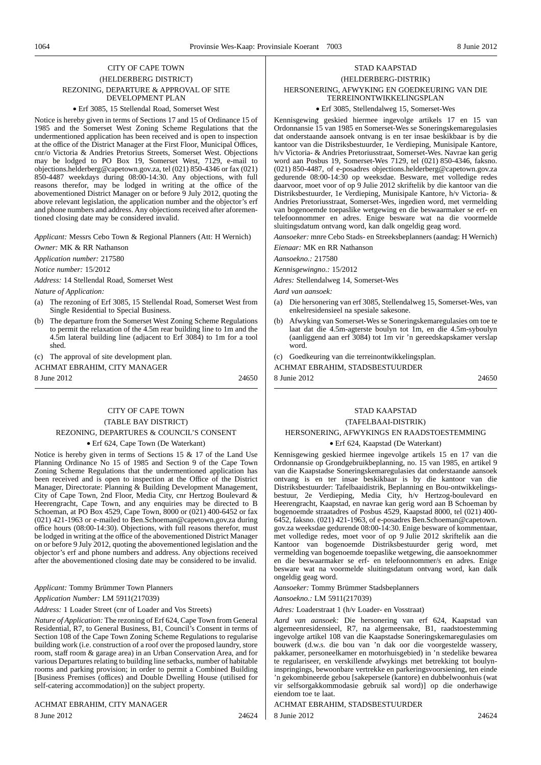## CITY OF CAPE TOWN (HELDERBERG DISTRICT) REZONING, DEPARTURE & APPROVAL OF SITE DEVELOPMENT PLAN

#### • Erf 3085, 15 Stellendal Road, Somerset West

Notice is hereby given in terms of Sections 17 and 15 of Ordinance 15 of 1985 and the Somerset West Zoning Scheme Regulations that the undermentioned application has been received and is open to inspection at the office of the District Manager at the First Floor, Municipal Offices, cnr/o Victoria & Andries Pretorius Streets, Somerset West. Objections may be lodged to PO Box 19, Somerset West, 7129, e-mail to objections.helderberg@capetown.gov.za, tel (021) 850-4346 or fax (021) 850-4487 weekdays during 08:00-14:30. Any objections, with full reasons therefor, may be lodged in writing at the office of the abovementioned District Manager on or before 9 July 2012, quoting the above relevant legislation, the application number and the objector's erf and phone numbers and address. Any objections received after aforementioned closing date may be considered invalid.

*Applicant:* Messrs Cebo Town & Regional Planners (Att: H Wernich) *Owner:* MK & RR Nathanson

*Application number:* 217580

*Notice number:* 15/2012

*Address:* 14 Stellendal Road, Somerset West

*Nature of Application:*

- (a) The rezoning of Erf 3085, 15 Stellendal Road, Somerset West from Single Residential to Special Business.
- (b) The departure from the Somerset West Zoning Scheme Regulations to permit the relaxation of the 4.5m rear building line to 1m and the 4.5m lateral building line (adjacent to Erf 3084) to 1m for a tool shed.

(c) The approval of site development plan. ACHMAT EBRAHIM, CITY MANAGER

8 June 2012 24650

## CITY OF CAPE TOWN (TABLE BAY DISTRICT) REZONING, DEPARTURES & COUNCIL'S CONSENT

#### • Erf 624, Cape Town (De Waterkant)

Notice is hereby given in terms of Sections 15 & 17 of the Land Use Planning Ordinance No 15 of 1985 and Section 9 of the Cape Town Zoning Scheme Regulations that the undermentioned application has been received and is open to inspection at the Office of the District Manager, Directorate: Planning & Building Development Management, City of Cape Town, 2nd Floor, Media City, cnr Hertzog Boulevard & Heerengracht, Cape Town, and any enquiries may be directed to B Schoeman, at PO Box 4529, Cape Town, 8000 or (021) 400-6452 or fax (021) 421-1963 or e-mailed to Ben.Schoeman@capetown.gov.za during office hours (08:00-14:30). Objections, with full reasons therefor, must be lodged in writing at the office of the abovementioned District Manager on or before 9 July 2012, quoting the abovementioned legislation and the objector's erf and phone numbers and address. Any objections received after the abovementioned closing date may be considered to be invalid.

*Applicant:* Tommy Brümmer Town Planners *Application Number:* LM 5911(217039)

#### *Address:* 1 Loader Street (cnr of Loader and Vos Streets)

*Nature of Application:* The rezoning of Erf 624, Cape Town from General Residential, R7, to General Business, B1, Council's Consent in terms of Section 108 of the Cape Town Zoning Scheme Regulations to regularise building work (i.e. construction of a roof over the proposed laundry, store room, staff room & garage area) in an Urban Conservation Area, and for various Departures relating to building line setbacks, number of habitable rooms and parking provision; in order to permit a Combined Building [Business Premises (offices) and Double Dwelling House (utilised for self-catering accommodation)] on the subject property.

ACHMAT EBRAHIM, CITY MANAGER 8 June 2012 24624

## STAD KAAPSTAD (HELDERBERG-DISTRIK) HERSONERING, AFWYKING EN GOEDKEURING VAN DIE TERREINONTWIKKELINGSPLAN

#### • Erf 3085, Stellendalweg 15, Somerset-Wes

Kennisgewing geskied hiermee ingevolge artikels 17 en 15 van Ordonnansie 15 van 1985 en Somerset-Wes se Soneringskemaregulasies dat onderstaande aansoek ontvang is en ter insae beskikbaar is by die kantoor van die Distriksbestuurder, 1e Verdieping, Munisipale Kantore, h/v Victoria- & Andries Pretoriusstraat, Somerset-Wes. Navrae kan gerig word aan Posbus 19, Somerset-Wes 7129, tel (021) 850-4346, faksno. (021) 850-4487, of e-posadres objections.helderberg@capetown.gov.za gedurende 08:00-14:30 op weeksdae. Besware, met volledige redes daarvoor, moet voor of op 9 Julie 2012 skriftelik by die kantoor van die Distriksbestuurder, 1e Verdieping, Munisipale Kantore, h/v Victoria- & Andries Pretoriusstraat, Somerset-Wes, ingedien word, met vermelding van bogenoemde toepaslike wetgewing en die beswaarmaker se erf- en telefoonnommer en adres. Enige besware wat na die voormelde sluitingsdatum ontvang word, kan dalk ongeldig geag word.

*Aansoeker:* mnre Cebo Stads- en Streeksbeplanners (aandag: H Wernich) *Eienaar:* MK en RR Nathanson

*Aansoekno.:* 217580

*Kennisgewingno.:* 15/2012

*Adres:* Stellendalweg 14, Somerset-Wes

*Aard van aansoek:*

- (a) Die hersonering van erf 3085, Stellendalweg 15, Somerset-Wes, van enkelresidensieel na spesiale sakesone.
- (b) Afwyking van Somerset-Wes se Soneringskemaregulasies om toe te laat dat die 4.5m-agterste boulyn tot 1m, en die 4.5m-syboulyn (aanliggend aan erf 3084) tot 1m vir 'n gereedskapskamer verslap word.
- (c) Goedkeuring van die terreinontwikkelingsplan.
- ACHMAT EBRAHIM, STADSBESTUURDER

8 Junie 2012 24650

## STAD KAAPSTAD

## (TAFELBAAI-DISTRIK)

## HERSONERING, AFWYKINGS EN RAADSTOESTEMMING

## • Erf 624, Kaapstad (De Waterkant)

Kennisgewing geskied hiermee ingevolge artikels 15 en 17 van die Ordonnansie op Grondgebruikbeplanning, no. 15 van 1985, en artikel 9 van die Kaapstadse Soneringskemaregulasies dat onderstaande aansoek ontvang is en ter insae beskikbaar is by die kantoor van die Distriksbestuurder: Tafelbaaidistrik, Beplanning en Bou-ontwikkelingsbestuur, 2e Verdieping, Media City, h/v Hertzog-boulevard en Heerengracht, Kaapstad, en navrae kan gerig word aan B Schoeman by bogenoemde straatadres of Posbus 4529, Kaapstad 8000, tel (021) 400- 6452, faksno. (021) 421-1963, of e-posadres Ben.Schoeman@capetown. gov.za weeksdae gedurende 08:00-14:30. Enige besware of kommentaar, met volledige redes, moet voor of op 9 Julie 2012 skriftelik aan die Kantoor van bogenoemde Distriksbestuurder gerig word, met vermelding van bogenoemde toepaslike wetgewing, die aansoeknommer en die beswaarmaker se erf- en telefoonnommer/s en adres. Enige besware wat na voormelde sluitingsdatum ontvang word, kan dalk ongeldig geag word.

*Aansoeker:* Tommy Brümmer Stadsbeplanners

*Aansoekno.:* LM 5911(217039)

*Adres:* Loaderstraat 1 (h/v Loader- en Vosstraat)

*Aard van aansoek:* Die hersonering van erf 624, Kaapstad van algemeenresidensieel, R7, na algemeensake, B1, raadstoestemming ingevolge artikel 108 van die Kaapstadse Soneringskemaregulasies om bouwerk (d.w.s. die bou van 'n dak oor die voorgestelde wassery, pakkamer, personeelkamer en motorhuisgebied) in 'n stedelike bewarea te regulariseer, en verskillende afwykings met betrekking tot boulyninspringings, bewoonbare vertrekke en parkeringsvoorsiening, ten einde 'n gekombineerde gebou [sakepersele (kantore) en dubbelwoonhuis (wat vir selfsorgakkommodasie gebruik sal word)] op die onderhawige eiendom toe te laat.

### ACHMAT EBRAHIM, STADSBESTUURDER 8 Junie 2012 24624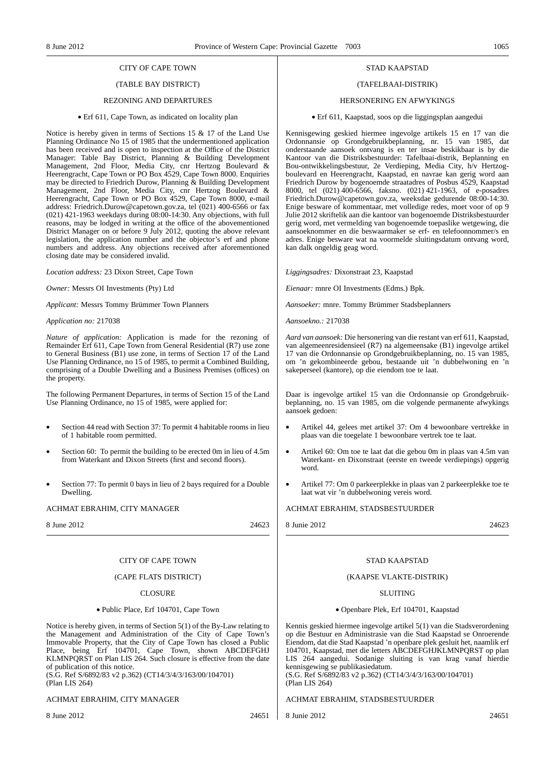## CITY OF CAPE TOWN

## (TABLE BAY DISTRICT)

#### REZONING AND DEPARTURES

#### • Erf 611, Cape Town, as indicated on locality plan

Notice is hereby given in terms of Sections 15 & 17 of the Land Use Planning Ordinance No 15 of 1985 that the undermentioned application has been received and is open to inspection at the Office of the District Manager: Table Bay District, Planning & Building Development Management, 2nd Floor, Media City, cnr Hertzog Boulevard & Heerengracht, Cape Town or PO Box 4529, Cape Town 8000. Enquiries may be directed to Friedrich Durow, Planning & Building Development Management, 2nd Floor, Media City, cnr Hertzog Boulevard & Heerengracht, Cape Town or PO Box 4529, Cape Town 8000, e-mail address: Friedrich.Durow@capetown.gov.za, tel (021) 400-6566 or fax (021) 421-1963 weekdays during 08:00-14:30. Any objections, with full reasons, may be lodged in writing at the office of the abovementioned District Manager on or before 9 July 2012, quoting the above relevant legislation, the application number and the objector's erf and phone numbers and address. Any objections received after aforementioned closing date may be considered invalid.

*Location address:* 23 Dixon Street, Cape Town

*Owner:* Messrs OI Investments (Pty) Ltd

*Applicant:* Messrs Tommy Brümmer Town Planners

*Application no:* 217038

*Nature of application:* Application is made for the rezoning of Remainder Erf 611, Cape Town from General Residential (R7) use zone to General Business (B1) use zone, in terms of Section 17 of the Land Use Planning Ordinance, no 15 of 1985, to permit a Combined Building, comprising of a Double Dwelling and a Business Premises (offices) on the property.

The following Permanent Departures, in terms of Section 15 of the Land Use Planning Ordinance, no 15 of 1985, were applied for:

- Section 44 read with Section 37: To permit 4 habitable rooms in lieu of 1 habitable room permitted.
- Section 60: To permit the building to be erected 0m in lieu of 4.5m from Waterkant and Dixon Streets (first and second floors).
- Section 77: To permit 0 bays in lieu of 2 bays required for a Double Dwelling.

#### ACHMAT EBRAHIM, CITY MANAGER

8 June 2012 24623

### CITY OF CAPE TOWN

### (CAPE FLATS DISTRICT)

## CLOSURE

#### • Public Place, Erf 104701, Cape Town

Notice is hereby given, in terms of Section 5(1) of the By-Law relating to the Management and Administration of the City of Cape Town's Immovable Property, that the City of Cape Town has closed a Public Place, being Erf 104701, Cape Town, shown ABCDEFGHJ KLMNPQRST on Plan LIS 264. Such closure is effective from the date of publication of this notice.

(S.G. Ref S/6892/83 v2 p.362) (CT14/3/4/3/163/00/104701) (Plan LIS 264)

#### ACHMAT EBRAHIM, CITY MANAGER

#### STAD KAAPSTAD

## (TAFELBAAI-DISTRIK)

#### HERSONERING EN AFWYKINGS

#### • Erf 611, Kaapstad, soos op die liggingsplan aangedui

Kennisgewing geskied hiermee ingevolge artikels 15 en 17 van die Ordonnansie op Grondgebruikbeplanning, nr. 15 van 1985, dat onderstaande aansoek ontvang is en ter insae beskikbaar is by die Kantoor van die Distriksbestuurder: Tafelbaai-distrik, Beplanning en Bou-ontwikkelingsbestuur, 2e Verdieping, Media City, h/v Hertzogboulevard en Heerengracht, Kaapstad, en navrae kan gerig word aan Friedrich Durow by bogenoemde straatadres of Posbus 4529, Kaapstad 8000, tel (021) 400-6566, faksno. (021) 421-1963, of e-posadres Friedrich.Durow@capetown.gov.za, weeksdae gedurende 08:00-14:30. Enige besware of kommentaar, met volledige redes, moet voor of op 9 Julie 2012 skriftelik aan die kantoor van bogenoemde Distriksbestuurder gerig word, met vermelding van bogenoemde toepaslike wetgewing, die aansoeknommer en die beswaarmaker se erf- en telefoonnommer/s en adres. Enige besware wat na voormelde sluitingsdatum ontvang word, kan dalk ongeldig geag word.

*Liggingsadres:* Dixonstraat 23, Kaapstad

*Eienaar:* mnre OI Investments (Edms.) Bpk.

*Aansoeker:* mnre. Tommy Brümmer Stadsbeplanners

*Aansoekno.:* 217038

*Aard van aansoek:* Die hersonering van die restant van erf 611, Kaapstad, van algemeenresidensieel (R7) na algemeensake (B1) ingevolge artikel 17 van die Ordonnansie op Grondgebruikbeplanning, no. 15 van 1985, om 'n gekombineerde gebou, bestaande uit 'n dubbelwoning en 'n sakeperseel (kantore), op die eiendom toe te laat.

Daar is ingevolge artikel 15 van die Ordonnansie op Grondgebruikbeplanning, no. 15 van 1985, om die volgende permanente afwykings aansoek gedoen:

- Artikel 44, gelees met artikel 37: Om 4 bewoonbare vertrekke in plaas van die toegelate 1 bewoonbare vertrek toe te laat.
- Artikel 60: Om toe te laat dat die gebou 0m in plaas van 4.5m van Waterkant- en Dixonstraat (eerste en tweede verdiepings) opgerig word.
- Artikel 77: Om 0 parkeerplekke in plaas van 2 parkeerplekke toe te laat wat vir 'n dubbelwoning vereis word.

ACHMAT EBRAHIM, STADSBESTUURDER

| 24623<br>8 Junie 2012 |
|-----------------------|
|                       |

## STAD KAAPSTAD

#### (KAAPSE VLAKTE-DISTRIK)

#### SLUITING

#### • Openbare Plek, Erf 104701, Kaapstad

Kennis geskied hiermee ingevolge artikel 5(1) van die Stadsverordening op die Bestuur en Administrasie van die Stad Kaapstad se Onroerende Eiendom, dat die Stad Kaapstad 'n openbare plek gesluit het, naamlik erf 104701, Kaapstad, met die letters ABCDEFGHJKLMNPQRST op plan LIS 264 aangedui. Sodanige sluiting is van krag vanaf hierdie kennisgewing se publikasiedatum.

(S.G. Ref S/6892/83 v2 p.362) (CT14/3/4/3/163/00/104701) (Plan LIS 264)

ACHMAT EBRAHIM, STADSBESTUURDER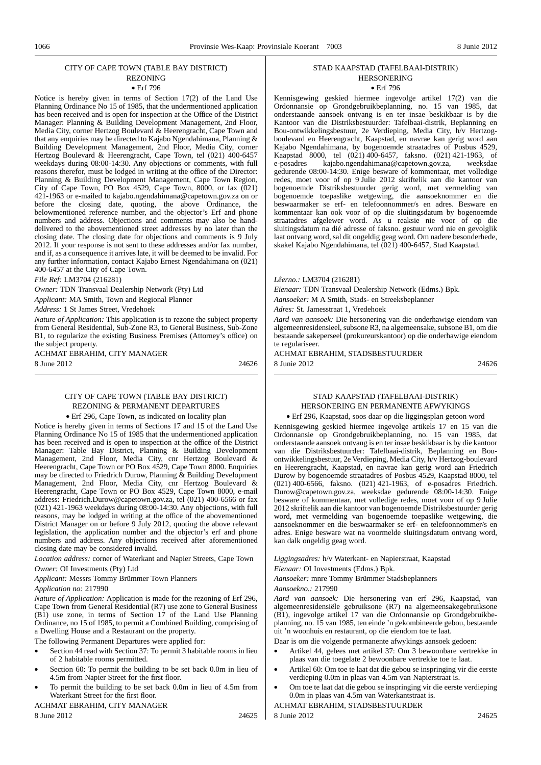## CITY OF CAPE TOWN (TABLE BAY DISTRICT)

#### REZONING • Erf 796

Notice is hereby given in terms of Section 17(2) of the Land Use Planning Ordinance No 15 of 1985, that the undermentioned application has been received and is open for inspection at the Office of the District Manager: Planning & Building Development Management, 2nd Floor, Media City, corner Hertzog Boulevard & Heerengracht, Cape Town and that any enquiries may be directed to Kajabo Ngendahimana, Planning & Building Development Management, 2nd Floor, Media City, corner Hertzog Boulevard & Heerengracht, Cape Town, tel (021) 400-6457 weekdays during 08:00-14:30. Any objections or comments, with full reasons therefor, must be lodged in writing at the office of the Director: Planning & Building Development Management, Cape Town Region, City of Cape Town, PO Box 4529, Cape Town, 8000, or fax (021) 421-1963 or e-mailed to kajabo.ngendahimana@capetown.gov.za on or before the closing date, quoting, the above Ordinance, the belowmentioned reference number, and the objector's Erf and phone numbers and address. Objections and comments may also be handdelivered to the abovementioned street addresses by no later than the closing date. The closing date for objections and comments is 9 July 2012. If your response is not sent to these addresses and/or fax number, and if, as a consequence it arrives late, it will be deemed to be invalid. For any further information, contact Kajabo Ernest Ngendahimana on (021) 400-6457 at the City of Cape Town.

*File Ref:* LM3704 (216281)

*Owner:* TDN Transvaal Dealership Network (Pty) Ltd

*Applicant:* MA Smith, Town and Regional Planner

*Address:* 1 St James Street, Vredehoek

*Nature of Application:* This application is to rezone the subject property from General Residential, Sub-Zone R3, to General Business, Sub-Zone B1, to regularize the existing Business Premises (Attorney's office) on the subject property.

ACHMAT EBRAHIM, CITY MANAGER 8 June 2012 24626

## CITY OF CAPE TOWN (TABLE BAY DISTRICT) REZONING & PERMANENT DEPARTURES

• Erf 296, Cape Town, as indicated on locality plan

Notice is hereby given in terms of Sections 17 and 15 of the Land Use Planning Ordinance No 15 of 1985 that the undermentioned application has been received and is open to inspection at the office of the District Manager: Table Bay District, Planning & Building Development Management, 2nd Floor, Media City, cnr Hertzog Boulevard & Heerengracht, Cape Town or PO Box 4529, Cape Town 8000. Enquiries may be directed to Friedrich Durow, Planning & Building Development Management, 2nd Floor, Media City, cnr Hertzog Boulevard & Heerengracht, Cape Town or PO Box 4529, Cape Town 8000, e-mail address: Friedrich.Durow@capetown.gov.za, tel (021) 400-6566 or fax  $(021)$  421-1963 weekdays during  $08:00$ -14:30. Any objections, with full reasons, may be lodged in writing at the office of the abovementioned District Manager on or before 9 July 2012, quoting the above relevant legislation, the application number and the objector's erf and phone numbers and address. Any objections received after aforementioned closing date may be considered invalid.

*Location address:* corner of Waterkant and Napier Streets, Cape Town

#### *Owner:* OI Investments (Pty) Ltd

*Applicant:* Messrs Tommy Brümmer Town Planners

*Application no:* 217990

*Nature of Application:* Application is made for the rezoning of Erf 296, Cape Town from General Residential (R7) use zone to General Business (B1) use zone, in terms of Section 17 of the Land Use Planning Ordinance, no 15 of 1985, to permit a Combined Building, comprising of a Dwelling House and a Restaurant on the property.

The following Permanent Departures were applied for:

- Section 44 read with Section 37: To permit 3 habitable rooms in lieu of 2 habitable rooms permitted.
- Section 60: To permit the building to be set back 0.0m in lieu of 4.5m from Napier Street for the first floor.
- To permit the building to be set back 0.0m in lieu of 4.5m from Waterkant Street for the first floor.

ACHMAT EBRAHIM, CITY MANAGER 8 June 2012 24625

#### STAD KAAPSTAD (TAFELBAAI-DISTRIK) HERSONERING • Erf 796

Kennisgewing geskied hiermee ingevolge artikel 17(2) van die Ordonnansie op Grondgebruikbeplanning, no. 15 van 1985, dat onderstaande aansoek ontvang is en ter insae beskikbaar is by die Kantoor van die Distriksbestuurder: Tafelbaai-distrik, Beplanning en Bou-ontwikkelingsbestuur, 2e Verdieping, Media City, h/v Hertzogboulevard en Heerengracht, Kaapstad, en navrae kan gerig word aan Kajabo Ngendahimana, by bogenoemde straatadres of Posbus 4529, Kaapstad 8000, tel (021) 400-6457, faksno. (021) 421-1963, of e-posadres kajabo.ngendahimana@capetown.gov.za, weeksdae kajabo.ngendahimana@capetown.gov.za, gedurende 08:00-14:30. Enige besware of kommentaar, met volledige redes, moet voor of op 9 Julie 2012 skriftelik aan die kantoor van bogenoemde Distriksbestuurder gerig word, met vermelding van bogenoemde toepaslike wetgewing, die aansoeknommer en die beswaarmaker se erf- en telefoonnommer/s en adres. Besware en kommentaar kan ook voor of op die sluitingsdatum by bogenoemde straatadres afgelewer word. As u reaksie nie voor of op die sluitingsdatum na dié adresse of faksno. gestuur word nie en gevolglik laat ontvang word, sal dit ongeldig geag word. Om nadere besonderhede, skakel Kajabo Ngendahimana, tel (021) 400-6457, Stad Kaapstad.

*Lêerno.:* LM3704 (216281)

*Eienaar:* TDN Transvaal Dealership Network (Edms.) Bpk.

*Aansoeker:* M A Smith, Stads- en Streeksbeplanner

*Adres:* St. Jamesstraat 1, Vredehoek

*Aard van aansoek:* Die hersonering van die onderhawige eiendom van algemeenresidensieel, subsone R3, na algemeensake, subsone B1, om die bestaande sakeperseel (prokureurskantoor) op die onderhawige eiendom te regulariseer.

ACHMAT EBRAHIM, STADSBESTUURDER 8 Junie 2012 24626

### STAD KAAPSTAD (TAFELBAAI-DISTRIK) HERSONERING EN PERMANENTE AFWYKINGS

• Erf 296, Kaapstad, soos daar op die liggingsplan getoon word

Kennisgewing geskied hiermee ingevolge artikels 17 en 15 van die Ordonnansie op Grondgebruikbeplanning, no. 15 van 1985, dat onderstaande aansoek ontvang is en ter insae beskikbaar is by die kantoor van die Distriksbestuurder: Tafelbaai-distrik, Beplanning en Bouontwikkelingsbestuur, 2e Verdieping, Media City, h/v Hertzog-boulevard en Heerengracht, Kaapstad, en navrae kan gerig word aan Friedrich Durow by bogenoemde straatadres of Posbus 4529, Kaapstad 8000, tel (021) 400-6566, faksno. (021) 421-1963, of e-posadres Friedrich. Durow@capetown.gov.za, weeksdae gedurende 08:00-14:30. Enige besware of kommentaar, met volledige redes, moet voor of op 9 Julie 2012 skriftelik aan die kantoor van bogenoemde Distriksbestuurder gerig word, met vermelding van bogenoemde toepaslike wetgewing, die aansoeknommer en die beswaarmaker se erf- en telefoonnommer/s en adres. Enige besware wat na voormelde sluitingsdatum ontvang word, kan dalk ongeldig geag word.

*Liggingsadres:* h/v Waterkant- en Napierstraat, Kaapstad

*Eienaar:* OI Investments (Edms.) Bpk.

*Aansoeker:* mnre Tommy Brümmer Stadsbeplanners

*Aansoekno.:* 217990

*Aard van aansoek:* Die hersonering van erf 296, Kaapstad, van algemeenresidensiële gebruiksone (R7) na algemeensakegebruiksone (B1), ingevolge artikel 17 van die Ordonnansie op Grondgebruikbeplanning, no. 15 van 1985, ten einde 'n gekombineerde gebou, bestaande uit 'n woonhuis en restaurant, op die eiendom toe te laat.

Daar is om die volgende permanente afwykings aansoek gedoen:

- Artikel 44, gelees met artikel 37: Om 3 bewoonbare vertrekke in plaas van die toegelate 2 bewoonbare vertrekke toe te laat.
- Artikel 60: Om toe te laat dat die gebou se inspringing vir die eerste verdieping 0.0m in plaas van 4.5m van Napierstraat is.
- Om toe te laat dat die gebou se inspringing vir die eerste verdieping 0.0m in plaas van 4.5m van Waterkantstraat is.

ACHMAT EBRAHIM, STADSBESTUURDER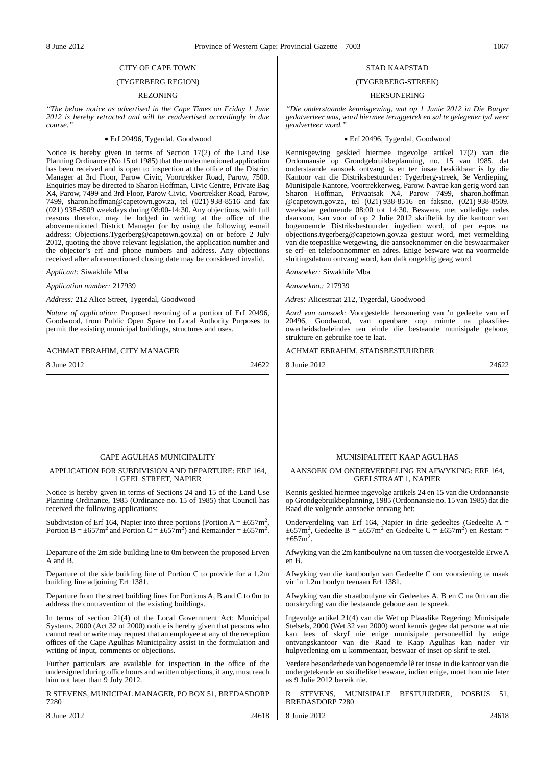## CITY OF CAPE TOWN

## (TYGERBERG REGION)

#### REZONING

*''The below notice as advertised in the Cape Times on Friday 1 June 2012 is hereby retracted and will be readvertised accordingly in due course.''*

#### • Erf 20496, Tygerdal, Goodwood

Notice is hereby given in terms of Section 17(2) of the Land Use Planning Ordinance (No 15 of 1985) that the undermentioned application has been received and is open to inspection at the office of the District Manager at 3rd Floor, Parow Civic, Voortrekker Road, Parow, 7500. Enquiries may be directed to Sharon Hoffman, Civic Centre, Private Bag X4, Parow, 7499 and 3rd Floor, Parow Civic, Voortrekker Road, Parow, 7499, sharon.hoffman@capetown.gov.za, tel (021) 938-8516 and fax (021) 938-8509 weekdays during 08:00-14:30. Any objections, with full reasons therefor, may be lodged in writing at the office of the abovementioned District Manager (or by using the following e-mail address: Objections.Tygerberg@capetown.gov.za) on or before 2 July 2012, quoting the above relevant legislation, the application number and the objector's erf and phone numbers and address. Any objections received after aforementioned closing date may be considered invalid.

*Applicant:* Siwakhile Mba

*Application number:* 217939

*Address:* 212 Alice Street, Tygerdal, Goodwood

*Nature of application:* Proposed rezoning of a portion of Erf 20496, Goodwood, from Public Open Space to Local Authority Purposes to permit the existing municipal buildings, structures and uses.

#### ACHMAT EBRAHIM, CITY MANAGER

8 June 2012 24622

#### STAD KAAPSTAD

#### (TYGERBERG-STREEK)

## HERSONERING

*''Die onderstaande kennisgewing, wat op 1 Junie 2012 in Die Burger gedatverteer was, word hiermee teruggetrek en sal te gelegener tyd weer geadverteer word.''*

#### • Erf 20496, Tygerdal, Goodwood

Kennisgewing geskied hiermee ingevolge artikel 17(2) van die Ordonnansie op Grondgebruikbeplanning, no. 15 van 1985, dat onderstaande aansoek ontvang is en ter insae beskikbaar is by die Kantoor van die Distriksbestuurder: Tygerberg-streek, 3e Verdieping, Munisipale Kantore, Voortrekkerweg, Parow. Navrae kan gerig word aan Sharon Hoffman, Privaatsak X4, Parow 7499, sharon.hoffman @capetown.gov.za, tel (021) 938-8516 en faksno. (021) 938-8509, weeksdae gedurende 08:00 tot 14:30. Besware, met volledige redes daarvoor, kan voor of op 2 Julie 2012 skriftelik by die kantoor van bogenoemde Distriksbestuurder ingedien word, of per e-pos na objections.tygerberg@capetown.gov.za gestuur word, met vermelding van die toepaslike wetgewing, die aansoeknommer en die beswaarmaker se erf- en telefoonnommer en adres. Enige besware wat na voormelde sluitingsdatum ontvang word, kan dalk ongeldig geag word.

*Aansoeker:* Siwakhile Mba

*Aansoekno.:* 217939

*Adres:* Alicestraat 212, Tygerdal, Goodwood

*Aard van aansoek:* Voorgestelde hersonering van 'n gedeelte van erf 20496, Goodwood, van openbare oop ruimte na plaaslikeowerheidsdoeleindes ten einde die bestaande munisipale geboue, strukture en gebruike toe te laat.

#### ACHMAT EBRAHIM, STADSBESTUURDER

8 Junie 2012 24622

## CAPE AGULHAS MUNICIPALITY

### APPLICATION FOR SUBDIVISION AND DEPARTURE: ERF 164, 1 GEEL STREET, NAPIER

Notice is hereby given in terms of Sections 24 and 15 of the Land Use Planning Ordinance, 1985 (Ordinance no. 15 of 1985) that Council has received the following applications:

Subdivision of Erf 164, Napier into three portions (Portion  $A = \pm 657$ m<sup>2</sup>, Portion B =  $\pm 657$ m<sup>2</sup> and Portion C =  $\pm 657$ m<sup>2</sup>) and Remainder =  $\pm 657$ m<sup>2</sup>.

Departure of the 2m side building line to 0m between the proposed Erven A and B.

Departure of the side building line of Portion C to provide for a 1.2m building line adjoining Erf 1381.

Departure from the street building lines for Portions A, B and C to 0m to address the contravention of the existing buildings.

In terms of section 21(4) of the Local Government Act: Municipal Systems, 2000 (Act 32 of 2000) notice is hereby given that persons who cannot read or write may request that an employee at any of the reception offices of the Cape Agulhas Municipality assist in the formulation and writing of input, comments or objections.

Further particulars are available for inspection in the office of the undersigned during office hours and written objections, if any, must reach him not later than 9 July 2012.

R STEVENS, MUNICIPAL MANAGER, PO BOX 51, BREDASDORP 7280

8 June 2012 24618

#### MUNISIPALITEIT KAAP AGULHAS

#### AANSOEK OM ONDERVERDELING EN AFWYKING: ERF 164, GEELSTRAAT 1, NAPIER

Kennis geskied hiermee ingevolge artikels 24 en 15 van die Ordonnansie op Grondgebruikbeplanning, 1985 (Ordonnansie no. 15 van 1985) dat die Raad die volgende aansoeke ontvang het:

Onderverdeling van Erf 164, Napier in drie gedeeltes (Gedeelte A =  $\pm 657$ m<sup>2</sup>, Gedeelte B =  $\pm 657$ m<sup>2</sup> en Gedeelte C =  $\pm 657$ m<sup>2</sup>) en Restant =  $\pm 657$ m<sup>2</sup>.

Afwyking van die 2m kantboulyne na 0m tussen die voorgestelde Erwe A en B.

Afwyking van die kantboulyn van Gedeelte C om voorsiening te maak vir 'n 1.2m boulyn teenaan Erf 1381.

Afwyking van die straatboulyne vir Gedeeltes A, B en C na 0m om die oorskryding van die bestaande geboue aan te spreek.

Ingevolge artikel 21(4) van die Wet op Plaaslike Regering: Munisipale Stelsels, 2000 (Wet 32 van 2000) word kennis gegee dat persone wat nie kan lees of skryf nie enige munisipale personeellid by enige ontvangskantoor van die Raad te Kaap Agulhas kan nader vir hulpverlening om u kommentaar, beswaar of inset op skrif te stel.

Verdere besonderhede van bogenoemde lê ter insae in die kantoor van die ondergetekende en skriftelike besware, indien enige, moet hom nie later as 9 Julie 2012 bereik nie.

STEVENS, MUNISIPALE BESTUURDER, POSBUS 51, BREDASDORP 7280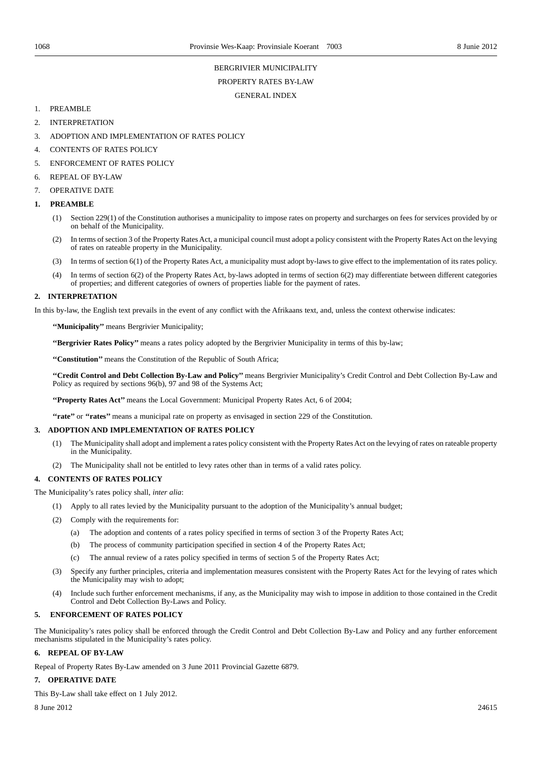## BERGRIVIER MUNICIPALITY PROPERTY RATES BY-LAW GENERAL INDEX

- 1. PREAMBLE
- 2. INTERPRETATION
- 3. ADOPTION AND IMPLEMENTATION OF RATES POLICY
- 4. CONTENTS OF RATES POLICY
- 5. ENFORCEMENT OF RATES POLICY
- 6. REPEAL OF BY-LAW
- 7. OPERATIVE DATE

### **1. PREAMBLE**

- (1) Section 229(1) of the Constitution authorises a municipality to impose rates on property and surcharges on fees for services provided by or on behalf of the Municipality.
- (2) In terms of section 3 of the Property Rates Act, a municipal council must adopt a policy consistent with the Property Rates Act on the levying of rates on rateable property in the Municipality.
- (3) In terms of section 6(1) of the Property Rates Act, a municipality must adopt by-laws to give effect to the implementation of its rates policy.
- (4) In terms of section 6(2) of the Property Rates Act, by-laws adopted in terms of section 6(2) may differentiate between different categories of properties; and different categories of owners of properties liable for the payment of rates.

## **2. INTERPRETATION**

In this by-law, the English text prevails in the event of any conflict with the Afrikaans text, and, unless the context otherwise indicates:

**''Municipality''** means Bergrivier Municipality;

**''Bergrivier Rates Policy''** means a rates policy adopted by the Bergrivier Municipality in terms of this by-law;

**''Constitution''** means the Constitution of the Republic of South Africa;

**''Credit Control and Debt Collection By-Law and Policy''** means Bergrivier Municipality's Credit Control and Debt Collection By-Law and Policy as required by sections 96(b), 97 and 98 of the Systems Act;

**''Property Rates Act''** means the Local Government: Municipal Property Rates Act, 6 of 2004;

**''rate''** or **''rates''** means a municipal rate on property as envisaged in section 229 of the Constitution.

## **3. ADOPTION AND IMPLEMENTATION OF RATES POLICY**

- (1) The Municipality shall adopt and implement a rates policy consistent with the Property Rates Act on the levying of rates on rateable property in the Municipality.
- (2) The Municipality shall not be entitled to levy rates other than in terms of a valid rates policy.

### **4. CONTENTS OF RATES POLICY**

The Municipality's rates policy shall, *inter alia*:

- (1) Apply to all rates levied by the Municipality pursuant to the adoption of the Municipality's annual budget;
- (2) Comply with the requirements for:
	- (a) The adoption and contents of a rates policy specified in terms of section 3 of the Property Rates Act;
	- (b) The process of community participation specified in section 4 of the Property Rates Act;
	- (c) The annual review of a rates policy specified in terms of section 5 of the Property Rates Act;
- (3) Specify any further principles, criteria and implementation measures consistent with the Property Rates Act for the levying of rates which the Municipality may wish to adopt;
- (4) Include such further enforcement mechanisms, if any, as the Municipality may wish to impose in addition to those contained in the Credit Control and Debt Collection By-Laws and Policy.

## **5. ENFORCEMENT OF RATES POLICY**

The Municipality's rates policy shall be enforced through the Credit Control and Debt Collection By-Law and Policy and any further enforcement mechanisms stipulated in the Municipality's rates policy.

### **6. REPEAL OF BY-LAW**

Repeal of Property Rates By-Law amended on 3 June 2011 Provincial Gazette 6879.

### **7. OPERATIVE DATE**

This By-Law shall take effect on 1 July 2012.

 $8 \text{ June } 2012$  24615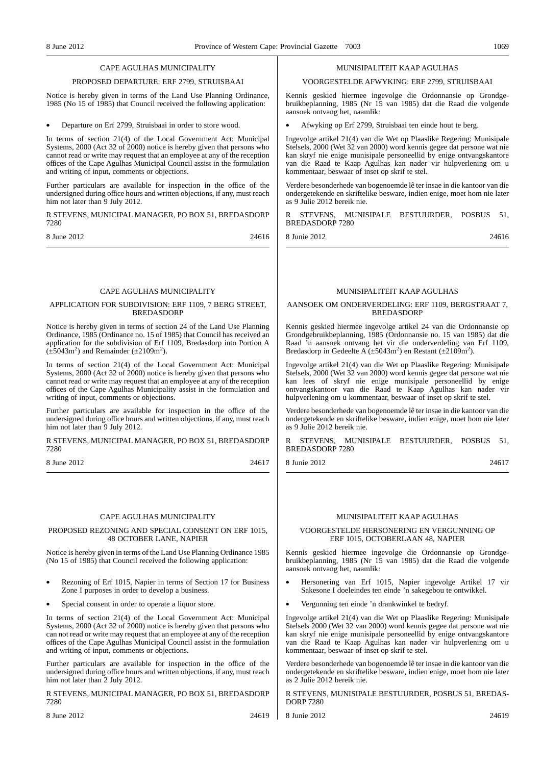#### CAPE AGULHAS MUNICIPALITY

#### PROPOSED DEPARTURE: ERF 2799, STRUISBAAI

Notice is hereby given in terms of the Land Use Planning Ordinance, 1985 (No 15 of 1985) that Council received the following application:

• Departure on Erf 2799, Struisbaai in order to store wood.

In terms of section 21(4) of the Local Government Act: Municipal Systems, 2000 (Act 32 of 2000) notice is hereby given that persons who cannot read or write may request that an employee at any of the reception offices of the Cape Agulhas Municipal Council assist in the formulation and writing of input, comments or objections.

Further particulars are available for inspection in the office of the undersigned during office hours and written objections, if any, must reach him not later than 9 July 2012.

R STEVENS, MUNICIPAL MANAGER, PO BOX 51, BREDASDORP 7280

8 June 2012 24616

### CAPE AGULHAS MUNICIPALITY

#### APPLICATION FOR SUBDIVISION: ERF 1109, 7 BERG STREET, BREDASDORP

Notice is hereby given in terms of section 24 of the Land Use Planning Ordinance, 1985 (Ordinance no. 15 of 1985) that Council has received an application for the subdivision of Erf 1109, Bredasdorp into Portion A  $(\pm 5043 \text{m}^2)$  and Remainder ( $\pm 2109 \text{m}^2$ ).

In terms of section 21(4) of the Local Government Act: Municipal Systems, 2000 (Act 32 of 2000) notice is hereby given that persons who cannot read or write may request that an employee at any of the reception offices of the Cape Agulhas Municipality assist in the formulation and writing of input, comments or objections.

Further particulars are available for inspection in the office of the undersigned during office hours and written objections, if any, must reach him not later than 9 July 2012.

R STEVENS, MUNICIPAL MANAGER, PO BOX 51, BREDASDORP 7280

8 June 2012 24617

#### CAPE AGULHAS MUNICIPALITY

#### PROPOSED REZONING AND SPECIAL CONSENT ON ERF 1015, 48 OCTOBER LANE, NAPIER

Notice is hereby given in terms of the Land Use Planning Ordinance 1985 (No 15 of 1985) that Council received the following application:

- Rezoning of Erf 1015, Napier in terms of Section 17 for Business Zone I purposes in order to develop a business.
- Special consent in order to operate a liquor store.

In terms of section 21(4) of the Local Government Act: Municipal Systems, 2000 (Act 32 of 2000) notice is hereby given that persons who can not read or write may request that an employee at any of the reception offices of the Cape Agulhas Municipal Council assist in the formulation and writing of input, comments or objections.

Further particulars are available for inspection in the office of the undersigned during office hours and written objections, if any, must reach him not later than 2 July 2012.

R STEVENS, MUNICIPAL MANAGER, PO BOX 51, BREDASDORP 7280

8 June 2012 24619

#### MUNISIPALITEIT KAAP AGULHAS

#### VOORGESTELDE AFWYKING: ERF 2799, STRUISBAAI

Kennis geskied hiermee ingevolge die Ordonnansie op Grondgebruikbeplanning, 1985 (Nr 15 van 1985) dat die Raad die volgende aansoek ontvang het, naamlik:

• Afwyking op Erf 2799, Struisbaai ten einde hout te berg.

Ingevolge artikel 21(4) van die Wet op Plaaslike Regering: Munisipale Stelsels, 2000 (Wet 32 van 2000) word kennis gegee dat persone wat nie kan skryf nie enige munisipale personeellid by enige ontvangskantore van die Raad te Kaap Agulhas kan nader vir hulpverlening om u kommentaar, beswaar of inset op skrif te stel.

Verdere besonderhede van bogenoemde lê ter insae in die kantoor van die ondergetekende en skriftelike besware, indien enige, moet hom nie later as 9 Julie 2012 bereik nie.

R STEVENS, MUNISIPALE BESTUURDER, POSBUS 51, BREDASDORP 7280

8 Junie 2012 24616

MUNISIPALITEIT KAAP AGULHAS

#### AANSOEK OM ONDERVERDELING: ERF 1109, BERGSTRAAT 7, BREDASDORP

Kennis geskied hiermee ingevolge artikel 24 van die Ordonnansie op Grondgebruikbeplanning, 1985 (Ordonnansie no. 15 van 1985) dat die Raad 'n aansoek ontvang het vir die onderverdeling van Erf 1109, Bredasdorp in Gedeelte A ( $\pm$ 5043m<sup>2</sup>) en Restant ( $\pm$ 2109m<sup>2</sup>).

Ingevolge artikel 21(4) van die Wet op Plaaslike Regering: Munisipale Stelsels, 2000 (Wet 32 van 2000) word kennis gegee dat persone wat nie kan lees of skryf nie enige munisipale personeellid by enige ontvangskantoor van die Raad te Kaap Agulhas kan nader vir hulpverlening om u kommentaar, beswaar of inset op skrif te stel.

Verdere besonderhede van bogenoemde lê ter insae in die kantoor van die ondergetekende en skriftelike besware, indien enige, moet hom nie later as 9 Julie 2012 bereik nie.

STEVENS, MUNISIPALE BESTUURDER, POSBUS 51, BREDASDORP 7280

8 Junie 2012 24617

### MUNISIPALITEIT KAAP AGULHAS

#### VOORGESTELDE HERSONERING EN VERGUNNING OP ERF 1015, OCTOBERLAAN 48, NAPIER

Kennis geskied hiermee ingevolge die Ordonnansie op Grondgebruikbeplanning, 1985 (Nr 15 van 1985) dat die Raad die volgende aansoek ontvang het, naamlik:

- Hersonering van Erf 1015, Napier ingevolge Artikel 17 vir Sakesone I doeleindes ten einde 'n sakegebou te ontwikkel.
- Vergunning ten einde 'n drankwinkel te bedryf.

Ingevolge artikel 21(4) van die Wet op Plaaslike Regering: Munisipale Stelsels 2000 (Wet 32 van 2000) word kennis gegee dat persone wat nie kan skryf nie enige munisipale personeellid by enige ontvangskantore van die Raad te Kaap Agulhas kan nader vir hulpverlening om u kommentaar, beswaar of inset op skrif te stel.

Verdere besonderhede van bogenoemde lê ter insae in die kantoor van die ondergetekende en skriftelike besware, indien enige, moet hom nie later as 2 Julie 2012 bereik nie.

R STEVENS, MUNISIPALE BESTUURDER, POSBUS 51, BREDAS-DORP 7280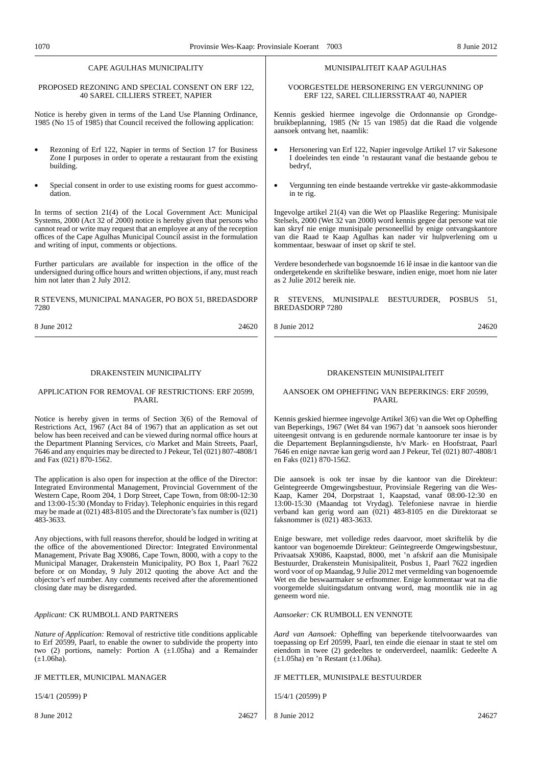### CAPE AGULHAS MUNICIPALITY

#### PROPOSED REZONING AND SPECIAL CONSENT ON ERF 122, 40 SAREL CILLIERS STREET, NAPIER

Notice is hereby given in terms of the Land Use Planning Ordinance, 1985 (No 15 of 1985) that Council received the following application:

- Rezoning of Erf 122, Napier in terms of Section 17 for Business Zone I purposes in order to operate a restaurant from the existing building.
- Special consent in order to use existing rooms for guest accommodation.

In terms of section 21(4) of the Local Government Act: Municipal Systems, 2000 (Act 32 of 2000) notice is hereby given that persons who cannot read or write may request that an employee at any of the reception offices of the Cape Agulhas Municipal Council assist in the formulation and writing of input, comments or objections.

Further particulars are available for inspection in the office of the undersigned during office hours and written objections, if any, must reach him not later than 2 July 2012.

#### R STEVENS, MUNICIPAL MANAGER, PO BOX 51, BREDASDORP 7280

8 June 2012 24620

### DRAKENSTEIN MUNICIPALITY

#### APPLICATION FOR REMOVAL OF RESTRICTIONS: ERF 20599, PAARL

Notice is hereby given in terms of Section 3(6) of the Removal of Restrictions Act, 1967 (Act 84 of 1967) that an application as set out below has been received and can be viewed during normal office hours at the Department Planning Services, c/o Market and Main Streets, Paarl, 7646 and any enquiries may be directed to J Pekeur, Tel (021) 807-4808/1 and Fax (021) 870-1562.

The application is also open for inspection at the office of the Director: Integrated Environmental Management, Provincial Government of the Western Cape, Room 204, 1 Dorp Street, Cape Town, from 08:00-12:30 and 13:00-15:30 (Monday to Friday). Telephonic enquiries in this regard may be made at  $(021)$  483-8105 and the Directorate's fax number is  $(021)$ 483-3633.

Any objections, with full reasons therefor, should be lodged in writing at the office of the abovementioned Director: Integrated Environmental Management, Private Bag X9086, Cape Town, 8000, with a copy to the Municipal Manager, Drakenstein Municipality, PO Box 1, Paarl 7622 before or on Monday, 9 July 2012 quoting the above Act and the objector's erf number. Any comments received after the aforementioned closing date may be disregarded.

## *Applicant:* CK RUMBOLL AND PARTNERS

*Nature of Application:* Removal of restrictive title conditions applicable to Erf 20599, Paarl, to enable the owner to subdivide the property into two (2) portions, namely: Portion A  $(\pm 1.05$ ha) and a Remainder  $(\pm 1.06$ ha).

JF METTLER, MUNICIPAL MANAGER

15/4/1 (20599) P

#### MUNISIPALITEIT KAAP AGULHAS

#### VOORGESTELDE HERSONERING EN VERGUNNING OP ERF 122, SAREL CILLIERSSTRAAT 40, NAPIER

Kennis geskied hiermee ingevolge die Ordonnansie op Grondgebruikbeplanning, 1985 (Nr 15 van 1985) dat die Raad die volgende aansoek ontvang het, naamlik:

- Hersonering van Erf 122, Napier ingevolge Artikel 17 vir Sakesone I doeleindes ten einde 'n restaurant vanaf die bestaande gebou te bedryf,
- Vergunning ten einde bestaande vertrekke vir gaste-akkommodasie in te rig.

Ingevolge artikel 21(4) van die Wet op Plaaslike Regering: Munisipale Stelsels, 2000 (Wet 32 van 2000) word kennis gegee dat persone wat nie kan skryf nie enige munisipale personeellid by enige ontvangskantore van die Raad te Kaap Agulhas kan nader vir hulpverlening om u kommentaar, beswaar of inset op skrif te stel.

Verdere besonderhede van bogsnoemde 16 lê insae in die kantoor van die ondergetekende en skriftelike besware, indien enige, moet hom nie later as 2 Julie 2012 bereik nie.

R STEVENS, MUNISIPALE BESTUURDER, POSBUS 51, BREDASDORP 7280

8 Junie 2012 24620

## DRAKENSTEIN MUNISIPALITEIT

### AANSOEK OM OPHEFFING VAN BEPERKINGS: ERF 20599, PAARL

Kennis geskied hiermee ingevolge Artikel 3(6) van die Wet op Opheffing van Beperkings, 1967 (Wet 84 van 1967) dat 'n aansoek soos hieronder uiteengesit ontvang is en gedurende normale kantoorure ter insae is by die Departement Beplanningsdienste, h/v Mark- en Hoofstraat, Paarl 7646 en enige navrae kan gerig word aan J Pekeur, Tel (021) 807-4808/1 en Faks (021) 870-1562.

Die aansoek is ook ter insae by die kantoor van die Direkteur: Geïntegreerde Omgewingsbestuur, Provinsiale Regering van die Wes-Kaap, Kamer 204, Dorpstraat 1, Kaapstad, vanaf 08:00-12:30 en 13:00-15:30 (Maandag tot Vrydag). Telefoniese navrae in hierdie verband kan gerig word aan (021) 483-8105 en die Direktoraat se faksnommer is (021) 483-3633.

Enige besware, met volledige redes daarvoor, moet skriftelik by die kantoor van bogenoemde Direkteur: Geïntegreerde Omgewingsbestuur, Privaatsak X9086, Kaapstad, 8000, met 'n afskrif aan die Munisipale Bestuurder, Drakenstein Munisipaliteit, Posbus 1, Paarl 7622 ingedien word voor of op Maandag, 9 Julie 2012 met vermelding van bogenoemde Wet en die beswaarmaker se erfnommer. Enige kommentaar wat na die voorgemelde sluitingsdatum ontvang word, mag moontlik nie in ag geneem word nie.

*Aansoeker:* CK RUMBOLL EN VENNOTE

*Aard van Aansoek:* Opheffing van beperkende titelvoorwaardes van toepassing op Erf 20599, Paarl, ten einde die eienaar in staat te stel om eiendom in twee (2) gedeeltes te onderverdeel, naamlik: Gedeelte A  $(\pm 1.05$ ha) en 'n Restant ( $\pm 1.06$ ha).

#### JF METTLER, MUNISIPALE BESTUURDER

15/4/1 (20599) P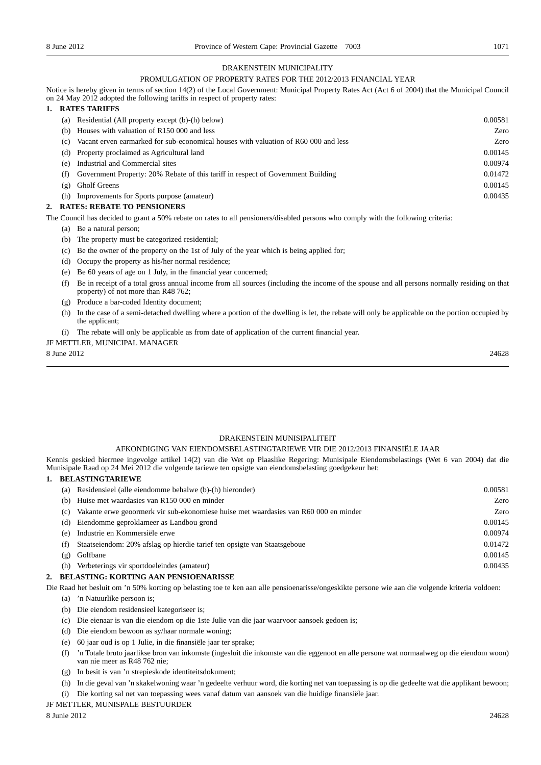## DRAKENSTEIN MUNICIPALITY

## PROMULGATION OF PROPERTY RATES FOR THE 2012/2013 FINANCIAL YEAR

Notice is hereby given in terms of section 14(2) of the Local Government: Municipal Property Rates Act (Act 6 of 2004) that the Municipal Council on 24 May 2012 adopted the following tariffs in respect of property rates:

### **1. RATES TARIFFS**

| (a) | Residential (All property except (b)-(h) below)                                     | 0.00581 |
|-----|-------------------------------------------------------------------------------------|---------|
| (b) | Houses with valuation of R150 000 and less                                          | Zero    |
| (c) | Vacant erven earmarked for sub-economical houses with valuation of R60 000 and less | Zero    |
| (d) | Property proclaimed as Agricultural land                                            | 0.00145 |
| (e) | Industrial and Commercial sites                                                     | 0.00974 |
| (f) | Government Property: 20% Rebate of this tariff in respect of Government Building    | 0.01472 |
| (g) | <b>Gholf Greens</b>                                                                 | 0.00145 |
| (h) | Improvements for Sports purpose (amateur)                                           | 0.00435 |
|     | B. EDG BEB LEE BO BRUCIOURDO                                                        |         |

## **2. RATES: REBATE TO PENSIONERS**

The Council has decided to grant a 50% rebate on rates to all pensioners/disabled persons who comply with the following criteria:

- (a) Be a natural person;
- (b) The property must be categorized residential;
- (c) Be the owner of the property on the 1st of July of the year which is being applied for;
- (d) Occupy the property as his/her normal residence;
- (e) Be 60 years of age on 1 July, in the financial year concerned;
- (f) Be in receipt of a total gross annual income from all sources (including the income of the spouse and all persons normally residing on that property) of not more than R48 762;
- (g) Produce a bar-coded Identity document;
- (h) In the case of a semi-detached dwelling where a portion of the dwelling is let, the rebate will only be applicable on the portion occupied by the applicant;
- (i) The rebate will only be applicable as from date of application of the current financial year.

## JF METTLER, MUNICIPAL MANAGER

 $8 \text{ June } 2012$  24628

## DRAKENSTEIN MUNISIPALITEIT

### AFKONDIGING VAN EIENDOMSBELASTINGTARIEWE VIR DIE 2012/2013 FINANSIËLE JAAR

Kennis geskied hierrnee ingevolge artikel 14(2) van die Wet op Plaaslike Regering: Munisipale Eiendomsbelastings (Wet 6 van 2004) dat die Munisipale Raad op 24 Mei 2012 die volgende tariewe ten opsigte van eiendomsbelasting goedgekeur het:

## **1. BELASTINGTARIEWE**

| (a) | Residensieel (alle eiendomme behalwe (b)-(h) hieronder)                              | 0.00581 |
|-----|--------------------------------------------------------------------------------------|---------|
| (b) | Huise met waardasies van R150 000 en minder                                          | Zero    |
| (c) | Vakante erwe geoormerk vir sub-ekonomiese huise met waardasies van R60 000 en minder | Zero    |
| (d) | Eiendomme geproklameer as Landbou grond                                              | 0.00145 |
| (e) | Industrie en Kommersiële erwe                                                        | 0.00974 |
| (f) | Staatseiendom: 20% afslag op hierdie tarief ten opsigte van Staatsgeboue             | 0.01472 |
| (ջ) | Golfbane                                                                             | 0.00145 |
| (h) | Verbeterings vir sportdoeleindes (amateur)                                           | 0.00435 |
|     | DEL LOBBLO, IZODBILIO, L'IN DENGIORNI I DIGGE                                        |         |

### **2. BELASTING: KORTING AAN PENSIOENARISSE**

Die Raad het besluit om 'n 50% korting op belasting toe te ken aan alle pensioenarisse/ongeskikte persone wie aan die volgende kriteria voldoen:

- (a) 'n Natuurlike persoon is;
- (b) Die eiendom residensieel kategoriseer is;
- (c) Die eienaar is van die eiendom op die 1ste Julie van die jaar waarvoor aansoek gedoen is;
- (d) Die eiendom bewoon as sy/haar normale woning;
- (e) 60 jaar oud is op 1 Julie, in die finansiële jaar ter sprake;
- (f) 'n Totale bruto jaarlikse bron van inkomste (ingesluit die inkomste van die eggenoot en alle persone wat normaalweg op die eiendom woon) van nie meer as R48 762 nie;
- (g) In besit is van 'n strepieskode identiteitsdokument;
- (h) In die geval van 'n skakelwoning waar 'n gedeelte verhuur word, die korting net van toepassing is op die gedeelte wat die applikant bewoon;
- (i) Die korting sal net van toepassing wees vanaf datum van aansoek van die huidige finansiële jaar.

## JF METTLER, MUNISPALE BESTUURDER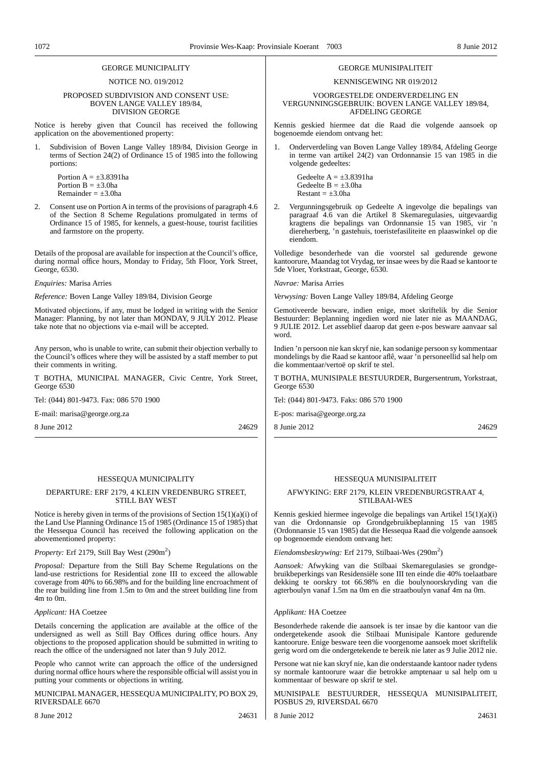### GEORGE MUNICIPALITY

#### NOTICE NO. 019/2012

#### PROPOSED SUBDIVISION AND CONSENT USE: BOVEN LANGE VALLEY 189/84, DIVISION GEORGE

Notice is hereby given that Council has received the following application on the abovementioned property:

Subdivision of Boven Lange Valley 189/84, Division George in terms of Section 24(2) of Ordinance 15 of 1985 into the following portions:

Portion  $A = \pm 3.8391$ ha Portion  $B = \pm 3.0$ ha Remainder =  $\pm 3.0$ ha

2. Consent use on Portion A in terms of the provisions of paragraph 4.6 of the Section 8 Scheme Regulations promulgated in terms of Ordinance 15 of 1985, for kennels, a guest-house, tourist facilities and farmstore on the property.

Details of the proposal are available for inspection at the Council's office, during normal office hours, Monday to Friday, 5th Floor, York Street, George, 6530.

*Enquiries:* Marisa Arries

*Reference:* Boven Lange Valley 189/84, Division George

Motivated objections, if any, must be lodged in writing with the Senior Manager: Planning, by not later than MONDAY, 9 JULY 2012. Please take note that no objections via e-mail will be accepted.

Any person, who is unable to write, can submit their objection verbally to the Council's offices where they will be assisted by a staff member to put their comments in writing.

T BOTHA, MUNICIPAL MANAGER, Civic Centre, York Street, George 6530

Tel: (044) 801-9473. Fax: 086 570 1900

E-mail: marisa@george.org.za

8 June 2012 24629

### HESSEQUA MUNICIPALITY

#### DEPARTURE: ERF 2179, 4 KLEIN VREDENBURG STREET, STILL BAY WEST

Notice is hereby given in terms of the provisions of Section  $15(1)(a)(i)$  of the Land Use Planning Ordinance 15 of 1985 (Ordinance 15 of 1985) that the Hessequa Council has received the following application on the abovementioned property:

Property: Erf 2179, Still Bay West (290m<sup>2</sup>)

*Proposal:* Departure from the Still Bay Scheme Regulations on the land-use restrictions for Residential zone III to exceed the allowable coverage from 40% to 66.98% and for the building line encroachment of the rear building line from 1.5m to 0m and the street building line from 4m to 0m.

#### *Applicant:* HA Coetzee

Details concerning the application are available at the office of the undersigned as well as Still Bay Offices during office hours. Any objections to the proposed application should be submitted in writing to reach the office of the undersigned not later than 9 July 2012.

People who cannot write can approach the office of the undersigned during normal office hours where the responsible official will assist you in putting your comments or objections in writing.

MUNICIPAL MANAGER, HESSEQUA MUNICIPALITY, PO BOX 29, RIVERSDALE 6670

8 June 2012 24631

## GEORGE MUNISIPALITEIT

## KENNISGEWING NR 019/2012

VOORGESTELDE ONDERVERDELING EN VERGUNNINGSGEBRUIK: BOVEN LANGE VALLEY 189/84, AFDELING GEORGE

Kennis geskied hiermee dat die Raad die volgende aansoek op bogenoemde eiendom ontvang het:

1. Onderverdeling van Boven Lange Valley 189/84, Afdeling George in terme van artikel 24(2) van Ordonnansie 15 van 1985 in die volgende gedeeltes:

> Gedeelte $A = \pm 3.8391$ ha Gedeelte  $B = \pm 3.0$ ha  $Restant = \pm 3.0$ ha

2. Vergunningsgebruik op Gedeelte A ingevolge die bepalings van paragraaf 4.6 van die Artikel 8 Skemaregulasies, uitgevaardig kragtens die bepalings van Ordonnansie 15 van 1985, vir 'n diereherberg, 'n gastehuis, toeristefasiliteite en plaaswinkel op die eiendom.

Volledige besonderhede van die voorstel sal gedurende gewone kantoorure, Maandag tot Vrydag, ter insae wees by die Raad se kantoor te 5de Vloer, Yorkstraat, George, 6530.

*Navrae:* Marisa Arries

*Verwysing:* Boven Lange Valley 189/84, Afdeling George

Gemotiveerde besware, indien enige, moet skriftelik by die Senior Bestuurder: Beplanning ingedien word nie later nie as MAANDAG, 9 JULIE 2012. Let asseblief daarop dat geen e-pos besware aanvaar sal word.

Indien 'n persoon nie kan skryf nie, kan sodanige persoon sy kommentaar mondelings by die Raad se kantoor aflê, waar 'n personeellid sal help om die kommentaar/vertoë op skrif te stel.

T BOTHA, MUNISIPALE BESTUURDER, Burgersentrum, Yorkstraat, George 6530

Tel: (044) 801-9473. Faks: 086 570 1900

E-pos: marisa@george.org.za

8 Junie 2012 24629

### HESSEQUA MUNISIPALITEIT

#### AFWYKING: ERF 2179, KLEIN VREDENBURGSTRAAT 4, STILBAAI-WES

Kennis geskied hiermee ingevolge die bepalings van Artikel 15(1)(a)(i) van die Ordonnansie op Grondgebruikbeplanning 15 van 1985 (Ordonnansie 15 van 1985) dat die Hessequa Raad die volgende aansoek op bogenoemde eiendom ontvang het:

Eiendomsbeskrywing: Erf 2179, Stilbaai-Wes (290m<sup>2</sup>)

A*ansoek:* Afwyking van die Stilbaai Skemaregulasies se grondgebruikbeperkings van Residensiële sone III ten einde die 40% toelaatbare dekking te oorskry tot 66.98% en die boulynoorskryding van die agterboulyn vanaf 1.5m na 0m en die straatboulyn vanaf 4m na 0m.

#### *Applikant:* HA Coetzee

Besonderhede rakende die aansoek is ter insae by die kantoor van die ondergetekende asook die Stilbaai Munisipale Kantore gedurende kantoorure. Enige besware teen die voorgenome aansoek moet skriftelik gerig word om die ondergetekende te bereik nie later as 9 Julie 2012 nie.

Persone wat nie kan skryf nie, kan die onderstaande kantoor nader tydens sy normale kantoorure waar die betrokke amptenaar u sal help om u kommentaar of besware op skrif te stel.

MUNISIPALE BESTUURDER, HESSEQUA MUNISIPALITEIT, POSBUS 29, RIVERSDAL 6670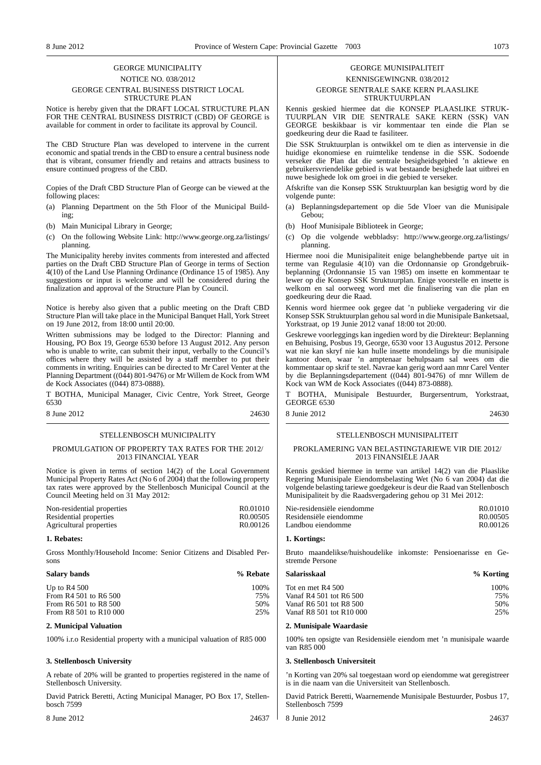## GEORGE MUNICIPALITY NOTICE NO. 038/2012 GEORGE CENTRAL BUSINESS DISTRICT LOCAL STRUCTURE PLAN

Notice is hereby given that the DRAFT LOCAL STRUCTURE PLAN FOR THE CENTRAL BUSINESS DISTRICT (CBD) OF GEORGE is available for comment in order to facilitate its approval by Council.

The CBD Structure Plan was developed to intervene in the current economic and spatial trends in the CBD to ensure a central business node that is vibrant, consumer friendly and retains and attracts business to ensure continued progress of the CBD.

Copies of the Draft CBD Structure Plan of George can be viewed at the following places:

- (a) Planning Department on the 5th Floor of the Municipal Building;
- (b) Main Municipal Library in George;
- (c) On the following Website Link: http://www.george.org.za/listings/ planning.

The Municipality hereby invites comments from interested and affected parties on the Draft CBD Structure Plan of George in terms of Section 4(10) of the Land Use Planning Ordinance (Ordinance 15 of 1985). Any suggestions or input is welcome and will be considered during the finalization and approval of the Structure Plan by Council.

Notice is hereby also given that a public meeting on the Draft CBD Structure Plan will take place in the Municipal Banquet Hall, York Street on 19 June 2012, from 18:00 until 20:00.

Written submissions may be lodged to the Director: Planning and Housing, PO Box 19, George 6530 before 13 August 2012. Any person who is unable to write, can submit their input, verbally to the Council's offices where they will be assisted by a staff member to put their comments in writing. Enquiries can be directed to Mr Carel Venter at the Planning Department ((044) 801-9476) or Mr Willem de Kock from WM de Kock Associates ((044) 873-0888).

T BOTHA, Municipal Manager, Civic Centre, York Street, George 6530

8 June 2012 24630

#### STELLENBOSCH MUNICIPALITY

#### PROMULGATION OF PROPERTY TAX RATES FOR THE 2012/ 2013 FINANCIAL YEAR

Notice is given in terms of section 14(2) of the Local Government Municipal Property Rates Act (No 6 of 2004) that the following property tax rates were approved by the Stellenbosch Municipal Council at the Council Meeting held on 31 May 2012:

| Non-residential properties | R <sub>0.01010</sub> |
|----------------------------|----------------------|
| Residential properties     | R <sub>0.00505</sub> |
| Agricultural properties    | R <sub>0.00126</sub> |

#### **1. Rebates:**

Gross Monthly/Household Income: Senior Citizens and Disabled Persons

### **Salary bands % Rebate** Up to R4 500 100%<br>From R4 501 to R6 500 25% 25% 25% From R4 501 to R6 500 75%  $\frac{75}{60}$ From R6 501 to R8 500 50% From R8 501 to R10 000

#### **2. Municipal Valuation**

100% i.r.o Residential property with a municipal valuation of R85 000

#### **3. Stellenbosch University**

A rebate of 20% will be granted to properties registered in the name of Stellenbosch University.

David Patrick Beretti, Acting Municipal Manager, PO Box 17, Stellenbosch 7599

8 June 2012 24637

### GEORGE MUNISIPALITEIT KENNISGEWINGNR. 038/2012 GEORGE SENTRALE SAKE KERN PLAASLIKE STRUKTUURPLAN

Kennis geskied hiermee dat die KONSEP PLAASLIKE STRUK-TUURPLAN VIR DIE SENTRALE SAKE KERN (SSK) VAN GEORGE beskikbaar is vir kommentaar ten einde die Plan se goedkeuring deur die Raad te fasiliteer.

Die SSK Struktuurplan is ontwikkel om te dien as intervensie in die huidige ekonomiese en ruimtelike tendense in die SSK. Sodoende verseker die Plan dat die sentrale besigheidsgebied 'n aktiewe en gebruikersvriendelike gebied is wat bestaande besighede laat uitbrei en nuwe besighede lok om groei in die gebied te verseker.

Afskrifte van die Konsep SSK Struktuurplan kan besigtig word by die volgende punte:

- (a) Beplanningsdepartement op die 5de Vloer van die Munisipale Gebou;
- (b) Hoof Munisipale Biblioteek in George;
- (c) Op die volgende webbladsy: http://www.george.org.za/listings/ planning.

Hiermee nooi die Munisipaliteit enige belanghebbende partye uit in terme van Regulasie 4(10) van die Ordonnansie op Grondgebruikbeplanning (Ordonnansie 15 van 1985) om insette en kommentaar te lewer op die Konsep SSK Struktuurplan. Enige voorstelle en insette is welkom en sal oorweeg word met die finalisering van die plan en goedkeuring deur die Raad.

Kennis word hiermee ook gegee dat 'n publieke vergadering vir die Konsep SSK Struktuurplan gehou sal word in die Munisipale Banketsaal, Yorkstraat, op 19 Junie 2012 vanaf 18:00 tot 20:00.

Geskrewe voorleggings kan ingedien word by die Direkteur: Beplanning en Behuising, Posbus 19, George, 6530 voor 13 Augustus 2012. Persone wat nie kan skryf nie kan hulle insette mondelings by die munisipale kantoor doen, waar 'n amptenaar behulpsaam sal wees om die kommentaar op skrif te stel. Navrae kan gerig word aan mnr Carel Venter by die Beplanningsdepartement ((044) 801-9476) of mnr Willem de Kock van WM de Kock Associates ((044) 873-0888).

BOTHA, Munisipale Bestuurder, Burgersentrum, Yorkstraat, GEORGE 6530

8 Junie 2012 24630

#### STELLENBOSCH MUNISIPALITEIT

#### PROKLAMERING VAN BELASTINGTARIEWE VIR DIE 2012/ 2013 FINANSIËLE JAAR

Kennis geskied hiermee in terme van artikel 14(2) van die Plaaslike Regering Munisipale Eiendomsbelasting Wet (No 6 van 2004) dat die volgende belasting tariewe goedgekeur is deur die Raad van Stellenbosch Munisipaliteit by die Raadsvergadering gehou op 31 Mei 2012:

| Nie-residensiële eiendomme | R0.01010              |
|----------------------------|-----------------------|
| Residensiële eiendomme     | R <sub>0</sub> .00505 |
| Landbou eiendomme          | R <sub>0</sub> .00126 |

#### **1. Kortings:**

Bruto maandelikse/huishoudelike inkomste: Pensioenarisse en Gestremde Persone

| Salarisskaal             | % Korting |
|--------------------------|-----------|
| Tot en met R4 500        | 100%      |
| Vanaf R4 501 tot R6 500  | 75%       |
| Vanaf R6 501 tot R8 500  | 50%       |
| Vanaf R8 501 tot R10 000 | 25%       |
|                          |           |

### **2. Munisipale Waardasie**

100% ten opsigte van Residensiële eiendom met 'n munisipale waarde van R85 000

### **3. Stellenbosch Universiteit**

'n Korting van 20% sal toegestaan word op eiendomme wat geregistreer is in die naam van die Universiteit van Stellenbosch.

David Patrick Beretti, Waarnemende Munisipale Bestuurder, Posbus 17, Stellenbosch 7599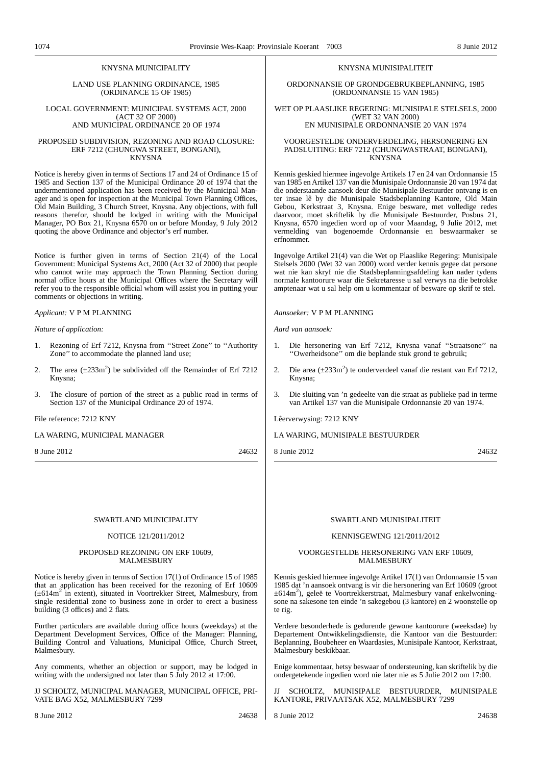## KNYSNA MUNICIPALITY

LAND USE PLANNING ORDINANCE, 1985 (ORDINANCE 15 OF 1985)

LOCAL GOVERNMENT: MUNICIPAL SYSTEMS ACT, 2000 (ACT 32 OF 2000) AND MUNICIPAL ORDINANCE 20 OF 1974

PROPOSED SUBDIVISION, REZONING AND ROAD CLOSURE: ERF 7212 (CHUNGWA STREET, BONGANI), KNYSNA

Notice is hereby given in terms of Sections 17 and 24 of Ordinance 15 of 1985 and Section 137 of the Municipal Ordinance 20 of 1974 that the undermentioned application has been received by the Municipal Manager and is open for inspection at the Municipal Town Planning Offices, Old Main Building, 3 Church Street, Knysna. Any objections, with full reasons therefor, should be lodged in writing with the Municipal Manager, PO Box 21, Knysna 6570 on or before Monday, 9 July 2012 quoting the above Ordinance and objector's erf number.

Notice is further given in terms of Section 21(4) of the Local Government: Municipal Systems Act, 2000 (Act 32 of 2000) that people who cannot write may approach the Town Planning Section during normal office hours at the Municipal Offices where the Secretary will refer you to the responsible official whom will assist you in putting your comments or objections in writing.

*Applicant:* V P M PLANNING

*Nature of application:*

- 1. Rezoning of Erf 7212, Knysna from ''Street Zone'' to ''Authority Zone'' to accommodate the planned land use;
- 2. The area  $(\pm 233 \text{m}^2)$  be subdivided off the Remainder of Erf 7212 Knysna;
- 3. The closure of portion of the street as a public road in terms of Section 137 of the Municipal Ordinance 20 of 1974.

File reference: 7212 KNY

LA WARING, MUNICIPAL MANAGER

8 June 2012 24632

#### KNYSNA MUNISIPALITEIT

ORDONNANSIE OP GRONDGEBRUKBEPLANNING, 1985 (ORDONNANSIE 15 VAN 1985)

WET OP PLAASLIKE REGERING: MUNISIPALE STELSELS, 2000 (WET 32 VAN 2000) EN MUNISIPALE ORDONNANSIE 20 VAN 1974

VOORGESTELDE ONDERVERDELING, HERSONERING EN PADSLUITING: ERF 7212 (CHUNGWASTRAAT, BONGANI), KNYSNA

Kennis geskied hiermee ingevolge Artikels 17 en 24 van Ordonnansie 15 van 1985 en Artikel 137 van die Munisipale Ordonnansie 20 van 1974 dat die onderstaande aansoek deur die Munisipale Bestuurder ontvang is en ter insae lê by die Munisipale Stadsbeplanning Kantore, Old Main Gebou, Kerkstraat 3, Knysna. Enige besware, met volledige redes daarvoor, moet skriftelik by die Munisipale Bestuurder, Posbus 21, Knysna, 6570 ingedien word op of voor Maandag, 9 Julie 2012, met vermelding van bogenoemde Ordonnansie en beswaarmaker se erfnommer.

Ingevolge Artikel 21(4) van die Wet op Plaaslike Regering: Munisipale Stelsels 2000 (Wet 32 van 2000) word verder kennis gegee dat persone wat nie kan skryf nie die Stadsbeplanningsafdeling kan nader tydens normale kantoorure waar die Sekretaresse u sal verwys na die betrokke amptenaar wat u sal help om u kommentaar of besware op skrif te stel.

*Aansoeker:* V P M PLANNING

*Aard van aansoek:*

- 1. Die hersonering van Erf 7212, Knysna vanaf ''Straatsone'' na ''Owerheidsone'' om die beplande stuk grond te gebruik;
- 2. Die area  $(\pm 233 \text{m}^2)$  te onderverdeel vanaf die restant van Erf 7212, Knysna;
- 3. Die sluiting van 'n gedeelte van die straat as publieke pad in terme van Artikel 137 van die Munisipale Ordonnansie 20 van 1974.

Lêerverwysing: 7212 KNY

LA WARING, MUNISIPALE BESTUURDER

8 Junie 2012 24632

#### SWARTLAND MUNICIPALITY

#### NOTICE 121/2011/2012

#### PROPOSED REZONING ON ERF 10609, MALMESBURY

Notice is hereby given in terms of Section 17(1) of Ordinance 15 of 1985 that an application has been received for the rezoning of Erf 10609 (±614m2 in extent), situated in Voortrekker Street, Malmesbury, from single residential zone to business zone in order to erect a business building (3 offices) and 2 flats.

Further particulars are available during office hours (weekdays) at the Department Development Services, Office of the Manager: Planning, Building Control and Valuations, Municipal Office, Church Street, Malmesbury.

Any comments, whether an objection or support, may be lodged in writing with the undersigned not later than 5 July 2012 at 17:00.

JJ SCHOLTZ, MUNICIPAL MANAGER, MUNICIPAL OFFICE, PRI-VATE BAG X52, MALMESBURY 7299

## MALMESBURY

Kennis geskied hiermee ingevolge Artikel 17(1) van Ordonnansie 15 van 1985 dat 'n aansoek ontvang is vir die hersonering van Erf 10609 (groot ±614m2 ), geleë te Voortrekkerstraat, Malmesbury vanaf enkelwoningsone na sakesone ten einde 'n sakegebou (3 kantore) en 2 woonstelle op te rig.

SWARTLAND MUNISIPALITEIT KENNISGEWING 121/2011/2012 VOORGESTELDE HERSONERING VAN ERF 10609,

Verdere besonderhede is gedurende gewone kantoorure (weeksdae) by Departement Ontwikkelingsdienste, die Kantoor van die Bestuurder: Beplanning, Boubeheer en Waardasies, Munisipale Kantoor, Kerkstraat, Malmesbury beskikbaar.

Enige kommentaar, hetsy beswaar of ondersteuning, kan skriftelik by die ondergetekende ingedien word nie later nie as 5 Julie 2012 om 17:00.

SCHOLTZ, MUNISIPALE BESTUURDER, MUNISIPALE KANTORE, PRIVAATSAK X52, MALMESBURY 7299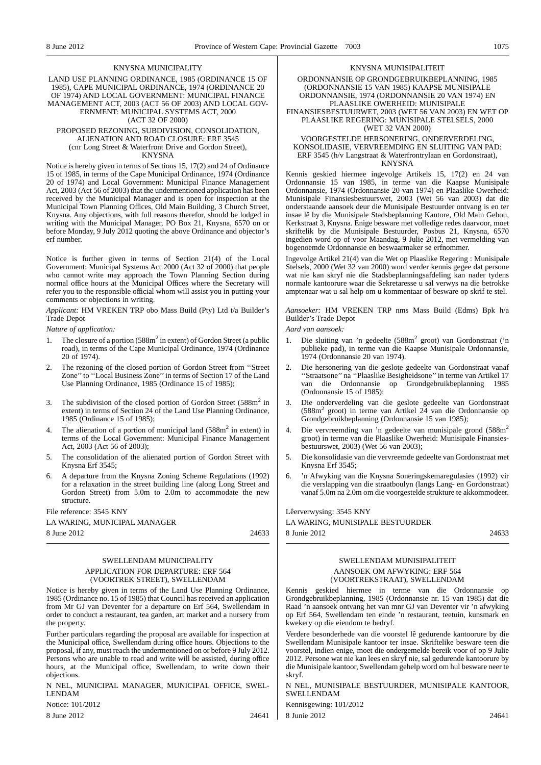#### KNYSNA MUNICIPALITY

#### LAND USE PLANNING ORDINANCE, 1985 (ORDINANCE 15 OF 1985), CAPE MUNICIPAL ORDINANCE, 1974 (ORDINANCE 20 OF 1974) AND LOCAL GOVERNMENT: MUNICIPAL FINANCE MANAGEMENT ACT, 2003 (ACT 56 OF 2003) AND LOCAL GOV-ERNMENT: MUNICIPAL SYSTEMS ACT, 2000 (ACT 32 OF 2000)

#### PROPOSED REZONING, SUBDIVISION, CONSOLIDATION, ALIENATION AND ROAD CLOSURE: ERF 3545 (cnr Long Street & Waterfront Drive and Gordon Street), KNYSNA

Notice is hereby given in terms of Sections 15, 17(2) and 24 of Ordinance 15 of 1985, in terms of the Cape Municipal Ordinance, 1974 (Ordinance 20 of 1974) and Local Government: Municipal Finance Management Act, 2003 (Act 56 of 2003) that the undermentioned application has been received by the Municipal Manager and is open for inspection at the Municipal Town Planning Offices, Old Main Building, 3 Church Street, Knysna. Any objections, with full reasons therefor, should be lodged in writing with the Municipal Manager, PO Box 21, Knysna, 6570 on or before Monday, 9 July 2012 quoting the above Ordinance and objector's erf number.

Notice is further given in terms of Section 21(4) of the Local Government: Municipal Systems Act 2000 (Act 32 of 2000) that people who cannot write may approach the Town Planning Section during normal office hours at the Municipal Offices where the Secretary will refer you to the responsible official whom will assist you in putting your comments or objections in writing.

*Applicant:* HM VREKEN TRP obo Mass Build (Pty) Ltd t/a Builder's Trade Depot

*Nature of application:*

- 1. The closure of a portion  $(588m^2$  in extent) of Gordon Street (a public road), in terms of the Cape Municipal Ordinance, 1974 (Ordinance 20 of 1974).
- 2. The rezoning of the closed portion of Gordon Street from ''Street Zone" to "Local Business Zone" in terms of Section 17 of the Land Use Planning Ordinance, 1985 (Ordinance 15 of 1985);
- The subdivision of the closed portion of Gordon Street (588m<sup>2</sup> in extent) in terms of Section 24 of the Land Use Planning Ordinance, 1985 (Ordinance 15 of 1985);
- 4. The alienation of a portion of municipal land (588m<sup>2</sup> in extent) in terms of the Local Government: Municipal Finance Management Act, 2003 (Act 56 of 2003);
- 5. The consolidation of the alienated portion of Gordon Street with Knysna Erf 3545;
- 6. A departure from the Knysna Zoning Scheme Regulations (1992) for a relaxation in the street building line (along Long Street and Gordon Street) from 5.0m to 2.0m to accommodate the new structure.

File reference: 3545 KNY

## LA WARING, MUNICIPAL MANAGER

8 June 2012 24633

## SWELLENDAM MUNICIPALITY APPLICATION FOR DEPARTURE: ERF 564 (VOORTREK STREET), SWELLENDAM

Notice is hereby given in terms of the Land Use Planning Ordinance, 1985 (Ordinance no. 15 of 1985) that Council has received an application from Mr GJ van Deventer for a departure on Erf 564, Swellendam in order to conduct a restaurant, tea garden, art market and a nursery from the property.

Further particulars regarding the proposal are available for inspection at the Municipal office, Swellendam during office hours. Objections to the proposal, if any, must reach the undermentioned on or before 9 July 2012. Persons who are unable to read and write will be assisted, during office hours, at the Municipal office, Swellendam, to write down their objections.

N NEL, MUNICIPAL MANAGER, MUNICIPAL OFFICE, SWEL-LENDAM

Notice: 101/2012

8 June 2012 24641

#### KNYSNA MUNISIPALITEIT

ORDONNANSIE OP GRONDGEBRUIKBEPLANNING, 1985 (ORDONNANSIE 15 VAN 1985) KAAPSE MUNISIPALE ORDONNANSIE, 1974 (ORDONNANSIE 20 VAN 1974) EN PLAASLIKE OWERHEID: MUNISIPALE FINANSIESBESTUURWET, 2003 (WET 56 VAN 2003) EN WET OP PLAASLIKE REGERING: MUNISIPALE STELSELS, 2000 (WET 32 VAN 2000)

#### VOORGESTELDE HERSONERING, ONDERVERDELING, KONSOLIDASIE, VERVREEMDING EN SLUITING VAN PAD: ERF 3545 (h/v Langstraat & Waterfrontrylaan en Gordonstraat), KNYSNA

Kennis geskied hiermee ingevolge Artikels 15, 17(2) en 24 van Ordonnansie 15 van 1985, in terme van die Kaapse Munisipale Ordonnansie, 1974 (Ordonnansie 20 van 1974) en Plaaslike Owerheid: Munisipale Finansiesbestuurswet, 2003 (Wet 56 van 2003) dat die onderstaande aansoek deur die Munisipale Bestuurder ontvang is en ter insae lê by die Munisipale Stadsbeplanning Kantore, Old Main Gebou, Kerkstraat 3, Knysna. Enige besware met volledige redes daarvoor, moet skriftelik by die Munisipale Bestuurder, Posbus 21, Knysna, 6570 ingedien word op of voor Maandag, 9 Julie 2012, met vermelding van bogenoemde Ordonnansie en beswaarmaker se erfnommer.

Ingevolge Artikel 21(4) van die Wet op Plaaslike Regering : Munisipale Stelsels, 2000 (Wet 32 van 2000) word verder kennis gegee dat persone wat nie kan skryf nie die Stadsbeplanningsafdeling kan nader tydens normale kantoorure waar die Sekretaresse u sal verwys na die betrokke amptenaar wat u sal help om u kommentaar of besware op skrif te stel.

*Aansoeker:* HM VREKEN TRP nms Mass Build (Edms) Bpk h/a Builder's Trade Depot

*Aard van aansoek:*

- 1. Die sluiting van 'n gedeelte (588m<sup>2</sup> groot) van Gordonstraat ('n publieke pad), in terme van die Kaapse Munisipale Ordonnansie, 1974 (Ordonnansie 20 van 1974).
- 2. Die hersonering van die geslote gedeelte van Gordonstraat vanaf ''Straatsone'' na ''Plaaslike Besigheidsone'' in terme van Artikel 17 van die Ordonnansie op Grondgebruikbeplanning 1985 (Ordonnansie 15 of 1985);
- 3. Die onderverdeling van die geslote gedeelte van Gordonstraat (588m<sup>2</sup> groot) in terme van Artikel 24 van die Ordonnansie op Grondgebruikbeplanning (Ordonnansie 15 van 1985);
- 4. Die vervreemding van 'n gedeelte van munisipale grond (588m<sup>2</sup> groot) in terme van die Plaaslike Owerheid: Munisipale Finansiesbestuurswet, 2003) (Wet 56 van 2003);
- 5. Die konsolidasie van die vervreemde gedeelte van Gordonstraat met Knysna Erf 3545;
- 6. 'n Afwyking van die Knysna Soneringskemaregulasies (1992) vir die verslapping van die straatboulyn (langs Lang- en Gordonstraat) vanaf 5.0m na 2.0m om die voorgestelde strukture te akkommodeer.

Lêerverwysing: 3545 KNY

LA WARING, MUNISIPALE BESTUURDER

8 Junie 2012 24633

## SWELLENDAM MUNISIPALITEIT AANSOEK OM AFWYKING: ERF 564 (VOORTREKSTRAAT), SWELLENDAM

Kennis geskied hiermee in terme van die Ordonnansie op Grondgebruikbeplanning, 1985 (Ordonnansie nr. 15 van 1985) dat die Raad 'n aansoek ontvang het van mnr GJ van Deventer vir 'n afwyking op Erf 564, Swellendam ten einde 'n restaurant, teetuin, kunsmark en kwekery op die eiendom te bedryf.

Verdere besonderhede van die voorstel lê gedurende kantoorure by die Swellendam Munisipale kantoor ter insae. Skriftelike besware teen die voorstel, indien enige, moet die ondergemelde bereik voor of op 9 Julie 2012. Persone wat nie kan lees en skryf nie, sal gedurende kantoorure by die Munisipale kantoor, Swellendam gehelp word om hul besware neer te skryf.

N NEL, MUNISIPALE BESTUURDER, MUNISIPALE KANTOOR, **SWELLENDAM** 

Kennisgewing: 101/2012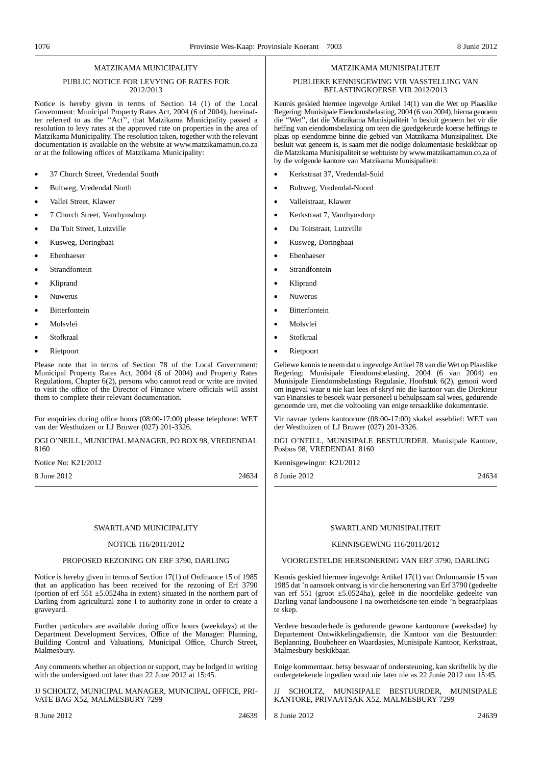## MATZIKAMA MUNICIPALITY

### PUBLIC NOTICE FOR LEVYING OF RATES FOR 2012/2013

Notice is hereby given in terms of Section 14 (1) of the Local Government: Municipal Property Rates Act, 2004 (6 of 2004), hereinafter referred to as the ''Act'', that Matzikama Municipality passed a resolution to levy rates at the approved rate on properties in the area of Matzikama Municipality. The resolution taken, together with the relevant documentation is available on the website at www.matzikamamun.co.za or at the following offices of Matzikama Municipality:

- 37 Church Street, Vredendal South
- Bultweg, Vredendal North
- Vallei Street, Klawer
- 7 Church Street, Vanrhynsdorp
- Du Toit Street, Lutzville
- Kusweg, Doringbaai
- Ebenhaeser
- **Strandfontein**
- Kliprand
- Nuwerus
- Bitterfontein
- Molsvlei
- Stofkraal
- Rietpoort

Please note that in terms of Section 78 of the Local Government: Municipal Property Rates Act, 2004 (6 of 2004) and Property Rates Regulations, Chapter 6(2), persons who cannot read or write are invited to visit the office of the Director of Finance where officials will assist them to complete their relevant documentation.

For enquiries during office hours (08:00-17:00) please telephone: WET van der Westhuizen or LJ Bruwer (027) 201-3326.

DGI O'NEILL, MUNICIPAL MANAGER, PO BOX 98, VREDENDAL 8160

Notice No: K21/2012

8 June 2012 24634

#### SWARTLAND MUNICIPALITY

#### NOTICE 116/2011/2012

### PROPOSED REZONING ON ERF 3790, DARLING

Notice is hereby given in terms of Section 17(1) of Ordinance 15 of 1985 that an application has been received for the rezoning of Erf 3790 (portion of erf  $551 \pm 5.0524$ ha in extent) situated in the northern part of Darling from agricultural zone I to authority zone in order to create a graveyard.

Further particulars are available during office hours (weekdays) at the Department Development Services, Office of the Manager: Planning, Building Control and Valuations, Municipal Office, Church Street, Malmesbury.

Any comments whether an objection or support, may be lodged in writing with the undersigned not later than 22 June 2012 at 15:45.

JJ SCHOLTZ, MUNICIPAL MANAGER, MUNICIPAL OFFICE, PRI-VATE BAG X52, MALMESBURY 7299

#### MATZIKAMA MUNISIPALITEIT

#### PUBLIEKE KENNISGEWING VIR VASSTELLING VAN BELASTINGKOERSE VIR 2012/2013

Kennis geskied hiermee ingevolge Artikel 14(1) van die Wet op Plaaslike Regering: Munisipale Eiendomsbelasting, 2004 (6 van 2004), hierna genoem die ''Wet'', dat die Matzikama Munisipaliteit 'n besluit geneem het vir die heffing van eiendomsbelasting om teen die goedgekeurde koerse heffings te plaas op eiendomme binne die gebied van Matzikama Munisipaliteit. Die besluit wat geneem is, is saam met die nodige dokumentasie beskikbaar op die Matzikama Munisipaliteit se webtuiste by www.matzikamamun.co.za of by die volgende kantore van Matzikama Munisipaliteit:

- Kerkstraat 37, Vredendal-Suid
- Bultweg, Vredendal-Noord
	- Valleistraat, Klawer
- Kerkstraat 7, Vanrhynsdorp
- Du Toitstraat, Lutzville
- Kusweg, Doringbaai
- Ebenhaeser
- **Strandfontein**
- Kliprand
- Nuwerus
- Bitterfontein
- Molsvlei
- Stofkraal
- Rietpoort

Geliewe kennis te neem dat u ingevolgeArtikel 78 van die Wet op Plaaslike Regering: Munisipale Eiendomsbelasting, 2004 (6 van 2004) en Munisipale Eiendomsbelastings Regulasie, Hoofstuk 6(2), genooi word om ingeval waar u nie kan lees of skryf nie die kantoor van die Direkteur van Finansies te besoek waar personeel u behulpsaam sal wees, gedurende genoemde ure, met die voltooiing van enige tersaaklike dokumentasie.

Vir navrae tydens kantoorure (08:00-17:00) skakel asseblief: WET van der Westhuizen of LJ Bruwer (027) 201-3326.

DGI O'NEILL, MUNISIPALE BESTUURDER, Munisipale Kantore, Posbus 98, VREDENDAL 8160

Kennisgewingnr: K21/2012

8 Junie 2012 24634

### SWARTLAND MUNISIPALITEIT

## KENNISGEWING 116/2011/2012

VOORGESTELDE HERSONERING VAN ERF 3790, DARLING

Kennis geskied hiermee ingevolge Artikel 17(1) van Ordonnansie 15 van 1985 dat 'n aansoek ontvang is vir die hersonering van Erf 3790 (gedeelte van erf 551 (groot ±5.0524ha), geleë in die noordelike gedeelte van Darling vanaf landbousone I na owerheidsone ten einde 'n begraafplaas te skep.

Verdere besonderhede is gedurende gewone kantoorure (weeksdae) by Departement Ontwikkelingsdienste, die Kantoor van die Bestuurder: Beplanning, Boubeheer en Waardasies, Munisipale Kantoor, Kerkstraat, Malmesbury beskikbaar.

Enige kommentaar, hetsy beswaar of ondersteuning, kan skriftelik by die ondergetekende ingedien word nie later nie as 22 Junie 2012 om 15:45.

SCHOLTZ, MUNISIPALE BESTUURDER, MUNISIPALE KANTORE, PRIVAATSAK X52, MALMESBURY 7299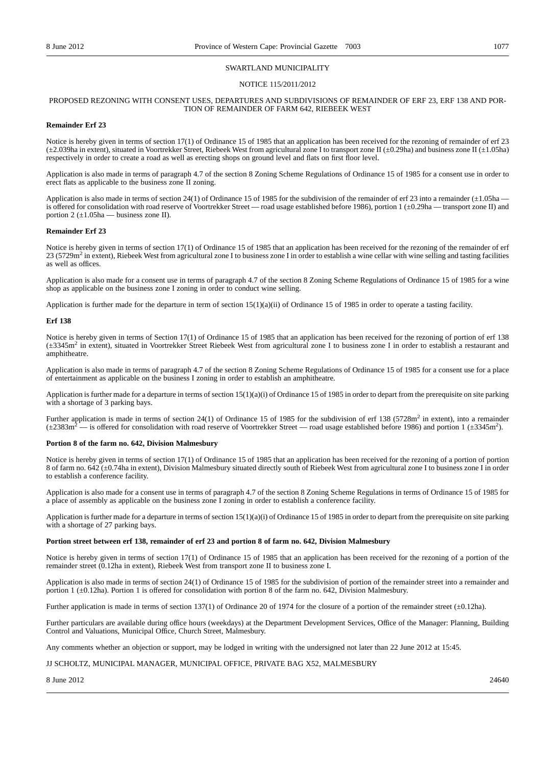#### SWARTLAND MUNICIPALITY

### NOTICE 115/2011/2012

#### PROPOSED REZONING WITH CONSENT USES, DEPARTURES AND SUBDIVISIONS OF REMAINDER OF ERF 23, ERF 138 AND POR-TION OF REMAINDER OF FARM 642, RIEBEEK WEST

#### **Remainder Erf 23**

Notice is hereby given in terms of section 17(1) of Ordinance 15 of 1985 that an application has been received for the rezoning of remainder of erf 23  $(\pm 2.039)$ ha in extent), situated in Voortrekker Street, Riebeek West from agricultural zone I to transport zone II  $(\pm 0.29)$ ha) and business zone II  $(\pm 1.05)$ ha) respectively in order to create a road as well as erecting shops on ground level and flats on first floor level.

Application is also made in terms of paragraph 4.7 of the section 8 Zoning Scheme Regulations of Ordinance 15 of 1985 for a consent use in order to erect flats as applicable to the business zone II zoning.

Application is also made in terms of section 24(1) of Ordinance 15 of 1985 for the subdivision of the remainder of erf 23 into a remainder  $(\pm 1.05$ ha is offered for consolidation with road reserve of Voortrekker Street — road usage established before 1986), portion 1 (±0.29ha — transport zone II) and portion 2  $(\pm 1.05ha$  — business zone II).

#### **Remainder Erf 23**

Notice is hereby given in terms of section 17(1) of Ordinance 15 of 1985 that an application has been received for the rezoning of the remainder of erf 23 (5729m<sup>2</sup> in extent), Riebeek West from agricultural zone I to business zone I in order to establish a wine cellar with wine selling and tasting facilities as well as offices.

Application is also made for a consent use in terms of paragraph 4.7 of the section 8 Zoning Scheme Regulations of Ordinance 15 of 1985 for a wine shop as applicable on the business zone I zoning in order to conduct wine selling.

Application is further made for the departure in term of section  $15(1)(a)(ii)$  of Ordinance 15 of 1985 in order to operate a tasting facility.

#### **Erf 138**

Notice is hereby given in terms of Section 17(1) of Ordinance 15 of 1985 that an application has been received for the rezoning of portion of erf 138 (±3345m2 in extent), situated in Voortrekker Street Riebeek West from agricultural zone I to business zone I in order to establish a restaurant and amphitheatre.

Application is also made in terms of paragraph 4.7 of the section 8 Zoning Scheme Regulations of Ordinance 15 of 1985 for a consent use for a place of entertainment as applicable on the business I zoning in order to establish an amphitheatre.

Application is further made for a departure in terms of section  $15(1)(a)(i)$  of Ordinance 15 of 1985 in order to depart from the prerequisite on site parking with a shortage of 3 parking bays.

Further application is made in terms of section 24(1) of Ordinance 15 of 1985 for the subdivision of erf 138 (5728m<sup>2</sup> in extent), into a remainder  $(\pm 2383 \text{m}^2 - \text{is offered for consolidation with road reserve of Voortrekker Street - road usage established before 1986) and portion 1 (\pm 3345 \text{m}^2).$ 

#### **Portion 8 of the farm no. 642, Division Malmesbury**

Notice is hereby given in terms of section 17(1) of Ordinance 15 of 1985 that an application has been received for the rezoning of a portion of portion 8 of farm no. 642 (±0.74ha in extent), Division Malmesbury situated directly south of Riebeek West from agricultural zone I to business zone I in order to establish a conference facility.

Application is also made for a consent use in terms of paragraph 4.7 of the section 8 Zoning Scheme Regulations in terms of Ordinance 15 of 1985 for a place of assembly as applicable on the business zone I zoning in order to establish a conference facility.

Application is further made for a departure in terms of section  $15(1)(a)(i)$  of Ordinance 15 of 1985 in order to depart from the prerequisite on site parking with a shortage of 27 parking bays.

#### **Portion street between erf 138, remainder of erf 23 and portion 8 of farm no. 642, Division Malmesbury**

Notice is hereby given in terms of section 17(1) of Ordinance 15 of 1985 that an application has been received for the rezoning of a portion of the remainder street (0.12ha in extent), Riebeek West from transport zone II to business zone I.

Application is also made in terms of section 24(1) of Ordinance 15 of 1985 for the subdivision of portion of the remainder street into a remainder and portion 1 (±0.12ha). Portion 1 is offered for consolidation with portion 8 of the farm no. 642, Division Malmesbury.

Further application is made in terms of section 137(1) of Ordinance 20 of 1974 for the closure of a portion of the remainder street ( $\pm$ 0.12ha).

Further particulars are available during office hours (weekdays) at the Department Development Services, Office of the Manager: Planning, Building Control and Valuations, Municipal Office, Church Street, Malmesbury.

Any comments whether an objection or support, may be lodged in writing with the undersigned not later than 22 June 2012 at 15:45.

### JJ SCHOLTZ, MUNICIPAL MANAGER, MUNICIPAL OFFICE, PRIVATE BAG X52, MALMESBURY

 $8 \text{ June } 2012$  24640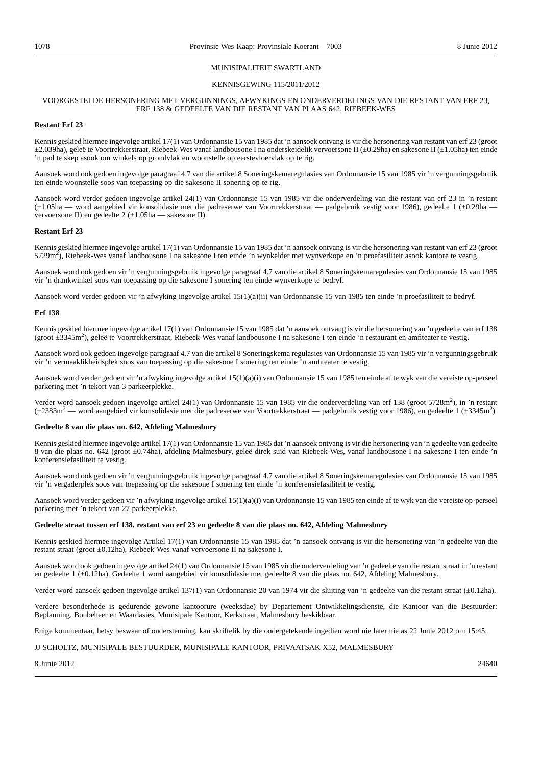#### MUNISIPALITEIT SWARTLAND

#### KENNISGEWING 115/2011/2012

#### VOORGESTELDE HERSONERING MET VERGUNNINGS, AFWYKINGS EN ONDERVERDELINGS VAN DIE RESTANT VAN ERF 23, ERF 138 & GEDEELTE VAN DIE RESTANT VAN PLAAS 642, RIEBEEK-WES

### **Restant Erf 23**

Kennis geskied hiermee ingevolge artikel 17(1) van Ordonnansie 15 van 1985 dat 'n aansoek ontvang is vir die hersonering van restant van erf 23 (groot ±2.039ha), geleë te Voortrekkerstraat, Riebeek-Wes vanaf landbousone I na onderskeidelik vervoersone II (±0.29ha) en sakesone II (±1.05ha) ten einde 'n pad te skep asook om winkels op grondvlak en woonstelle op eerstevloervlak op te rig.

Aansoek word ook gedoen ingevolge paragraaf 4.7 van die artikel 8 Soneringskemaregulasies van Ordonnansie 15 van 1985 vir 'n vergunningsgebruik ten einde woonstelle soos van toepassing op die sakesone II sonering op te rig.

Aansoek word verder gedoen ingevolge artikel 24(1) van Ordonnansie 15 van 1985 vir die onderverdeling van die restant van erf 23 in 'n restant (±1.05ha — word aangebied vir konsolidasie met die padreserwe van Voortrekkerstraat — padgebruik vestig voor 1986), gedeelte 1 (±0.29ha vervoersone II) en gedeelte 2 (±1.05ha — sakesone II).

#### **Restant Erf 23**

Kennis geskied hiermee ingevolge artikel 17(1) van Ordonnansie 15 van 1985 dat 'n aansoek ontvang is vir die hersonering van restant van erf 23 (groot 5729m<sup>2</sup> ), Riebeek-Wes vanaf landbousone I na sakesone I ten einde 'n wynkelder met wynverkope en 'n proefasiliteit asook kantore te vestig.

Aansoek word ook gedoen vir 'n vergunningsgebruik ingevolge paragraaf 4.7 van die artikel 8 Soneringskemaregulasies van Ordonnansie 15 van 1985 vir 'n drankwinkel soos van toepassing op die sakesone I sonering ten einde wynverkope te bedryf.

Aansoek word verder gedoen vir 'n afwyking ingevolge artikel 15(1)(a)(ii) van Ordonnansie 15 van 1985 ten einde 'n proefasiliteit te bedryf.

#### **Erf 138**

Kennis geskied hiermee ingevolge artikel 17(1) van Ordonnansie 15 van 1985 dat 'n aansoek ontvang is vir die hersonering van 'n gedeelte van erf 138 (groot ±3345m2 ), geleë te Voortrekkerstraat, Riebeek-Wes vanaf landbousone I na sakesone I ten einde 'n restaurant en amfiteater te vestig.

Aansoek word ook gedoen ingevolge paragraaf 4.7 van die artikel 8 Soneringskema regulasies van Ordonnansie 15 van 1985 vir 'n vergunningsgebruik vir 'n vermaaklikheidsplek soos van toepassing op die sakesone I sonering ten einde 'n amfiteater te vestig.

Aansoek word verder gedoen vir 'n afwyking ingevolge artikel 15(1)(a)(i) van Ordonnansie 15 van 1985 ten einde af te wyk van die vereiste op-perseel parkering met 'n tekort van 3 parkeerplekke.

Verder word aansoek gedoen ingevolge artikel 24(1) van Ordonnansie 15 van 1985 vir die onderverdeling van erf 138 (groot 5728m<sup>2</sup>), in 'n restant (±2383m<sup>2</sup> — word aangebied vir konsolidasie met die padreserwe van Voortrekkerstraat — padgebruik vestig voor 1986), en gedeelte 1 (±3345m2 )

#### **Gedeelte 8 van die plaas no. 642, Afdeling Malmesbury**

Kennis geskied hiermee ingevolge artikel 17(1) van Ordonnansie 15 van 1985 dat 'n aansoek ontvang is vir die hersonering van 'n gedeelte van gedeelte 8 van die plaas no. 642 (groot ±0.74ha), afdeling Malmesbury, geleë direk suid van Riebeek-Wes, vanaf landbousone I na sakesone I ten einde 'n konferensiefasiliteit te vestig.

Aansoek word ook gedoen vir 'n vergunningsgebruik ingevolge paragraaf 4.7 van die artikel 8 Soneringskemaregulasies van Ordonnansie 15 van 1985 vir 'n vergaderplek soos van toepassing op die sakesone I sonering ten einde 'n konferensiefasiliteit te vestig.

Aansoek word verder gedoen vir 'n afwyking ingevolge artikel 15(1)(a)(i) van Ordonnansie 15 van 1985 ten einde af te wyk van die vereiste op-perseel parkering met 'n tekort van 27 parkeerplekke.

#### **Gedeelte straat tussen erf 138, restant van erf 23 en gedeelte 8 van die plaas no. 642, Afdeling Malmesbury**

Kennis geskied hiermee ingevolge Artikel 17(1) van Ordonnansie 15 van 1985 dat 'n aansoek ontvang is vir die hersonering van 'n gedeelte van die restant straat (groot ±0.12ha), Riebeek-Wes vanaf vervoersone II na sakesone I.

Aansoek word ook gedoen ingevolge artikel 24(1) van Ordonnansie 15 van 1985 vir die onderverdeling van 'n gedeelte van die restant straat in 'n restant en gedeelte 1 (±0.12ha). Gedeelte 1 word aangebied vir konsolidasie met gedeelte 8 van die plaas no. 642, Afdeling Malmesbury.

Verder word aansoek gedoen ingevolge artikel 137(1) van Ordonnansie 20 van 1974 vir die sluiting van 'n gedeelte van die restant straat (±0.12ha).

Verdere besonderhede is gedurende gewone kantoorure (weeksdae) by Departement Ontwikkelingsdienste, die Kantoor van die Bestuurder: Beplanning, Boubeheer en Waardasies, Munisipale Kantoor, Kerkstraat, Malmesbury beskikbaar.

Enige kommentaar, hetsy beswaar of ondersteuning, kan skriftelik by die ondergetekende ingedien word nie later nie as 22 Junie 2012 om 15:45.

#### JJ SCHOLTZ, MUNISIPALE BESTUURDER, MUNISIPALE KANTOOR, PRIVAATSAK X52, MALMESBURY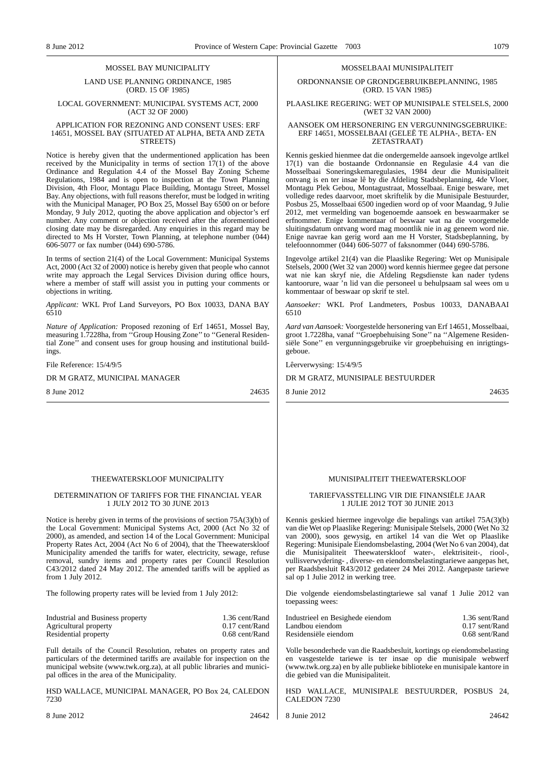#### MOSSEL BAY MUNICIPALITY

LAND USE PLANNING ORDINANCE, 1985 (ORD. 15 OF 1985)

### LOCAL GOVERNMENT: MUNICIPAL SYSTEMS ACT, 2000 (ACT 32 OF 2000)

#### APPLICATION FOR REZONING AND CONSENT USES: ERF 14651, MOSSEL BAY (SITUATED AT ALPHA, BETA AND ZETA STREETS)

Notice is hereby given that the undermentioned application has been received by the Municipality in terms of section  $17(1)$  of the above Ordinance and Regulation 4.4 of the Mossel Bay Zoning Scheme Regulations, 1984 and is open to inspection at the Town Planning Division, 4th Floor, Montagu Place Building, Montagu Street, Mossel Bay. Any objections, with full reasons therefor, must be lodged in writing with the Municipal Manager, PO Box 25, Mossel Bay 6500 on or before Monday, 9 July 2012, quoting the above application and objector's erf number. Any comment or objection received after the aforementioned closing date may be disregarded. Any enquiries in this regard may be directed to Ms H Vorster, Town Planning, at telephone number (044) 606-5077 or fax number (044) 690-5786.

In terms of section 21(4) of the Local Government: Municipal Systems Act, 2000 (Act 32 of 2000) notice is hereby given that people who cannot write may approach the Legal Services Division during office hours, where a member of staff will assist you in putting your comments or objections in writing.

*Applicant:* WKL Prof Land Surveyors, PO Box 10033, DANA BAY 6510

*Nature of Application:* Proposed rezoning of Erf 14651, Mossel Bay, measuring 1.7228ha, from "Group Housing Zone" to "General Residential Zone'' and consent uses for group housing and institutional buildings.

File Reference: 15/4/9/5

DR M GRATZ, MUNICIPAL MANAGER

8 June 2012 24635

#### THEEWATERSKLOOF MUNICIPALITY

#### DETERMINATION OF TARIFFS FOR THE FINANCIAL YEAR 1 JULY 2012 TO 30 JUNE 2013

Notice is hereby given in terms of the provisions of section 75A(3)(b) of the Local Government: Municipal Systems Act, 2000 (Act No 32 of 2000), as amended, and section 14 of the Local Government: Municipal Property Rates Act, 2004 (Act No 6 of 2004), that the Theewaterskloof Municipality amended the tariffs for water, electricity, sewage, refuse removal, sundry items and property rates per Council Resolution C43/2012 dated 24 May 2012. The amended tariffs will be applied as from 1 July 2012.

The following property rates will be levied from 1 July 2012:

| Industrial and Business property | 1.36 cent/Rand |
|----------------------------------|----------------|
| Agricultural property            | 0.17 cent/Rand |
| Residential property             | 0.68 cent/Rand |

Full details of the Council Resolution, rebates on property rates and particulars of the determined tariffs are available for inspection on the municipal website (www.twk.org.za), at all public libraries and municipal offices in the area of the Municipality.

HSD WALLACE, MUNICIPAL MANAGER, PO Box 24, CALEDON 7230

8 June 2012 24642

#### MOSSELBAAI MUNISIPALITEIT

ORDONNANSIE OP GRONDGEBRUIKBEPLANNING, 1985 (ORD. 15 VAN 1985)

PLAASLIKE REGERING: WET OP MUNISIPALE STELSELS, 2000 (WET 32 VAN 2000)

#### AANSOEK OM HERSONERING EN VERGUNNINGSGEBRUIKE: ERF 14651, MOSSELBAAI (GELEË TE ALPHA-, BETA- EN ZETASTRAAT)

Kennis geskied hienmee dat die ondergemelde aansoek ingevolge artlkel 17(1) van die bostaande Ordonnansie en Regulasie 4.4 van die Mosselbaai Soneringskemaregulasies, 1984 deur die Munisipaliteit ontvang is en ter insae lê by die Afdeling Stadsbeplanning, 4de Vloer, Montagu Plek Gebou, Montagustraat, Mosselbaai. Enige besware, met volledige redes daarvoor, moet skriftelik by die Munisipale Bestuurder, Posbus 25, Mosselbaai 6500 ingedien word op of voor Maandag, 9 Julie 2012, met vermelding van bogenoemde aansoek en beswaarmaker se erfnommer. Enige kommentaar of beswaar wat na die voorgemelde sluitingsdatum ontvang word mag moontlik nie in ag geneem word nie. Enige navrae kan gerig word aan me H Vorster, Stadsbeplanning, by telefoonnommer (044) 606-5077 of faksnommer (044) 690-5786.

Ingevolge artikel 21(4) van die Plaaslike Regering: Wet op Munisipale Stelsels, 2000 (Wet 32 van 2000) word kennis hiermee gegee dat persone wat nie kan skryf nie, die Afdeling Regsdienste kan nader tydens kantoorure, waar 'n lid van die personeel u behulpsaam sal wees om u kommentaar of beswaar op skrif te stel.

*Aansoeker:* WKL Prof Landmeters, Posbus 10033, DANABAAI 6510

*Aard van Aansoek:* Voorgestelde hersonering van Erf 14651, Mosselbaai, groot 1.7228ha, vanaf ''Groepbehuising Sone'' na ''Algemene Residensiële Sone'' en vergunningsgebruike vir groepbehuising en inrigtingsgeboue.

Lêerverwysing: 15/4/9/5

DR M GRATZ, MUNISIPALE BESTUURDER

8 Junie 2012 24635

### MUNISIPALITEIT THEEWATERSKLOOF

#### TARIEFVASSTELLING VIR DIE FINANSIËLE JAAR 1 JULIE 2012 TOT 30 JUNIE 2013

Kennis geskied hiermee ingevolge die bepalings van artikel 75A(3)(b) van die Wet op Plaaslike Regering: Munisipale Stelsels, 2000 (Wet No 32 van 2000), soos gewysig, en artikel 14 van die Wet op Plaaslike Regering: Munisipale Eiendomsbelasting, 2004 (Wet No 6 van 2004), dat die Munisipaliteit Theewaterskloof water-, elektrisiteit-, riool-, vullisverwydering- , diverse- en eiendomsbelastingtariewe aangepas het, per Raadsbesluit R43/2012 gedateer 24 Mei 2012. Aangepaste tariewe sal op 1 Julie 2012 in werking tree.

Die volgende eiendomsbelastingtariewe sal vanaf 1 Julie 2012 van toepassing wees:

| Industrieel en Besighede eiendom | 1.36 sent/Rand   |
|----------------------------------|------------------|
| Landbou eiendom                  | $0.17$ sent/Rand |
| Residensiële eiendom             | $0.68$ sent/Rand |

Volle besonderhede van die Raadsbesluit, kortings op eiendomsbelasting en vasgestelde tariewe is ter insae op die munisipale webwerf (www.twk.org.za) en by alle publieke biblioteke en munisipale kantore in die gebied van die Munisipaliteit.

HSD WALLACE, MUNISIPALE BESTUURDER, POSBUS 24, CALEDON 7230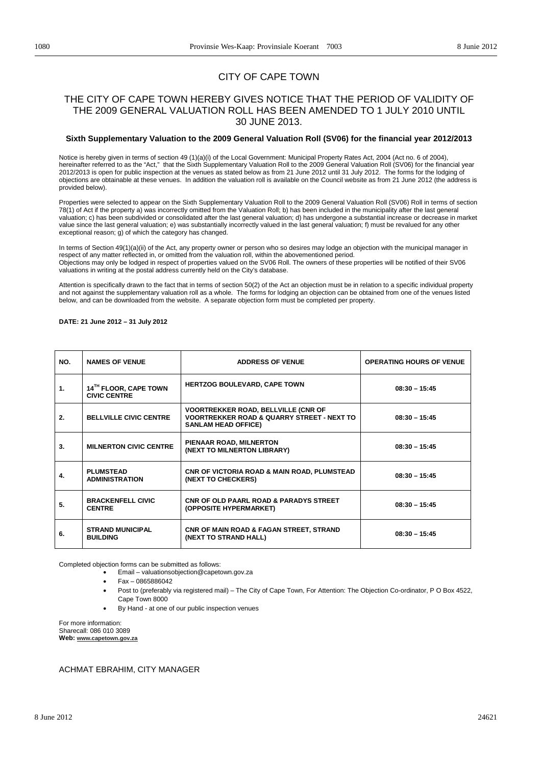## CITY OF CAPE TOWN

## THE CITY OF CAPE TOWN HEREBY GIVES NOTICE THAT THE PERIOD OF VALIDITY OF THE 2009 GENERAL VALUATION ROLL HAS BEEN AMENDED TO 1 JULY 2010 UNTIL 30 JUNE 2013.

## **Sixth Supplementary Valuation to the 2009 General Valuation Roll (SV06) for the financial year 2012/2013**

Notice is hereby given in terms of section 49 (1)(a)(i) of the Local Government: Municipal Property Rates Act, 2004 (Act no. 6 of 2004), hereinafter referred to as the "Act," that the Sixth Supplementary Valuation Roll to the 2009 General Valuation Roll (SV06) for the financial year 2012/2013 is open for public inspection at the venues as stated below as from 21 June 2012 until 31 July 2012. The forms for the lodging of objections are obtainable at these venues. In addition the valuation roll is available on the Council website as from 21 June 2012 (the address is provided below).

Properties were selected to appear on the Sixth Supplementary Valuation Roll to the 2009 General Valuation Roll (SV06) Roll in terms of section 78(1) of Act if the property a) was incorrectly omitted from the Valuation Roll; b) has been included in the municipality after the last general valuation; c) has been subdivided or consolidated after the last general valuation; d) has undergone a substantial increase or decrease in market value since the last general valuation; e) was substantially incorrectly valued in the last general valuation; f) must be revalued for any other exceptional reason; g) of which the category has changed.

In terms of Section 49(1)(a)(ii) of the Act, any property owner or person who so desires may lodge an objection with the municipal manager in respect of any matter reflected in, or omitted from the valuation roll, within the abovementioned period. Objections may only be lodged in respect of properties valued on the SV06 Roll. The owners of these properties will be notified of their SV06 valuations in writing at the postal address currently held on the City's database.

Attention is specifically drawn to the fact that in terms of section 50(2) of the Act an objection must be in relation to a specific individual property and not against the supplementary valuation roll as a whole. The forms for lodging an objection can be obtained from one of the venues listed below, and can be downloaded from the website. A separate objection form must be completed per property.

**DATE: 21 June 2012 – 31 July 2012** 

| NO. | <b>NAMES OF VENUE</b>                        | <b>ADDRESS OF VENUE</b>                                                                                                           | <b>OPERATING HOURS OF VENUE</b> |
|-----|----------------------------------------------|-----------------------------------------------------------------------------------------------------------------------------------|---------------------------------|
| 1.  | 14TH FLOOR, CAPE TOWN<br><b>CIVIC CENTRE</b> | <b>HERTZOG BOULEVARD, CAPE TOWN</b>                                                                                               | $08:30 - 15:45$                 |
| 2.  | <b>BELLVILLE CIVIC CENTRE</b>                | <b>VOORTREKKER ROAD, BELLVILLE (CNR OF</b><br><b>VOORTREKKER ROAD &amp; QUARRY STREET - NEXT TO</b><br><b>SANLAM HEAD OFFICE)</b> | $08:30 - 15:45$                 |
| 3.  | <b>MILNERTON CIVIC CENTRE</b>                | PIENAAR ROAD, MILNERTON<br>(NEXT TO MILNERTON LIBRARY)                                                                            | $08:30 - 15:45$                 |
| 4.  | <b>PLUMSTEAD</b><br><b>ADMINISTRATION</b>    | <b>CNR OF VICTORIA ROAD &amp; MAIN ROAD, PLUMSTEAD</b><br>(NEXT TO CHECKERS)                                                      | $08:30 - 15:45$                 |
| 5.  | <b>BRACKENFELL CIVIC</b><br><b>CENTRE</b>    | CNR OF OLD PAARL ROAD & PARADYS STREET<br>(OPPOSITE HYPERMARKET)                                                                  | $08:30 - 15:45$                 |
| 6.  | <b>STRAND MUNICIPAL</b><br><b>BUILDING</b>   | <b>CNR OF MAIN ROAD &amp; FAGAN STREET, STRAND</b><br>(NEXT TO STRAND HALL)                                                       | $08:30 - 15:45$                 |

Completed objection forms can be submitted as follows:

- Email valuationsobjection@capetown.gov.za
- x Fax 0865886042
- Post to (preferably via registered mail) The City of Cape Town, For Attention: The Objection Co-ordinator, P O Box 4522, Cape Town 8000
- By Hand at one of our public inspection venues

**Web: www.capetown.gov.za** For more information: Sharecall: 086 010 3089

ACHMAT EBRAHIM, CITY MANAGER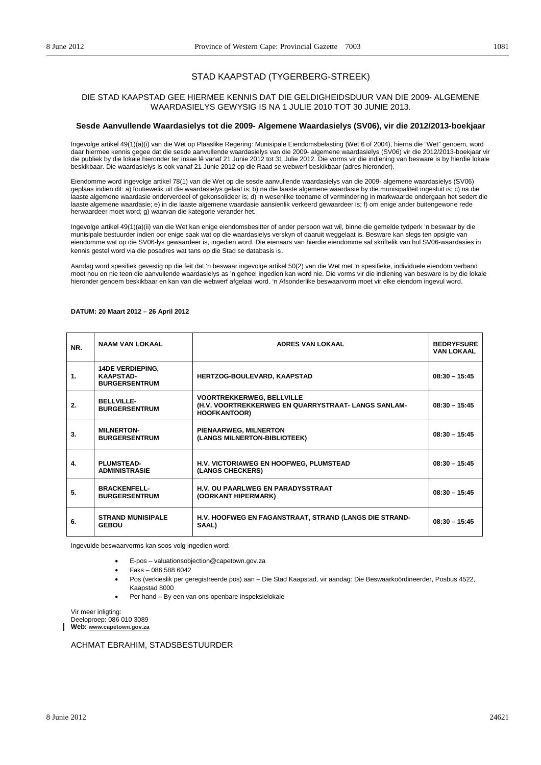## STAD KAAPSTAD (TYGERBERG-STREEK)

## DIE STAD KAAPSTAD GEE HIERMEE KENNIS DAT DIE GELDIGHEIDSDUUR VAN DIE 2009- ALGEMENE WAARDASIELYS GEWYSIG IS NA 1 JULIE 2010 TOT 30 JUNIE 2013.

## **Sesde Aanvullende Waardasielys tot die 2009- Algemene Waardasielys (SV06), vir die 2012/2013-boekjaar**

Ingevolge artikel 49(1)(a)(i) van die Wet op Plaaslike Regering: Munisipale Eiendomsbelasting (Wet 6 of 2004), hierna die "Wet" genoem, word daar hiermee kennis gegee dat die sesde aanvullende waardasielys van die 2009- algemene waardasielys (SV06) vir die 2012/2013-boekjaar vir die publiek by die lokale hieronder ter insae lê vanaf 21 Junie 2012 tot 31 Julie 2012. Die vorms vir die indiening van besware is by hierdie lokale beskikbaar. Die waardasielys is ook vanaf 21 Junie 2012 op die Raad se webwerf beskikbaar (adres hieronder).

Eiendomme word ingevolge artikel 78(1) van die Wet op die sesde aanvullende waardasielys van die 2009- algemene waardasielys (SV06) geplaas indien dit: a) foutiewelik uit die waardasielys gelaat is; b) na die laaste algemene waardasie by die munisipaliteit ingesluit is; c) na die laaste algemene waardasie onderverdeel of gekonsolideer is; d) 'n wesenlike toename of vermindering in markwaarde ondergaan het sedert die laaste algemene waardasie; e) in die laaste algemene waardasie aansienlik verkeerd gewaardeer is; f) om enige ander buitengewone rede herwaardeer moet word; g) waarvan die kategorie verander het.

Ingevolge artikel 49(1)(a)(ii) van die Wet kan enige eiendomsbesitter of ander persoon wat wil, binne die gemelde tydperk 'n beswaar by die munisipale bestuurder indien oor enige saak wat op die waardasielys verskyn of daaruit weggelaat is. Besware kan slegs ten opsigte van eiendomme wat op die SV06-lys gewaardeer is, ingedien word. Die eienaars van hierdie eiendomme sal skriftelik van hul SV06-waardasies in kennis gestel word via die posadres wat tans op die Stad se databasis is.

Aandag word spesifiek gevestig op die feit dat 'n beswaar ingevolge artikel 50(2) van die Wet met 'n spesifieke, individuele eiendom verband moet hou en nie teen die aanvullende waardasielys as 'n geheel ingedien kan word nie. Die vorms vir die indiening van besware is by die lokale hieronder genoem beskikbaar en kan van die webwerf afgelaai word. 'n Afsonderlike beswaarvorm moet vir elke eiendom ingevul word.

| NR.           | <b>NAAM VAN LOKAAL</b>                                              | <b>ADRES VAN LOKAAL</b>                                                                                       | <b>BEDRYFSURE</b><br><b>VAN LOKAAL</b> |
|---------------|---------------------------------------------------------------------|---------------------------------------------------------------------------------------------------------------|----------------------------------------|
| $\mathbf 1$ . | <b>14DE VERDIEPING,</b><br><b>KAAPSTAD-</b><br><b>BURGERSENTRUM</b> | HERTZOG-BOULEVARD, KAAPSTAD                                                                                   | $08:30 - 15:45$                        |
| 2.            | <b>BELLVILLE-</b><br><b>BURGERSENTRUM</b>                           | <b>VOORTREKKERWEG, BELLVILLE</b><br>(H.V. VOORTREKKERWEG EN QUARRYSTRAAT-LANGS SANLAM-<br><b>HOOFKANTOOR)</b> | $08:30 - 15:45$                        |
| 3.            | <b>MILNERTON-</b><br><b>BURGERSENTRUM</b>                           | PIENAARWEG, MILNERTON<br>(LANGS MILNERTON-BIBLIOTEEK)                                                         | $08:30 - 15:45$                        |
| 4.            | <b>PLUMSTEAD-</b><br><b>ADMINISTRASIE</b>                           | H.V. VICTORIAWEG EN HOOFWEG, PLUMSTEAD<br>(LANGS CHECKERS)                                                    | $08:30 - 15:45$                        |
| 5.            | <b>BRACKENFELL-</b><br><b>BURGERSENTRUM</b>                         | <b>H.V. OU PAARLWEG EN PARADYSSTRAAT</b><br>(OORKANT HIPERMARK)                                               | $08:30 - 15:45$                        |
| 6.            | <b>STRAND MUNISIPALE</b><br><b>GEBOU</b>                            | <b>H.V. HOOFWEG EN FAGANSTRAAT, STRAND (LANGS DIE STRAND-</b><br>SAAL)                                        | $08:30 - 15:45$                        |

#### **DATUM: 20 Maart 2012 – 26 April 2012**

Ingevulde beswaarvorms kan soos volg ingedien word:

- x E-pos valuationsobjection@capetown.gov.za
- x Faks 086 588 6042
- Pos (verkieslik per geregistreerde pos) aan Die Stad Kaapstad, vir aandag: Die Beswaarkoördineerder, Posbus 4522, Kaapstad 8000
- Per hand By een van ons openbare inspeksielokale

**Web: www.capetown.gov.za** Vir meer inligting: Deeloproep: 086 010 3089

ACHMAT EBRAHIM, STADSBESTUURDER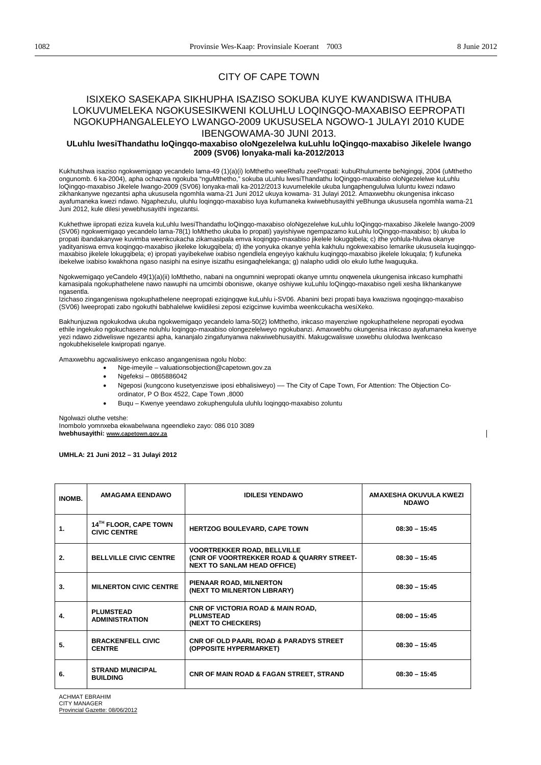$\overline{\phantom{a}}$ 

## CITY OF CAPE TOWN

## ISIXEKO SASEKAPA SIKHUPHA ISAZISO SOKUBA KUYE KWANDISWA ITHUBA LOKUVUMELEKA NGOKUSESIKWENI KOLUHLU LOQINGQO-MAXABISO EEPROPATI NGOKUPHANGALELEYO LWANGO-2009 UKUSUSELA NGOWO-1 JULAYI 2010 KUDE IBENGOWAMA-30 JUNI 2013.

## **ULuhlu lwesiThandathu loQingqo-maxabiso oloNgezelelwa kuLuhlu loQingqo-maxabiso Jikelele lwango 2009 (SV06) lonyaka-mali ka-2012/2013**

Kukhutshwa isaziso ngokwemigaqo yecandelo lama-49 (1)(a)(i) loMthetho weeRhafu zeePropati: kubuRhulumente beNgingqi, 2004 (uMthetho ongunomb. 6 ka-2004), apha ochazwa ngokuba "nguMthetho," sokuba uLuhlu lwesiThandathu loQingqo-maxabiso oloNgezelelwe kuLuhlu loQingqo-maxabiso Jikelele lwango-2009 (SV06) lonyaka-mali ka-2012/2013 kuvumelekile ukuba lungaphengululwa luluntu kwezi ndawo zikhankanywe ngezantsi apha ukususela ngomhla wama-21 Juni 2012 ukuya kowama- 31 Julayi 2012. Amaxwebhu okungenisa inkcaso ayafumaneka kwezi ndawo. Ngaphezulu, uluhlu loqingqo-maxabiso luya kufumaneka kwiwebhusayithi yeBhunga ukususela ngomhla wama-21 Juni 2012, kule dilesi yewebhusayithi ingezantsi.

Kukhethwe iipropati eziza kuvela kuLuhlu lwesiThandathu loQingqo-maxabiso oloNgezelelwe kuLuhlu loQingqo-maxabiso Jikelele lwango-2009 (SV06) ngokwemigaqo yecandelo lama-78(1) loMthetho ukuba lo propati) yayishiywe ngempazamo kuLuhlu loQingqo-maxabiso; b) ukuba lo propati ibandakanywe kuvimba weenkcukacha zikamasipala emva koqingqo-maxabiso jikelele lokugqibela; c) ithe yohlula-hlulwa okanye yadityaniswa emva koqingqo-maxabiso jikeleke lokugqibela; d) ithe yonyuka okanye yehla kakhulu ngokwexabiso lemarike ukususela kuqingqomaxabiso jikelele lokugqibela; e) ipropati yayibekelwe ixabiso ngendlela engeyiyo kakhulu kuqingqo-maxabiso jikelele lokuqala; f) kufuneka ibekelwe ixabiso kwakhona ngaso nasiphi na esinye isizathu esingaqhelekanga; g) nalapho udidi olo ekulo luthe lwaguquka.

Ngokwemigaqo yeCandelo 49(1)(a)(ii) loMthetho, nabani na ongumnini wepropati okanye umntu onqwenela ukungenisa inkcaso kumphathi kamasipala ngokuphathelene nawo nawuphi na umcimbi oboniswe, okanye oshiywe kuLuhlu loQingqo-maxabiso ngeli xesha likhankanywe ngasentla.

Izichaso zingangeniswa ngokuphathelene neepropati eziqingqwe kuLuhlu i-SV06. Abanini bezi propati baya kwaziswa ngoqingqo-maxabiso (SV06) lweepropati zabo ngokuthi babhalelwe kwiidilesi zeposi ezigcinwe kuvimba weenkcukacha wesiXeko.

Bakhunjuzwa ngokukodwa ukuba ngokwemigaqo yecandelo lama-50(2) loMthetho, inkcaso mayenziwe ngokuphathelene nepropati eyodwa ethile ingekuko ngokuchasene noluhlu loqingqo-maxabiso olongezelelweyo ngokubanzi. Amaxwebhu okungenisa inkcaso ayafumaneka kwenye yezi ndawo zidweliswe ngezantsi apha, kananjalo zingafunyanwa nakwiwebhusayithi. Makugcwaliswe uxwebhu olulodwa lwenkcaso ngokubhekiselele kwipropati nganye.

Amaxwebhu agcwalisiweyo enkcaso angangeniswa ngolu hlobo:

- x Nge-imeyile valuationsobjection@capetown.gov.za
- $\bullet$  Ngefeksi 0865886042
- Ngeposi (kungcono kusetyenziswe iposi ebhalisiweyo) The City of Cape Town, For Attention: The Objection Coordinator, P O Box 4522, Cape Town ,8000
- x Buqu Kwenye yeendawo zokuphengulula uluhlu loqingqo-maxabiso zoluntu

Ngolwazi oluthe vetshe:

**Iwebhusayithi: www.capetown.gov.za** Inombolo yomnxeba ekwabelwana ngeendleko zayo: 086 010 3089

**UMHLA: 21 Juni 2012 – 31 Julayi 2012** 

| INOMB. | <b>AMAGAMA EENDAWO</b>                       | <b>IDILESI YENDAWO</b>                                                                                                | AMAXESHA OKUVULA KWEZI<br><b>NDAWO</b> |
|--------|----------------------------------------------|-----------------------------------------------------------------------------------------------------------------------|----------------------------------------|
| 1.     | 14TH FLOOR, CAPE TOWN<br><b>CIVIC CENTRE</b> | <b>HERTZOG BOULEVARD, CAPE TOWN</b>                                                                                   | $08:30 - 15:45$                        |
| 2.     | <b>BELLVILLE CIVIC CENTRE</b>                | <b>VOORTREKKER ROAD, BELLVILLE</b><br>(CNR OF VOORTREKKER ROAD & QUARRY STREET-<br><b>NEXT TO SANLAM HEAD OFFICE)</b> | $08:30 - 15:45$                        |
| 3.     | <b>MILNERTON CIVIC CENTRE</b>                | PIENAAR ROAD, MILNERTON<br>(NEXT TO MILNERTON LIBRARY)                                                                | $08:30 - 15:45$                        |
| 4.     | <b>PLUMSTEAD</b><br><b>ADMINISTRATION</b>    | <b>CNR OF VICTORIA ROAD &amp; MAIN ROAD,</b><br><b>PLUMSTEAD</b><br>(NEXT TO CHECKERS)                                | $08:00 - 15:45$                        |
| 5.     | <b>BRACKENFELL CIVIC</b><br><b>CENTRE</b>    | <b>CNR OF OLD PAARL ROAD &amp; PARADYS STREET</b><br>(OPPOSITE HYPERMARKET)                                           | $08:30 - 15:45$                        |
| 6.     | <b>STRAND MUNICIPAL</b><br><b>BUILDING</b>   | <b>CNR OF MAIN ROAD &amp; FAGAN STREET, STRAND</b>                                                                    | $08:30 - 15:45$                        |

ACHMAT EBRAHIM CITY MANAGER Provincial Gazette: 08/06/2012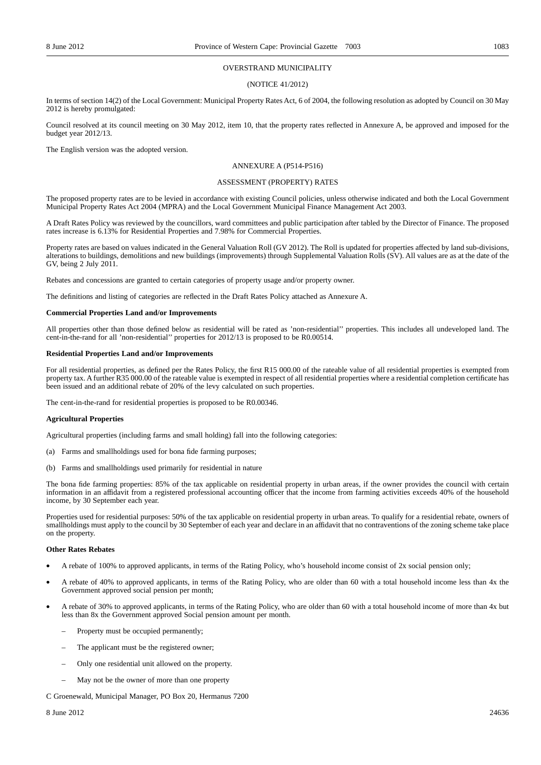#### OVERSTRAND MUNICIPALITY

#### (NOTICE 41/2012)

In terms of section 14(2) of the Local Government: Municipal Property Rates Act, 6 of 2004, the following resolution as adopted by Council on 30 May 2012 is hereby promulgated:

Council resolved at its council meeting on 30 May 2012, item 10, that the property rates reflected in Annexure A, be approved and imposed for the budget year 2012/13.

The English version was the adopted version.

## ANNEXURE A (P514-P516)

#### ASSESSMENT (PROPERTY) RATES

The proposed property rates are to be levied in accordance with existing Council policies, unless otherwise indicated and both the Local Government Municipal Property Rates Act 2004 (MPRA) and the Local Government Municipal Finance Management Act 2003.

A Draft Rates Policy was reviewed by the councillors, ward committees and public participation after tabled by the Director of Finance. The proposed rates increase is 6.13% for Residential Properties and 7.98% for Commercial Properties.

Property rates are based on values indicated in the General Valuation Roll (GV 2012). The Roll is updated for properties affected by land sub-divisions, alterations to buildings, demolitions and new buildings (improvements) through Supplemental Valuation Rolls (SV). All values are as at the date of the GV, being 2 July 2011.

Rebates and concessions are granted to certain categories of property usage and/or property owner.

The definitions and listing of categories are reflected in the Draft Rates Policy attached as Annexure A.

#### **Commercial Properties Land and/or Improvements**

All properties other than those defined below as residential will be rated as 'non-residential'' properties. This includes all undeveloped land. The cent-in-the-rand for all 'non-residential'' properties for 2012/13 is proposed to be R0.00514.

#### **Residential Properties Land and/or Improvements**

For all residential properties, as defined per the Rates Policy, the first R15 000.00 of the rateable value of all residential properties is exempted from property tax. A further R35 000.00 of the rateable value is exempted in respect of all residential properties where a residential completion certificate has been issued and an additional rebate of 20% of the levy calculated on such properties.

The cent-in-the-rand for residential properties is proposed to be R0.00346.

#### **Agricultural Properties**

Agricultural properties (including farms and small holding) fall into the following categories:

- (a) Farms and smallholdings used for bona fide farming purposes;
- (b) Farms and smallholdings used primarily for residential in nature

The bona fide farming properties: 85% of the tax applicable on residential property in urban areas, if the owner provides the council with certain information in an affidavit from a registered professional accounting officer that the income from farming activities exceeds 40% of the household income, by 30 September each year.

Properties used for residential purposes: 50% of the tax applicable on residential property in urban areas. To qualify for a residential rebate, owners of smallholdings must apply to the council by 30 September of each year and declare in an affidavit that no contraventions of the zoning scheme take place on the property.

#### **Other Rates Rebates**

- A rebate of 100% to approved applicants, in terms of the Rating Policy, who's household income consist of 2x social pension only;
- A rebate of 40% to approved applicants, in terms of the Rating Policy, who are older than 60 with a total household income less than 4x the Government approved social pension per month;
- A rebate of 30% to approved applicants, in terms of the Rating Policy, who are older than 60 with a total household income of more than 4x but less than 8x the Government approved Social pension amount per month.
	- Property must be occupied permanently;
	- The applicant must be the registered owner;
	- Only one residential unit allowed on the property.
	- May not be the owner of more than one property

C Groenewald, Municipal Manager, PO Box 20, Hermanus 7200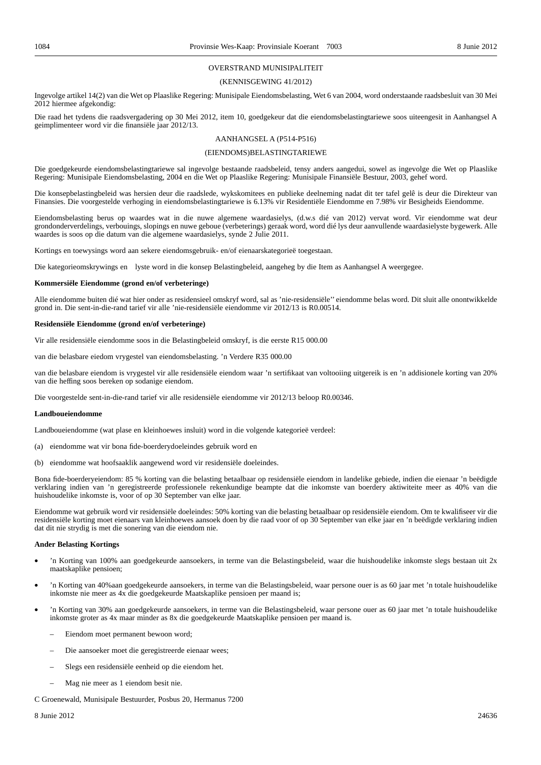#### OVERSTRAND MUNISIPALITEIT

#### (KENNISGEWING 41/2012)

Ingevolge artikel 14(2) van die Wet op Plaaslike Regering: Munisipale Eiendomsbelasting, Wet 6 van 2004, word onderstaande raadsbesluit van 30 Mei 2012 hiermee afgekondig:

Die raad het tydens die raadsvergadering op 30 Mei 2012, item 10, goedgekeur dat die eiendomsbelastingtariewe soos uiteengesit in Aanhangsel A geimplimenteer word vir die finansiële jaar 2012/13.

#### AANHANGSEL A (P514-P516)

#### (EIENDOMS)BELASTINGTARIEWE

Die goedgekeurde eiendomsbelastingtariewe sal ingevolge bestaande raadsbeleid, tensy anders aangedui, sowel as ingevolge die Wet op Plaaslike Regering: Munisipale Eiendomsbelasting, 2004 en die Wet op Plaaslike Regering: Munisipale Finansiële Bestuur, 2003, gehef word.

Die konsepbelastingbeleid was hersien deur die raadslede, wykskomitees en publieke deelneming nadat dit ter tafel gelê is deur die Direkteur van Finansies. Die voorgestelde verhoging in eiendomsbelastingtariewe is 6.13% vir Residentiële Eiendomme en 7.98% vir Besigheids Eiendomme.

Eiendomsbelasting berus op waardes wat in die nuwe algemene waardasielys, (d.w.s dié van 2012) vervat word. Vir eiendomme wat deur grondonderverdelings, verbouings, slopings en nuwe geboue (verbeterings) geraak word, word dié lys deur aanvullende waardasielyste bygewerk. Alle waardes is soos op die datum van die algemene waardasielys, synde 2 Julie 2011.

Kortings en toewysings word aan sekere eiendomsgebruik- en/of eienaarskategorieë toegestaan.

Die kategorieomskrywings en lyste word in die konsep Belastingbeleid, aangeheg by die Item as Aanhangsel A weergegee.

#### **Kommersiële Eiendomme (grond en/of verbeteringe)**

Alle eiendomme buiten dié wat hier onder as residensieel omskryf word, sal as 'nie-residensiële'' eiendomme belas word. Dit sluit alle onontwikkelde grond in. Die sent-in-die-rand tarief vir alle 'nie-residensiële eiendomme vir 2012/13 is R0.00514.

#### **Residensiële Eiendomme (grond en/of verbeteringe)**

Vir alle residensiële eiendomme soos in die Belastingbeleid omskryf, is die eerste R15 000.00

van die belasbare eiedom vrygestel van eiendomsbelasting. 'n Verdere R35 000.00

van die belasbare eiendom is vrygestel vir alle residensiële eiendom waar 'n sertifikaat van voltooiing uitgereik is en 'n addisionele korting van 20% van die heffing soos bereken op sodanige eiendom.

Die voorgestelde sent-in-die-rand tarief vir alle residensiële eiendomme vir 2012/13 beloop R0.00346.

#### **Landboueiendomme**

Landboueiendomme (wat plase en kleinhoewes insluit) word in die volgende kategorieë verdeel:

- (a) eiendomme wat vir bona fide-boerderydoeleindes gebruik word en
- (b) eiendomme wat hoofsaaklik aangewend word vir residensiële doeleindes.

Bona fide-boerderyeiendom: 85 % korting van die belasting betaalbaar op residensiële eiendom in landelike gebiede, indien die eienaar 'n beëdigde verklaring indien van 'n geregistreerde professionele rekenkundige beampte dat die inkomste van boerdery aktiwiteite meer as 40% van die huishoudelike inkomste is, voor of op 30 September van elke jaar.

Eiendomme wat gebruik word vir residensiële doeleindes: 50% korting van die belasting betaalbaar op residensiële eiendom. Om te kwalifiseer vir die residensiële korting moet eienaars van kleinhoewes aansoek doen by die raad voor of op 30 September van elke jaar en 'n beëdigde verklaring indien dat dit nie strydig is met die sonering van die eiendom nie.

#### **Ander Belasting Kortings**

- 'n Korting van 100% aan goedgekeurde aansoekers, in terme van die Belastingsbeleid, waar die huishoudelike inkomste slegs bestaan uit 2x maatskaplike pensioen;
- 'n Korting van 40%aan goedgekeurde aansoekers, in terme van die Belastingsbeleid, waar persone ouer is as 60 jaar met 'n totale huishoudelike inkomste nie meer as 4x die goedgekeurde Maatskaplike pensioen per maand is;
- 'n Korting van 30% aan goedgekeurde aansoekers, in terme van die Belastingsbeleid, waar persone ouer as 60 jaar met 'n totale huishoudelike inkomste groter as 4x maar minder as 8x die goedgekeurde Maatskaplike pensioen per maand is.
	- Eiendom moet permanent bewoon word;
	- Die aansoeker moet die geregistreerde eienaar wees;
	- Slegs een residensiële eenheid op die eiendom het.
	- Mag nie meer as 1 eiendom besit nie.

### C Groenewald, Munisipale Bestuurder, Posbus 20, Hermanus 7200

8 Junie 2012 24636 2002 2003 2004 2012 2023 2034 2046 2052 2053 2064 207 208 209 2005 2007 2008 2007 2008 201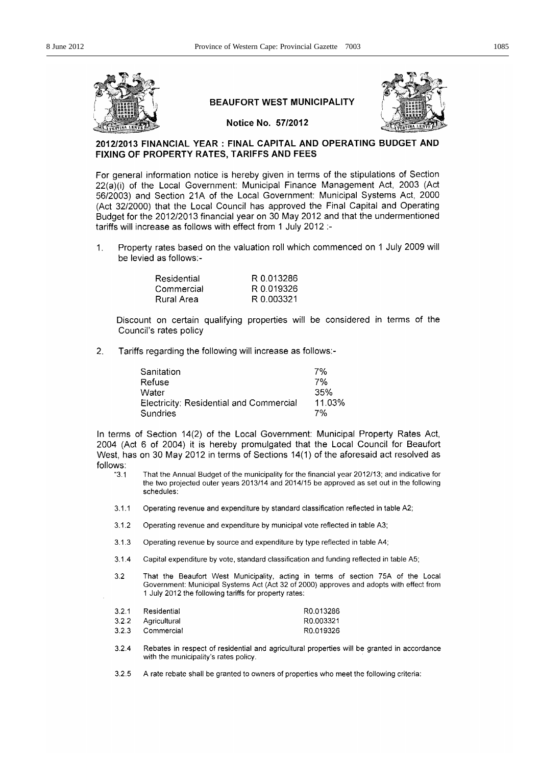

## **BEAUFORT WEST MUNICIPALITY**



Notice No. 57/2012

## 2012/2013 FINANCIAL YEAR : FINAL CAPITAL AND OPERATING BUDGET AND FIXING OF PROPERTY RATES, TARIFFS AND FEES

For general information notice is hereby given in terms of the stipulations of Section 22(a)(i) of the Local Government: Municipal Finance Management Act, 2003 (Act 56/2003) and Section 21A of the Local Government: Municipal Systems Act, 2000 (Act 32/2000) that the Local Council has approved the Final Capital and Operating Budget for the 2012/2013 financial year on 30 May 2012 and that the undermentioned tariffs will increase as follows with effect from 1 July 2012 :-

 $\mathbf{1}$ . Property rates based on the valuation roll which commenced on 1 July 2009 will be levied as follows:-

| Residential | R 0.013286 |
|-------------|------------|
| Commercial  | R 0.019326 |
| Rural Area  | R 0.003321 |

Discount on certain qualifying properties will be considered in terms of the Council's rates policy

 $2.$ Tariffs regarding the following will increase as follows:-

| Sanitation                              | 7%     |
|-----------------------------------------|--------|
| Refuse                                  | 7%     |
| Water                                   | 35%    |
| Electricity: Residential and Commercial | 11.03% |
| Sundries                                | 7%     |

In terms of Section 14(2) of the Local Government: Municipal Property Rates Act, 2004 (Act 6 of 2004) it is hereby promulgated that the Local Council for Beaufort West, has on 30 May 2012 in terms of Sections 14(1) of the aforesaid act resolved as follows:

- $"3.1"$ That the Annual Budget of the municipality for the financial year 2012/13; and indicative for the two projected outer years 2013/14 and 2014/15 be approved as set out in the following schedules:
- $3.1.1$ Operating revenue and expenditure by standard classification reflected in table A2;
- $3.1.2$ Operating revenue and expenditure by municipal vote reflected in table A3;
- Operating revenue by source and expenditure by type reflected in table A4;  $3.1.3$
- $3.1.4$ Capital expenditure by vote, standard classification and funding reflected in table A5;
- $3.2$ That the Beaufort West Municipality, acting in terms of section 75A of the Local Government: Municipal Systems Act (Act 32 of 2000) approves and adopts with effect from 1 July 2012 the following tariffs for property rates:

| 3.2.1 | Residential        | R0.013286 |
|-------|--------------------|-----------|
|       | 3.2.2 Agricultural | R0.003321 |
| 3.2.3 | Commercial         | R0.019326 |

324 Rebates in respect of residential and agricultural properties will be granted in accordance with the municipality's rates policy.

325 A rate rebate shall be granted to owners of properties who meet the following criteria: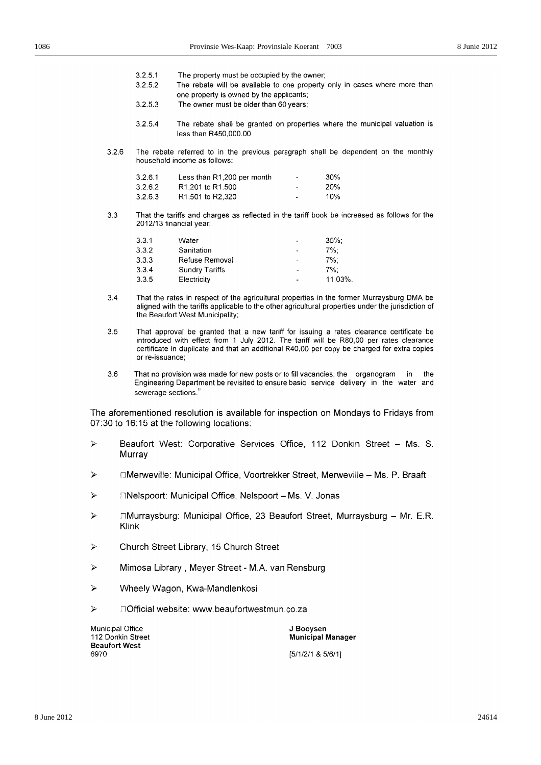- $3.2.5.1$ The property must be occupied by the owner;
- $3.2.5.2$ The rebate will be available to one property only in cases where more than one property is owned by the applicants;
- $3.2.5.3$ The owner must be older than 60 years;
- $3254$ The rebate shall be granted on properties where the municipal valuation is less than R450,000.00
- $326$ The rebate referred to in the previous paragraph shall be dependent on the monthly household income as follows:

| 3.2.6.1 | Less than R1,200 per month                 | $\blacksquare$           | -30% |
|---------|--------------------------------------------|--------------------------|------|
| 3.2.6.2 | R <sub>1</sub> ,201 to R <sub>1</sub> ,500 | $\overline{\phantom{0}}$ | 20%  |
| 3.2.6.3 | R <sub>1.501</sub> to R <sub>2.320</sub>   |                          | 10%  |

 $3.3$ That the tariffs and charges as reflected in the tariff book be increased as follows for the 2012/13 financial year:

| 3.3.1 | Water                 | -                            | $35\%$  |
|-------|-----------------------|------------------------------|---------|
| 3.3.2 | Sanitation            | $\overline{\phantom{a}}$     | 7%:     |
| 3.3.3 | Refuse Removal        | $\overline{\phantom{a}}$     | 7%∶     |
| 3.3.4 | <b>Sundry Tariffs</b> | $\qquad \qquad \blacksquare$ | 7%:     |
| 3.3.5 | Electricity           | $\overline{\phantom{a}}$     | 11.03%. |
|       |                       |                              |         |

- $3.4$ That the rates in respect of the agricultural properties in the former Murraysburg DMA be aligned with the tariffs applicable to the other agricultural properties under the jurisdiction of the Beaufort West Municipality:
- $3.5$ That approval be granted that a new tariff for issuing a rates clearance certificate be introduced with effect from 1 July 2012. The tariff will be R80,00 per rates clearance certificate in duplicate and that an additional R40,00 per copy be charged for extra copies or re-issuance:
- $3.6$ That no provision was made for new posts or to fill vacancies, the organogram in. the Engineering Department be revisited to ensure basic service delivery in the water and sewerage sections."

The aforementioned resolution is available for inspection on Mondays to Fridays from 07:30 to 16:15 at the following locations:

- $\blacktriangleright$ Beaufort West: Corporative Services Office, 112 Donkin Street - Ms. S. Murrav
- □Merweville: Municipal Office, Voortrekker Street, Merweville Ms. P. Braaft  $\blacktriangleright$
- $\tilde{\mathcal{L}}$ □Nelspoort: Municipal Office, Nelspoort - Ms. V. Jonas
- □Murraysburg: Municipal Office, 23 Beaufort Street, Murraysburg Mr. E.R. Δ Klink
- Church Street Library, 15 Church Street  $\triangleright$
- $\triangleright$ Mimosa Library, Meyer Street - M.A. van Rensburg
- $\triangleright$ Wheely Wagon, Kwa-Mandlenkosi
- $\blacktriangleright$ □ Official website: www.beaufortwestmun.co.za

| Municipal Office  | J Booysen                |
|-------------------|--------------------------|
| 112 Donkin Street | <b>Municipal Manager</b> |
| Beaufort West     |                          |
| 6970              | [5/1/2/1 & 5/6/1]        |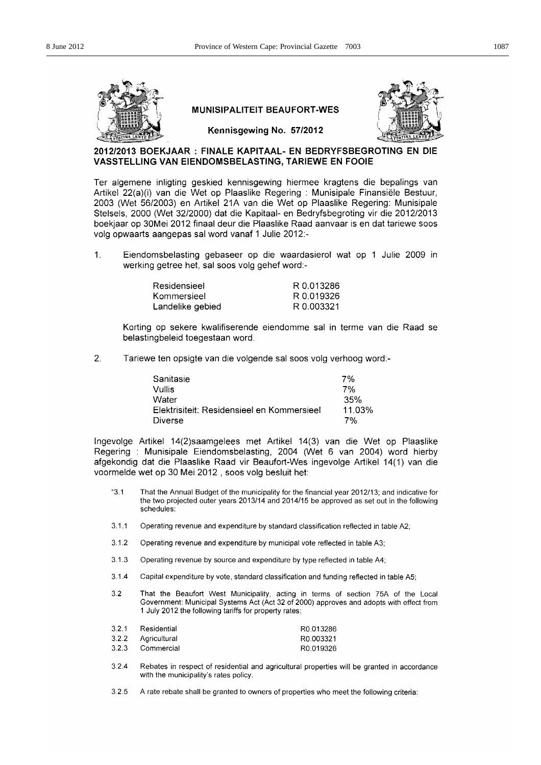

## **MUNISIPALITEIT BEAUFORT-WES**



Kennisgewing No. 57/2012

## 2012/2013 BOEKJAAR: FINALE KAPITAAL- EN BEDRYFSBEGROTING EN DIE VASSTELLING VAN EIENDOMSBELASTING, TARIEWE EN FOOIE

Ter algemene inligting geskied kennisgewing hiermee kragtens die bepalings van Artikel 22(a)(i) van die Wet op Plaaslike Regering : Munisipale Finansiële Bestuur, 2003 (Wet 56/2003) en Artikel 21A van die Wet op Plaaslike Regering: Munisipale Stelsels, 2000 (Wet 32/2000) dat die Kapitaal- en Bedryfsbegroting vir die 2012/2013 boekjaar op 30Mei 2012 finaal deur die Plaaslike Raad aanvaar is en dat tariewe soos volg opwaarts aangepas sal word vanaf 1 Julie 2012:-

 $\mathbf{1}$ . Eiendomsbelasting gebaseer op die waardasierol wat op 1 Julie 2009 in werking getree het, sal soos volg gehef word:-

| Residensieel     | R 0.013286 |
|------------------|------------|
| Kommersieel      | R 0.019326 |
| Landelike gebied | R 0.003321 |

Korting op sekere kwalifiserende eiendomme sal in terme van die Raad se belastingbeleid toegestaan word.

 $2.$ Tariewe ten opsigte van die volgende sal soos volg verhoog word:-

| Sanitasie                                  | 7%     |
|--------------------------------------------|--------|
| Vullis                                     | 7%     |
| Water                                      | 35%    |
| Elektrisiteit: Residensieel en Kommersieel | 11.03% |
| Diverse                                    | 7%     |

Ingevolge Artikel 14(2)saamgelees met Artikel 14(3) van die Wet op Plaaslike Regering: Munisipale Eiendomsbelasting, 2004 (Wet 6 van 2004) word hierby afgekondig dat die Plaaslike Raad vir Beaufort-Wes ingevolge Artikel 14(1) van die voormelde wet op 30 Mei 2012, soos volg besluit het:

- $"3.1"$ That the Annual Budget of the municipality for the financial year 2012/13; and indicative for the two projected outer years 2013/14 and 2014/15 be approved as set out in the following schedules:
- $3.1.1$ Operating revenue and expenditure by standard classification reflected in table A2;
- $3.1.2$ Operating revenue and expenditure by municipal vote reflected in table A3;
- $3.1.3$ Operating revenue by source and expenditure by type reflected in table A4;
- $3.1.4$ Capital expenditure by vote, standard classification and funding reflected in table A5;
- $3.2$ That the Beaufort West Municipality, acting in terms of section 75A of the Local Government: Municipal Systems Act (Act 32 of 2000) approves and adopts with effect from 1 July 2012 the following tariffs for property rates:

| 3.2.1 | Residential        | R0.013286 |
|-------|--------------------|-----------|
|       | 3.2.2 Agricultural | R0.003321 |
| 3.2.3 | Commercial         | R0.019326 |

- $3.2.4$ Rebates in respect of residential and agricultural properties will be granted in accordance with the municipality's rates policy.
- $3.2.5$ A rate rebate shall be granted to owners of properties who meet the following criteria: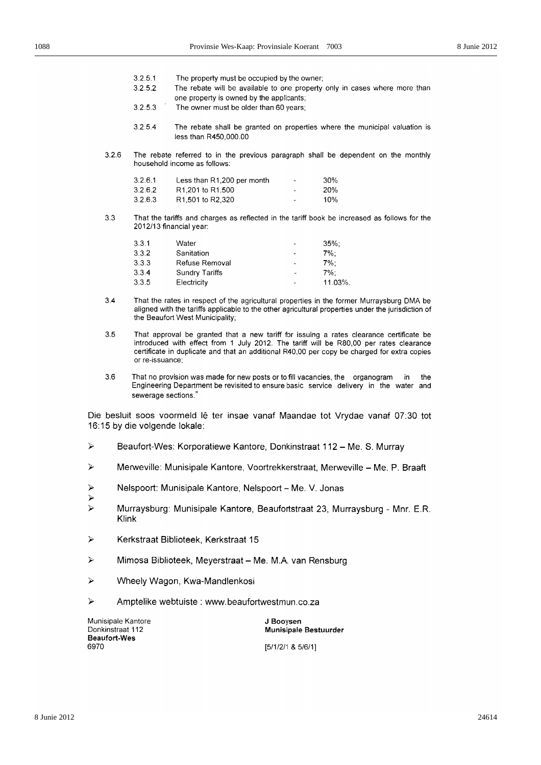- $3251$ The property must be occupied by the owner;
- The rebate will be available to one property only in cases where more than  $3.2.5.2$ one property is owned by the applicants;
- $3.2.5.3$ The owner must be older than 60 years:
- $3.2.5.4$ The rebate shall be granted on properties where the municipal valuation is less than R450,000.00
- $3.2.6$ The rebate referred to in the previous paragraph shall be dependent on the monthly household income as follows:

| 3.2.6.1 | Less than R1,200 per month                 | $\overline{\phantom{0}}$ | 30% |
|---------|--------------------------------------------|--------------------------|-----|
| 3.2.6.2 | R <sub>1</sub> ,201 to R <sub>1</sub> ,500 | $\blacksquare$           | 20% |
| 3.2.6.3 | R <sub>1,501</sub> to R <sub>2</sub> ,320  | ۰                        | 10% |

 $3.3$ That the tariffs and charges as reflected in the tariff book be increased as follows for the 2012/13 financial year:

| 3.3.1 | Water                 | $\overline{\phantom{a}}$ | $35\%$ : |
|-------|-----------------------|--------------------------|----------|
| 3.3.2 | Sanitation            |                          | $7\%$ :  |
| 3.3.3 | Refuse Removal        | ٠                        | 7%:      |
| 3.3.4 | <b>Sundry Tariffs</b> | $\overline{\phantom{a}}$ | $7\%$ :  |
| 3.3.5 | Electricity           | $\overline{a}$           | 11.03%.  |

- $3.4$ That the rates in respect of the agricultural properties in the former Murraysburg DMA be aligned with the tariffs applicable to the other agricultural properties under the jurisdiction of the Beaufort West Municipality;
- $3.5$ That approval be granted that a new tariff for issuing a rates clearance certificate be introduced with effect from 1 July 2012. The tariff will be R80,00 per rates clearance certificate in duplicate and that an additional R40,00 per copy be charged for extra copies or re-issuance;
- $36$ That no provision was made for new posts or to fill vacancies, the organogram in the Engineering Department be revisited to ensure basic service delivery in the water and sewerage sections."

Die besluit soos voormeld lê ter insae vanaf Maandae tot Vrydae vanaf 07:30 tot 16:15 by die volgende lokale:

- $\blacktriangleright$ Beaufort-Wes: Korporatiewe Kantore, Donkinstraat 112 - Me. S. Murray
- Þ Merweville: Munisipale Kantore, Voortrekkerstraat, Merweville - Me. P. Braaft
- Nelspoort: Munisipale Kantore, Nelspoort Me. V. Jonas Þ
- 
- Murraysburg: Munisipale Kantore, Beaufortstraat 23, Murraysburg Mnr. E.R. Þ Klink
- $\triangleright$ Kerkstraat Biblioteek, Kerkstraat 15
- $\overline{z}$ Mimosa Biblioteek, Meyerstraat - Me. M.A. van Rensburg
- $\overline{\mathbf{z}}$ Wheely Wagon, Kwa-Mandlenkosi
- Ź Amptelike webtuiste : www.beaufortwestmun.co.za

Munisipale Kantore Donkinstraat 112 **Beaufort-Wes** 6970

J Booysen Munisipale Bestuurder  $[5/1/2/1 8 5/6/1]$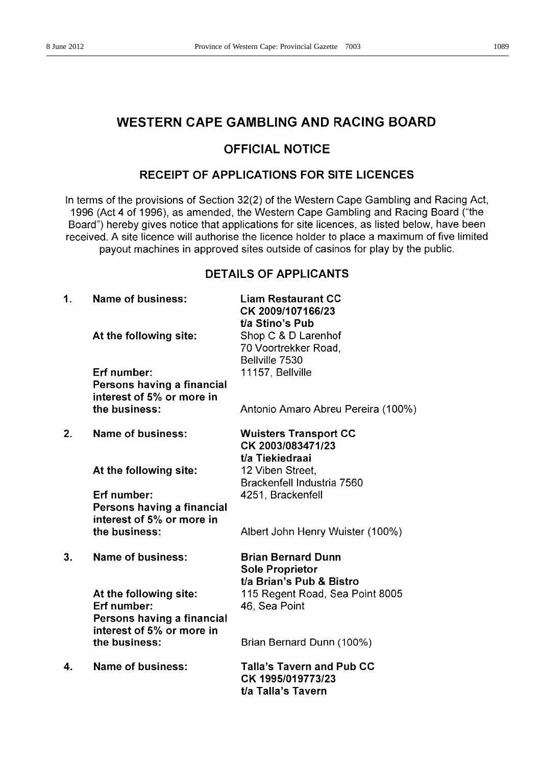## **WESTERN CAPE GAMBLING AND RACING BOARD**

## **OFFICIAL NOTICE**

## **RECEIPT OF APPLICATIONS FOR SITE LICENCES**

In terms of the provisions of Section 32(2) of the Western Cape Gambling and Racing Act, 1996 (Act 4 of 1996), as amended, the Western Cape Gambling and Racing Board ("the Board") hereby gives notice that applications for site licences, as listed below, have been received. A site licence will authorise the licence holder to place a maximum of five limited payout machines in approved sites outside of casinos for play by the public.

## **DETAILS OF APPLICANTS**

| 1. | <b>Name of business:</b>                                                                         | <b>Liam Restaurant CC</b><br>CK 2009/107166/23                                   |
|----|--------------------------------------------------------------------------------------------------|----------------------------------------------------------------------------------|
|    | At the following site:                                                                           | t/a Stino's Pub<br>Shop C & D Larenhof<br>70 Voortrekker Road,<br>Bellville 7530 |
|    | Erf number:<br>Persons having a financial<br>interest of 5% or more in                           | 11157, Bellville                                                                 |
|    | the business:                                                                                    | Antonio Amaro Abreu Pereira (100%)                                               |
| 2. | <b>Name of business:</b>                                                                         | <b>Wuisters Transport CC</b><br>CK 2003/083471/23<br>t/a Tiekiedraai             |
|    | At the following site:                                                                           | 12 Viben Street,<br>Brackenfell Industria 7560                                   |
|    | Erf number:<br>Persons having a financial<br>interest of 5% or more in                           | 4251, Brackenfell                                                                |
|    | the business:                                                                                    | Albert John Henry Wuister (100%)                                                 |
| 3. | Name of business:                                                                                | <b>Brian Bernard Dunn</b><br><b>Sole Proprietor</b><br>t/a Brian's Pub & Bistro  |
|    | At the following site:<br>Erf number:<br>Persons having a financial<br>interest of 5% or more in | 115 Regent Road, Sea Point 8005<br>46, Sea Point                                 |
|    | the business:                                                                                    | Brian Bernard Dunn (100%)                                                        |
| 4. | Name of business:                                                                                | <b>Talla's Tavern and Pub CC</b><br>CK 1995/019773/23<br>t/a Talla's Tavern      |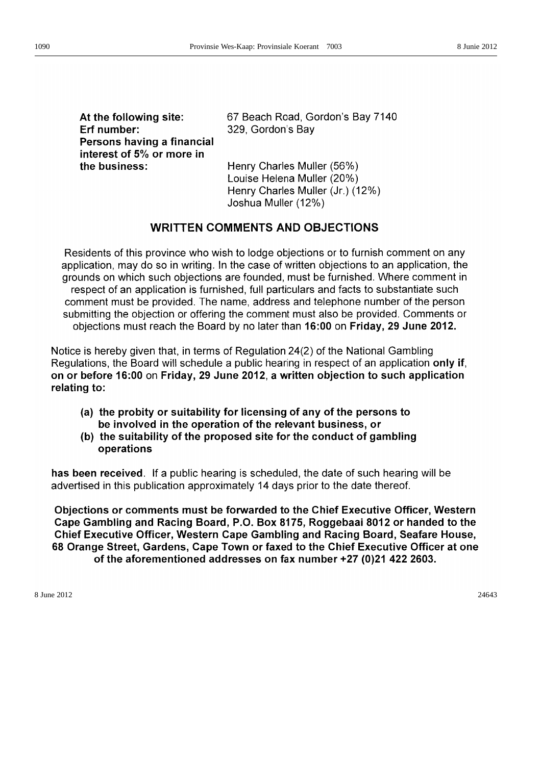At the following site: Erf number: Persons having a financial interest of 5% or more in the business:

67 Beach Road, Gordon's Bay 7140 329, Gordon's Bay

Henry Charles Muller (56%) Louise Helena Muller (20%) Henry Charles Muller (Jr.) (12%) Joshua Muller (12%)

## WRITTEN COMMENTS AND OBJECTIONS

Residents of this province who wish to lodge objections or to furnish comment on any application, may do so in writing. In the case of written objections to an application, the grounds on which such objections are founded, must be furnished. Where comment in respect of an application is furnished, full particulars and facts to substantiate such comment must be provided. The name, address and telephone number of the person submitting the objection or offering the comment must also be provided. Comments or objections must reach the Board by no later than 16:00 on Friday, 29 June 2012.

Notice is hereby given that, in terms of Regulation 24(2) of the National Gambling Regulations, the Board will schedule a public hearing in respect of an application only if, on or before 16:00 on Friday, 29 June 2012, a written objection to such application relating to:

- (a) the probity or suitability for licensing of any of the persons to be involved in the operation of the relevant business, or
- (b) the suitability of the proposed site for the conduct of gambling operations

has been received. If a public hearing is scheduled, the date of such hearing will be advertised in this publication approximately 14 days prior to the date thereof.

Objections or comments must be forwarded to the Chief Executive Officer, Western Cape Gambling and Racing Board, P.O. Box 8175, Roggebaai 8012 or handed to the Chief Executive Officer, Western Cape Gambling and Racing Board, Seafare House, 68 Orange Street, Gardens, Cape Town or faxed to the Chief Executive Officer at one of the aforementioned addresses on fax number +27 (0)21 422 2603.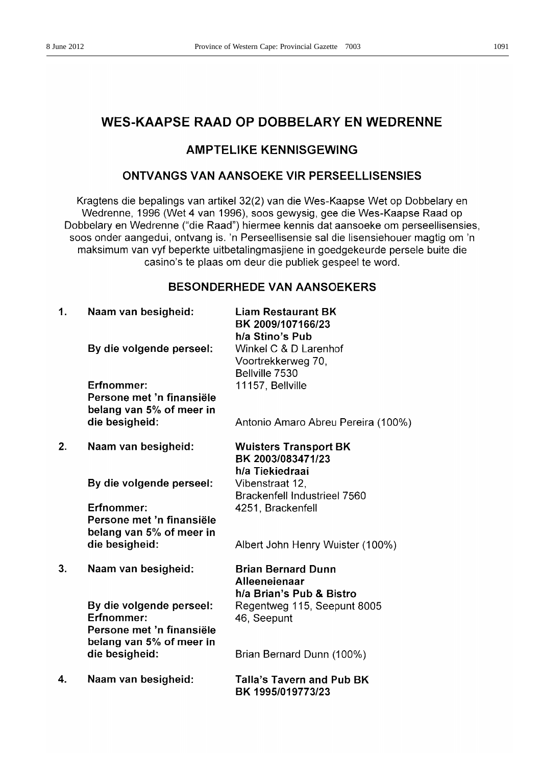## **WES-KAAPSE RAAD OP DOBBELARY EN WEDRENNE**

## **AMPTELIKE KENNISGEWING**

## **ONTVANGS VAN AANSOEKE VIR PERSEELLISENSIES**

Kragtens die bepalings van artikel 32(2) van die Wes-Kaapse Wet op Dobbelary en Wedrenne, 1996 (Wet 4 van 1996), soos gewysig, gee die Wes-Kaapse Raad op Dobbelary en Wedrenne ("die Raad") hiermee kennis dat aansoeke om perseellisensies, soos onder aangedui, ontvang is. 'n Perseellisensie sal die lisensiehouer magtig om 'n maksimum van vyf beperkte uitbetalingmasjiene in goedgekeurde persele buite die casino's te plaas om deur die publiek gespeel te word.

## **BESONDERHEDE VAN AANSOEKERS**

 $1.$ Naam van besigheid:

By die volgende perseel:

Frfnommer:

Persone met 'n finansiële belang van 5% of meer in die besigheid:

 $2<sub>1</sub>$ Naam van besigheid:

By die volgende perseel:

Erfnommer: Persone met 'n finansiële belang van 5% of meer in die besigheid:

 $3<sub>1</sub>$ Naam van besigheid:

> By die volgende perseel: Erfnommer: Persone met 'n finansiële belang van 5% of meer in die besigheid:

4. Naam van besigheid: **Liam Restaurant BK** BK 2009/107166/23 h/a Stino's Pub Winkel C & D Larenhof Voortrekkerweg 70, Bellville 7530 11157. Bellville

Antonio Amaro Abreu Pereira (100%)

**Wuisters Transport BK** BK 2003/083471/23 h/a Tiekiedraai Vibenstraat 12. Brackenfell Industrieel 7560 4251, Brackenfell

Albert John Henry Wuister (100%)

**Brian Bernard Dunn** Alleeneienaar h/a Brian's Pub & Bistro Regentweg 115, Seepunt 8005 46. Seepunt

Brian Bernard Dunn (100%)

**Talla's Tavern and Pub BK** BK 1995/019773/23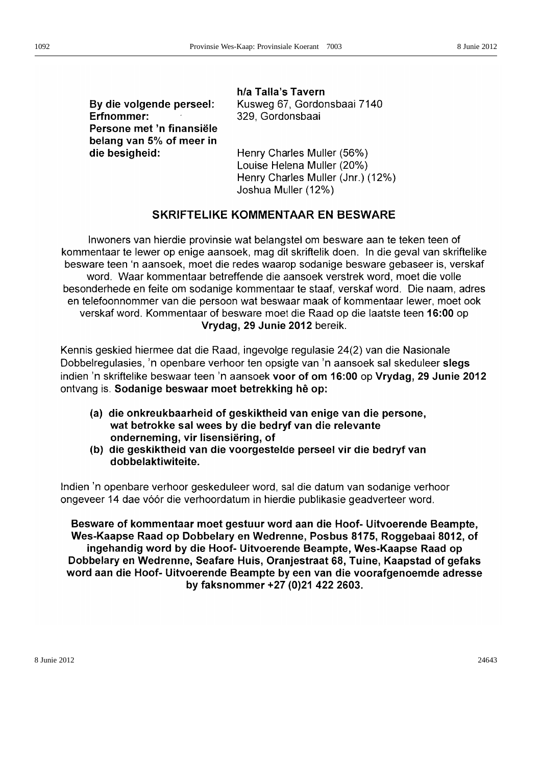By die volgende perseel: Erfnommer: Persone met 'n finansiële belang van 5% of meer in die besigheid:

h/a Talla's Tavern Kusweg 67, Gordonsbaai 7140 329. Gordonsbaai

Henry Charles Muller (56%) Louise Helena Muller (20%) Henry Charles Muller (Jnr.) (12%) Joshua Muller (12%)

## SKRIFTELIKE KOMMENTAAR EN BESWARE

Inwoners van hierdie provinsie wat belangstel om besware aan te teken teen of kommentaar te lewer op enige aansoek, mag dit skriftelik doen. In die geval van skriftelike besware teen 'n aansoek, moet die redes waarop sodanige besware gebaseer is, verskaf word. Waar kommentaar betreffende die aansoek verstrek word, moet die volle besonderhede en feite om sodanige kommentaar te staaf, verskaf word. Die naam, adres en telefoonnommer van die persoon wat beswaar maak of kommentaar lewer, moet ook verskaf word. Kommentaar of besware moet die Raad op die laatste teen 16:00 op Vrydag, 29 Junie 2012 bereik.

Kennis geskied hiermee dat die Raad, ingevolge regulasie 24(2) van die Nasionale Dobbelregulasies, 'n openbare verhoor ten opsigte van 'n aansoek sal skeduleer slegs indien 'n skriftelike beswaar teen 'n aansoek voor of om 16:00 op Vrydag, 29 Junie 2012 ontvang is. Sodanige beswaar moet betrekking hê op:

- (a) die onkreukbaarheid of geskiktheid van enige van die persone, wat betrokke sal wees by die bedryf van die relevante onderneming, vir lisensiëring, of
- (b) die geskiktheid van die voorgestelde perseel vir die bedryf van dobbelaktiwiteite.

Indien 'n openbare verhoor geskeduleer word, sal die datum van sodanige verhoor ongeveer 14 dae vóór die verhoordatum in hierdie publikasie geadverteer word.

Besware of kommentaar moet gestuur word aan die Hoof- Uitvoerende Beampte, Wes-Kaapse Raad op Dobbelary en Wedrenne, Posbus 8175, Roggebaai 8012, of ingehandig word by die Hoof- Uitvoerende Beampte, Wes-Kaapse Raad op Dobbelary en Wedrenne, Seafare Huis, Oranjestraat 68, Tuine, Kaapstad of gefaks word aan die Hoof- Uitvoerende Beampte by een van die voorafgenoemde adresse by faksnommer +27 (0)21 422 2603.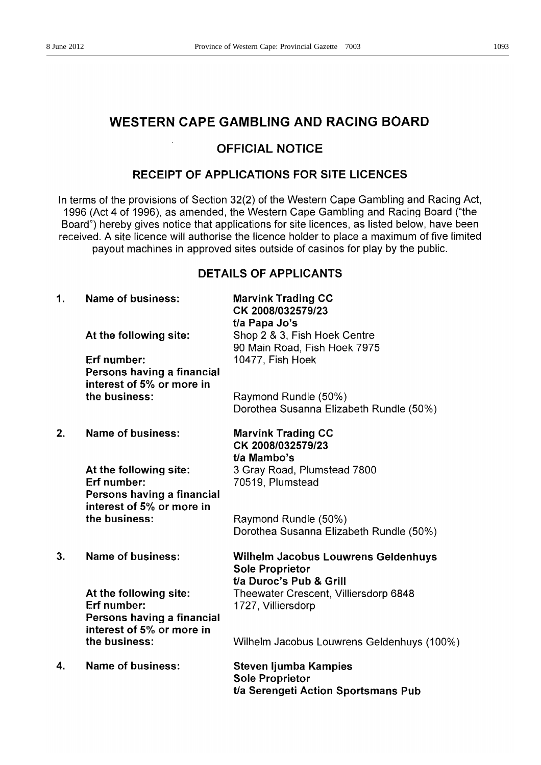## **WESTERN CAPE GAMBLING AND RACING BOARD**

## **OFFICIAL NOTICE**

## RECEIPT OF APPLICATIONS FOR SITE LICENCES

In terms of the provisions of Section 32(2) of the Western Cape Gambling and Racing Act, 1996 (Act 4 of 1996), as amended, the Western Cape Gambling and Racing Board ("the Board") hereby gives notice that applications for site licences, as listed below, have been received. A site licence will authorise the licence holder to place a maximum of five limited payout machines in approved sites outside of casinos for play by the public.

## **DETAILS OF APPLICANTS**

| 1. | <b>Name of business:</b>                                                                         | <b>Marvink Trading CC</b><br>CK 2008/032579/23<br>t/a Papa Jo's                               |
|----|--------------------------------------------------------------------------------------------------|-----------------------------------------------------------------------------------------------|
|    | At the following site:                                                                           | Shop 2 & 3, Fish Hoek Centre<br>90 Main Road, Fish Hoek 7975                                  |
|    | Erf number:<br>Persons having a financial<br>interest of 5% or more in                           | 10477, Fish Hoek                                                                              |
|    | the business:                                                                                    | Raymond Rundle (50%)<br>Dorothea Susanna Elizabeth Rundle (50%)                               |
| 2. | Name of business:                                                                                | <b>Marvink Trading CC</b><br>CK 2008/032579/23<br>t/a Mambo's                                 |
|    | At the following site:<br>Erf number:<br>Persons having a financial<br>interest of 5% or more in | 3 Gray Road, Plumstead 7800<br>70519, Plumstead                                               |
|    | the business:                                                                                    | Raymond Rundle (50%)<br>Dorothea Susanna Elizabeth Rundle (50%)                               |
| 3. | <b>Name of business:</b>                                                                         | Wilhelm Jacobus Louwrens Geldenhuys<br><b>Sole Proprietor</b>                                 |
|    | At the following site:<br>Erf number:<br>Persons having a financial<br>interest of 5% or more in | t/a Duroc's Pub & Grill<br>Theewater Crescent, Villiersdorp 6848<br>1727, Villiersdorp        |
|    | the business:                                                                                    | Wilhelm Jacobus Louwrens Geldenhuys (100%)                                                    |
| 4. | <b>Name of business:</b>                                                                         | <b>Steven ljumba Kampies</b><br><b>Sole Proprietor</b><br>t/a Serengeti Action Sportsmans Pub |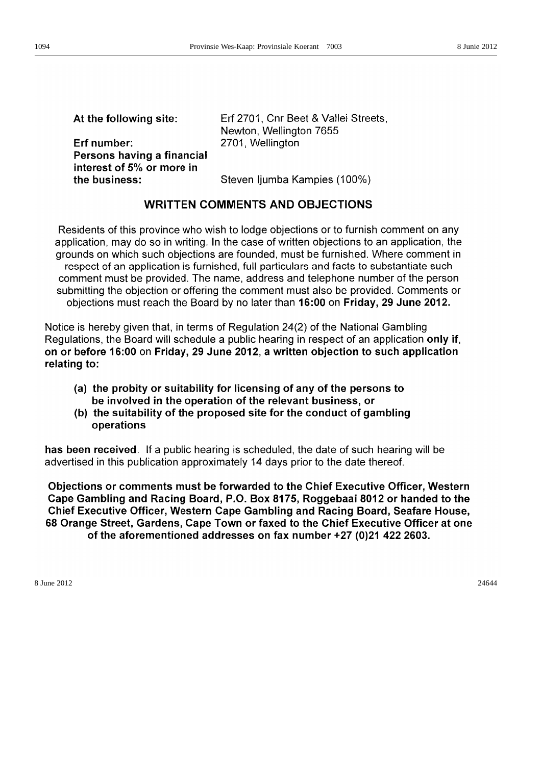| At the following site:                                                 | Erf 2701, Cnr Beet & Vallei Streets,<br>Newton, Wellington 7655 |
|------------------------------------------------------------------------|-----------------------------------------------------------------|
| Erf number:<br>Persons having a financial<br>interest of 5% or more in | 2701, Wellington                                                |
| the business:                                                          | Steven ljumba Kampies (100%)                                    |

## **WRITTEN COMMENTS AND OBJECTIONS**

Residents of this province who wish to lodge objections or to furnish comment on any application, may do so in writing. In the case of written objections to an application, the grounds on which such objections are founded, must be furnished. Where comment in respect of an application is furnished, full particulars and facts to substantiate such comment must be provided. The name, address and telephone number of the person submitting the objection or offering the comment must also be provided. Comments or objections must reach the Board by no later than 16:00 on Friday, 29 June 2012.

Notice is hereby given that, in terms of Regulation 24(2) of the National Gambling Regulations, the Board will schedule a public hearing in respect of an application only if, on or before 16:00 on Friday, 29 June 2012, a written objection to such application relating to:

- (a) the probity or suitability for licensing of any of the persons to be involved in the operation of the relevant business, or
- (b) the suitability of the proposed site for the conduct of gambling operations

has been received. If a public hearing is scheduled, the date of such hearing will be advertised in this publication approximately 14 days prior to the date thereof.

Objections or comments must be forwarded to the Chief Executive Officer, Western Cape Gambling and Racing Board, P.O. Box 8175, Roggebaai 8012 or handed to the Chief Executive Officer, Western Cape Gambling and Racing Board, Seafare House, 68 Orange Street, Gardens, Cape Town or faxed to the Chief Executive Officer at one of the aforementioned addresses on fax number +27 (0)21 422 2603.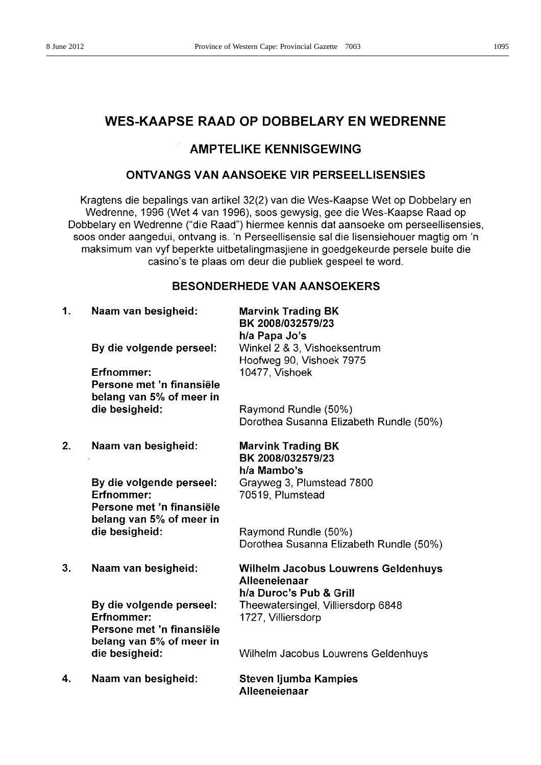## **AMPTELIKE KENNISGEWING**

## **ONTVANGS VAN AANSOEKE VIR PERSEELLISENSIES**

Kragtens die bepalings van artikel 32(2) van die Wes-Kaapse Wet op Dobbelary en Wedrenne, 1996 (Wet 4 van 1996), soos gewysig, gee die Wes-Kaapse Raad op Dobbelary en Wedrenne ("die Raad") hiermee kennis dat aansoeke om perseellisensies, soos onder aangedui, ontvang is. 'n Perseellisensie sal die lisensiehouer magtig om 'n maksimum van vyf beperkte uitbetalingmasjiene in goedgekeurde persele buite die casino's te plaas om deur die publiek gespeel te word.

## **BESONDERHEDE VAN AANSOEKERS**

| 1. | Naam van besigheid:                                                                                    | <b>Marvink Trading BK</b><br>BK 2008/032579/23<br>h/a Papa Jo's                     |
|----|--------------------------------------------------------------------------------------------------------|-------------------------------------------------------------------------------------|
|    | By die volgende perseel:                                                                               | Winkel 2 & 3, Vishoeksentrum                                                        |
|    | Erfnommer:<br>Persone met 'n finansiële<br>belang van 5% of meer in                                    | Hoofweg 90, Vishoek 7975<br>10477, Vishoek                                          |
|    | die besigheid:                                                                                         | Raymond Rundle (50%)<br>Dorothea Susanna Elizabeth Rundle (50%)                     |
| 2. | Naam van besigheid:                                                                                    | <b>Marvink Trading BK</b><br>BK 2008/032579/23<br>h/a Mambo's                       |
|    | By die volgende perseel:<br><b>Erfnommer:</b><br>Persone met 'n finansiële                             | Grayweg 3, Plumstead 7800<br>70519, Plumstead                                       |
|    | belang van 5% of meer in<br>die besigheid:                                                             | Raymond Rundle (50%)<br>Dorothea Susanna Elizabeth Rundle (50%)                     |
| 3. | Naam van besigheid:                                                                                    | <b>Wilhelm Jacobus Louwrens Geldenhuys</b><br>Alleeneienaar                         |
|    | By die volgende perseel:<br><b>Erfnommer:</b><br>Persone met 'n finansiële<br>belang van 5% of meer in | h/a Duroc's Pub & Grill<br>Theewatersingel, Villiersdorp 6848<br>1727, Villiersdorp |
|    | die besigheid:                                                                                         | Wilhelm Jacobus Louwrens Geldenhuys                                                 |
| 4. | Naam van besigheid:                                                                                    | Steven ljumba Kampies<br>Alleeneienaar                                              |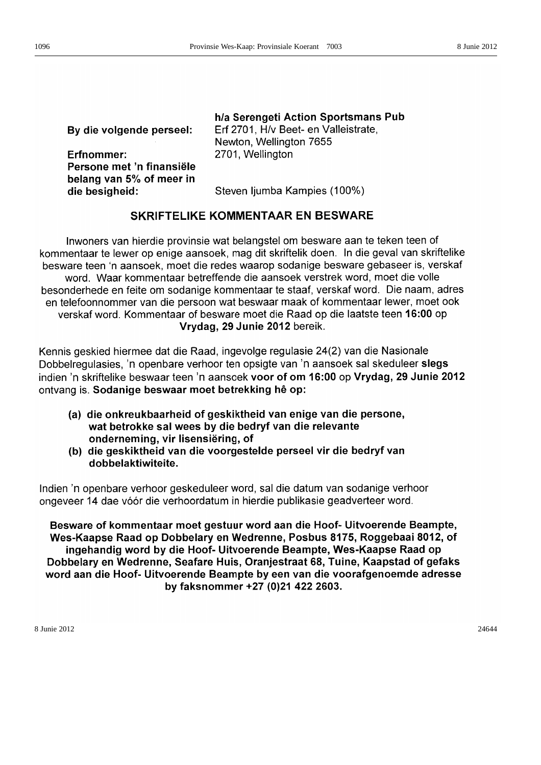| By die volgende perseel:                   | h/a Serengeti Action Sportsmans Pub<br>Erf 2701, H/v Beet- en Valleistrate,<br>Newton, Wellington 7655 |
|--------------------------------------------|--------------------------------------------------------------------------------------------------------|
| Erfnommer:<br>Persone met 'n finansiële    | 2701, Wellington                                                                                       |
| belang van 5% of meer in<br>die besigheid: | Steven ljumba Kampies (100%)                                                                           |

## SKRIFTELIKE KOMMENTAAR EN BESWARE

Inwoners van hierdie provinsie wat belangstel om besware aan te teken teen of kommentaar te lewer op enige aansoek, mag dit skriftelik doen. In die geval van skriftelike besware teen 'n aansoek, moet die redes waarop sodanige besware gebaseer is, verskaf word. Waar kommentaar betreffende die aansoek verstrek word, moet die volle besonderhede en feite om sodanige kommentaar te staaf, verskaf word. Die naam, adres en telefoonnommer van die persoon wat beswaar maak of kommentaar lewer, moet ook verskaf word. Kommentaar of besware moet die Raad op die laatste teen 16:00 op Vrydag, 29 Junie 2012 bereik.

Kennis geskied hiermee dat die Raad, ingevolge regulasie 24(2) van die Nasionale Dobbelregulasies. 'n openbare verhoor ten opsigte van 'n aansoek sal skeduleer slegs indien 'n skriftelike beswaar teen 'n aansoek voor of om 16:00 op Vrydag, 29 Junie 2012 ontvang is. Sodanige beswaar moet betrekking hê op:

- (a) die onkreukbaarheid of geskiktheid van enige van die persone, wat betrokke sal wees by die bedryf van die relevante onderneming, vir lisensiëring, of
- (b) die geskiktheid van die voorgestelde perseel vir die bedryf van dobbelaktiwiteite.

Indien 'n openbare verhoor geskeduleer word, sal die datum van sodanige verhoor ongeveer 14 dae vóór die verhoordatum in hierdie publikasie geadverteer word.

Besware of kommentaar moet gestuur word aan die Hoof- Uitvoerende Beampte, Wes-Kaapse Raad op Dobbelary en Wedrenne, Posbus 8175, Roggebaai 8012, of ingehandig word by die Hoof- Uitvoerende Beampte, Wes-Kaapse Raad op Dobbelary en Wedrenne, Seafare Huis, Oranjestraat 68, Tuine, Kaapstad of gefaks word aan die Hoof- Uitvoerende Beampte by een van die voorafgenoemde adresse by faksnommer +27 (0)21 422 2603.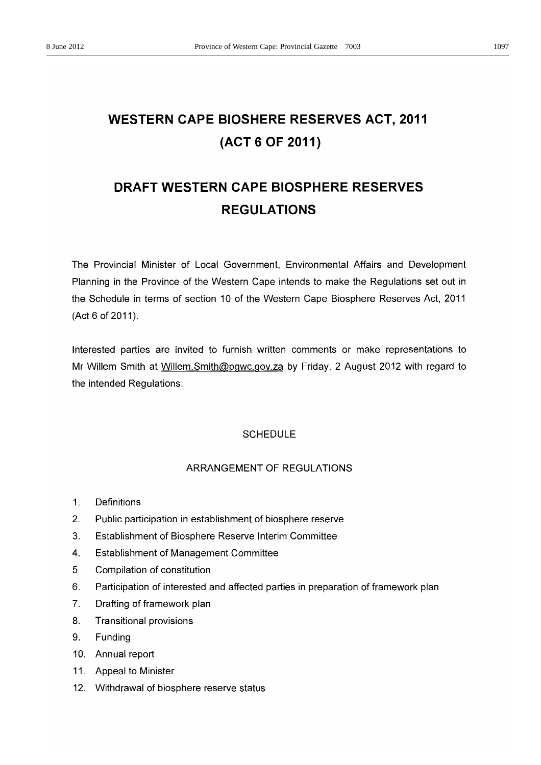# **WESTERN CAPE BIOSHERE RESERVES ACT, 2011** (ACT 6 OF 2011)

# DRAFT WESTERN CAPE BIOSPHERE RESERVES **REGULATIONS**

The Provincial Minister of Local Government, Environmental Affairs and Development Planning in the Province of the Western Cape intends to make the Regulations set out in the Schedule in terms of section 10 of the Western Cape Biosphere Reserves Act, 2011 (Act 6 of 2011).

Interested parties are invited to furnish written comments or make representations to Mr Willem Smith at Willem. Smith@pgwc.gov.za by Friday, 2 August 2012 with regard to the intended Regulations.

## **SCHEDULE**

## ARRANGEMENT OF REGULATIONS

- $1<sub>1</sub>$ Definitions
- $2.$ Public participation in establishment of biosphere reserve
- $3<sub>1</sub>$ Establishment of Biosphere Reserve Interim Committee
- $\mathbf{4}$ **Establishment of Management Committee**
- 5 Compilation of constitution
- $6.$ Participation of interested and affected parties in preparation of framework plan
- $7<sub>1</sub>$ Drafting of framework plan
- 8. **Transitional provisions**
- 9. Funding
- 10. Annual report
- 11. Appeal to Minister
- 12. Withdrawal of biosphere reserve status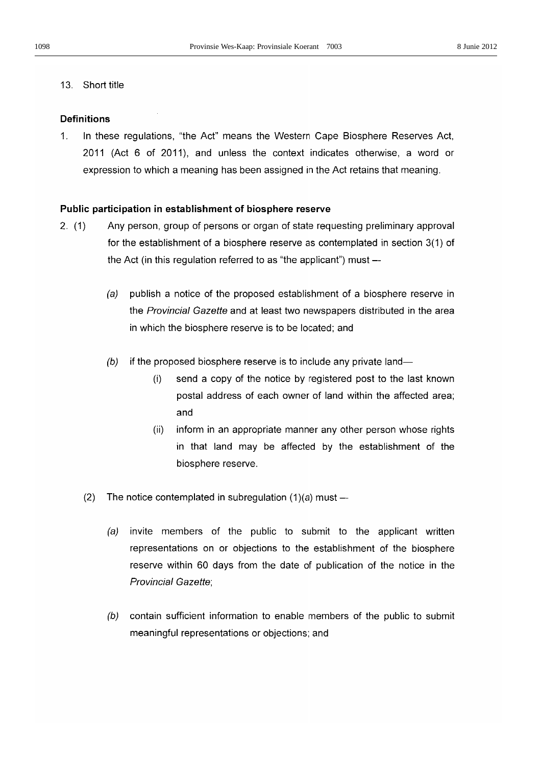## 13. Short title

## **Definitions**

 $\mathbf{1}$ In these regulations, "the Act" means the Western Cape Biosphere Reserves Act. 2011 (Act 6 of 2011), and unless the context indicates otherwise, a word or expression to which a meaning has been assigned in the Act retains that meaning.

## Public participation in establishment of biosphere reserve

- $2. (1)$ Any person, group of persons or organ of state requesting preliminary approval for the establishment of a biosphere reserve as contemplated in section 3(1) of the Act (in this regulation referred to as "the applicant") must -
	- publish a notice of the proposed establishment of a biosphere reserve in  $(a)$ the Provincial Gazette and at least two newspapers distributed in the area in which the biosphere reserve is to be located; and
	- $(b)$ if the proposed biosphere reserve is to include any private land
		- send a copy of the notice by registered post to the last known  $(i)$ postal address of each owner of land within the affected area: and
		- inform in an appropriate manner any other person whose rights  $(ii)$ in that land may be affected by the establishment of the biosphere reserve.
	- $(2)$ The notice contemplated in subregulation  $(1)(a)$  must --
		- $(a)$ invite members of the public to submit to the applicant written representations on or objections to the establishment of the biosphere reserve within 60 days from the date of publication of the notice in the **Provincial Gazette:**
		- (b) contain sufficient information to enable members of the public to submit meaningful representations or objections; and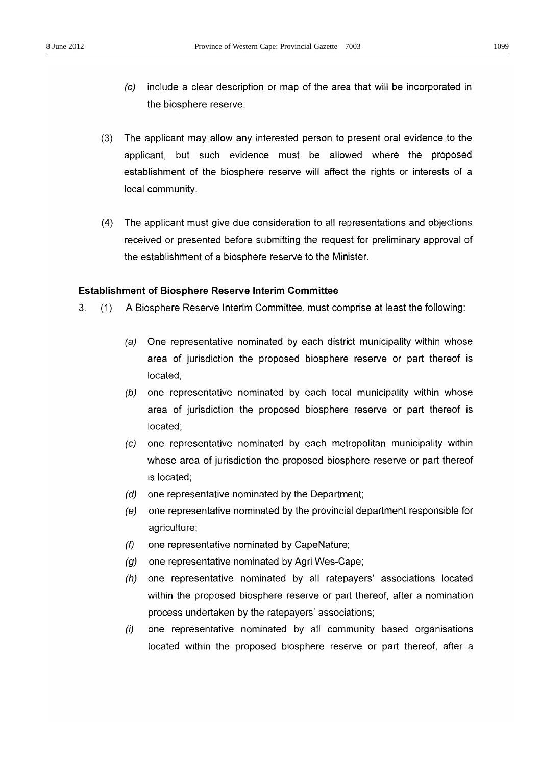- include a clear description or map of the area that will be incorporated in  $\left( c\right)$ the biosphere reserve.
- $(3)$ The applicant may allow any interested person to present oral evidence to the applicant, but such evidence must be allowed where the proposed establishment of the biosphere reserve will affect the rights or interests of a local community.
- $(4)$ The applicant must give due consideration to all representations and objections received or presented before submitting the request for preliminary approval of the establishment of a biosphere reserve to the Minister.

## **Establishment of Biosphere Reserve Interim Committee**

- $3<sup>1</sup>$ A Biosphere Reserve Interim Committee, must comprise at least the following:  $(1)$ 
	- $(a)$ One representative nominated by each district municipality within whose area of jurisdiction the proposed biosphere reserve or part thereof is located:
	- (b) one representative nominated by each local municipality within whose area of jurisdiction the proposed biosphere reserve or part thereof is located:
	- one representative nominated by each metropolitan municipality within  $\left( c\right)$ whose area of jurisdiction the proposed biosphere reserve or part thereof is located:
	- $(d)$ one representative nominated by the Department;
	- $(e)$ one representative nominated by the provincial department responsible for agriculture;
	- $(f)$ one representative nominated by CapeNature;
	- $(q)$ one representative nominated by Agri Wes-Cape;
	- $(h)$ one representative nominated by all ratepayers' associations located within the proposed biosphere reserve or part thereof, after a nomination process undertaken by the ratepayers' associations;
	- $(i)$ one representative nominated by all community based organisations located within the proposed biosphere reserve or part thereof, after a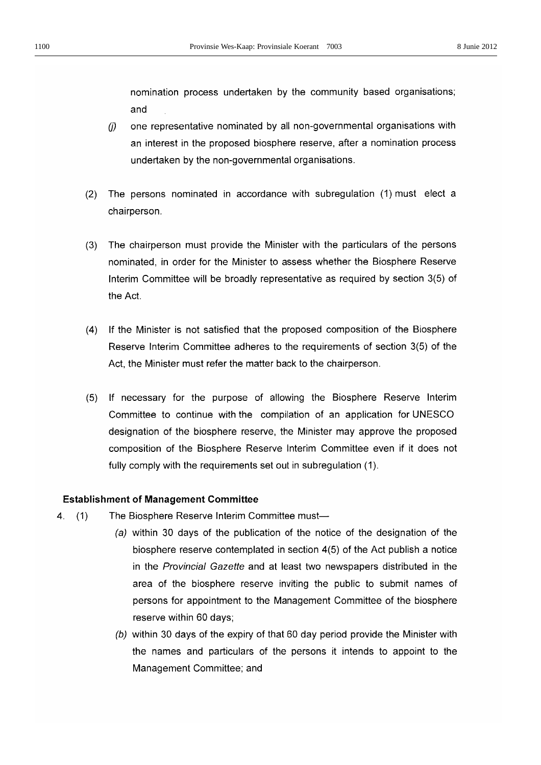nomination process undertaken by the community based organisations; and

- $(i)$ one representative nominated by all non-governmental organisations with an interest in the proposed biosphere reserve, after a nomination process undertaken by the non-governmental organisations.
- $(2)$ The persons nominated in accordance with subregulation (1) must elect a chairperson.
- The chairperson must provide the Minister with the particulars of the persons  $(3)$ nominated, in order for the Minister to assess whether the Biosphere Reserve Interim Committee will be broadly representative as required by section 3(5) of the Act.
- (4) If the Minister is not satisfied that the proposed composition of the Biosphere Reserve Interim Committee adheres to the requirements of section 3(5) of the Act, the Minister must refer the matter back to the chairperson.
- (5) If necessary for the purpose of allowing the Biosphere Reserve Interim Committee to continue with the compilation of an application for UNESCO designation of the biosphere reserve, the Minister may approve the proposed composition of the Biosphere Reserve Interim Committee even if it does not fully comply with the requirements set out in subregulation (1).

## **Establishment of Management Committee**

- $4<sup>1</sup>$  $(1)$ The Biosphere Reserve Interim Committee must-
	- (a) within 30 days of the publication of the notice of the designation of the biosphere reserve contemplated in section 4(5) of the Act publish a notice in the Provincial Gazette and at least two newspapers distributed in the area of the biosphere reserve inviting the public to submit names of persons for appointment to the Management Committee of the biosphere reserve within 60 days;
	- (b) within 30 days of the expiry of that 60 day period provide the Minister with the names and particulars of the persons it intends to appoint to the Management Committee; and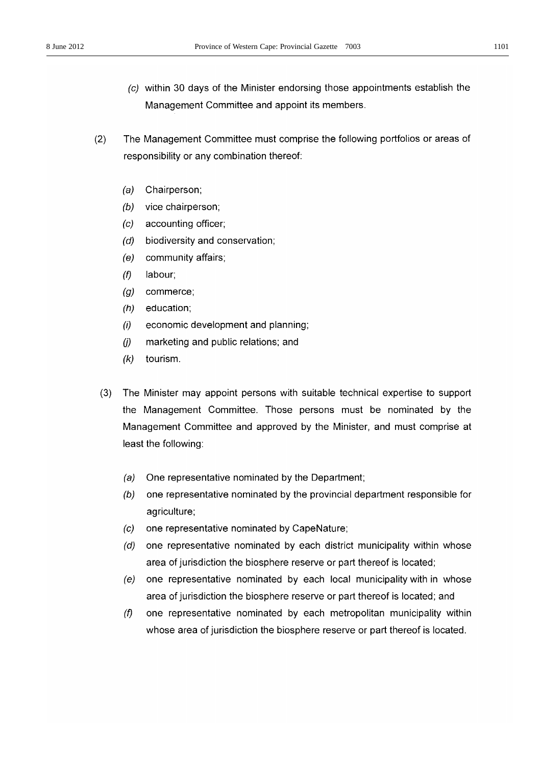- (c) within 30 days of the Minister endorsing those appointments establish the Management Committee and appoint its members.
- The Management Committee must comprise the following portfolios or areas of  $(2)$ responsibility or any combination thereof:
	- $(a)$ Chairperson;
	- $(b)$ vice chairperson;
	- $(c)$ accounting officer;
	- biodiversity and conservation;  $(d)$
	- community affairs;  $(e)$
	- $(f)$ labour:
	- $(g)$ commerce;
	- $(h)$ education;
	- economic development and planning;  $(i)$
	- marketing and public relations; and  $(i)$
	- $(k)$ tourism.
	- $(3)$ The Minister may appoint persons with suitable technical expertise to support the Management Committee. Those persons must be nominated by the Management Committee and approved by the Minister, and must comprise at least the following:
		- One representative nominated by the Department;  $(a)$
		- one representative nominated by the provincial department responsible for  $(b)$ agriculture;
		- $(c)$ one representative nominated by CapeNature;
		- one representative nominated by each district municipality within whose  $(d)$ area of jurisdiction the biosphere reserve or part thereof is located;
		- one representative nominated by each local municipality with in whose  $(e)$ area of jurisdiction the biosphere reserve or part thereof is located; and
		- $(f)$ one representative nominated by each metropolitan municipality within whose area of jurisdiction the biosphere reserve or part thereof is located.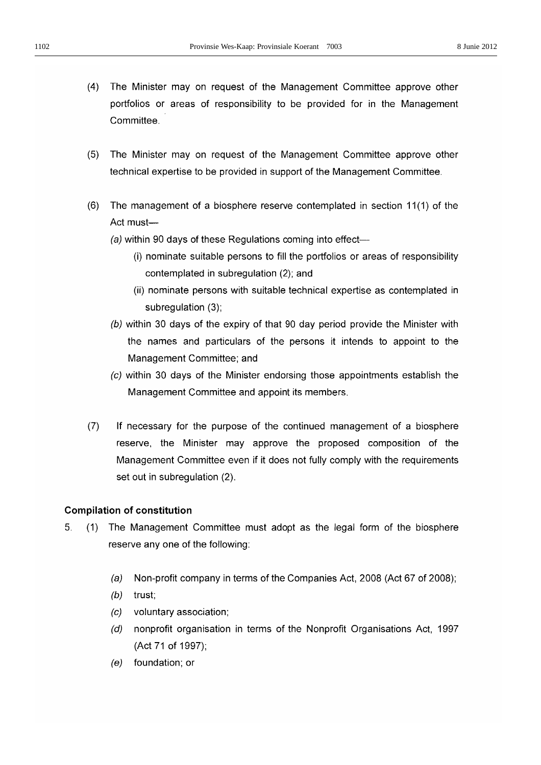- $(4)$ The Minister may on request of the Management Committee approve other portfolios or areas of responsibility to be provided for in the Management Committee.
- The Minister may on request of the Management Committee approve other  $(5)$ technical expertise to be provided in support of the Management Committee.
- $(6)$ The management of a biosphere reserve contemplated in section 11(1) of the Act must-
	- (a) within 90 days of these Regulations coming into effect—
		- (i) nominate suitable persons to fill the portfolios or areas of responsibility contemplated in subregulation (2); and
		- (ii) nominate persons with suitable technical expertise as contemplated in subregulation (3);
	- (b) within 30 days of the expiry of that 90 day period provide the Minister with the names and particulars of the persons it intends to appoint to the Management Committee: and
	- (c) within 30 days of the Minister endorsing those appointments establish the Management Committee and appoint its members.
- $(7)$ If necessary for the purpose of the continued management of a biosphere reserve, the Minister may approve the proposed composition of the Management Committee even if it does not fully comply with the requirements set out in subregulation (2).

## **Compilation of constitution**

- 5.  $(1)$ The Management Committee must adopt as the legal form of the biosphere reserve any one of the following:
	- $(a)$ Non-profit company in terms of the Companies Act, 2008 (Act 67 of 2008);
	- $(b)$ trust:
	- voluntary association:  $(c)$
	- $(d)$ nonprofit organisation in terms of the Nonprofit Organisations Act, 1997 (Act 71 of 1997):
	- $(e)$  foundation; or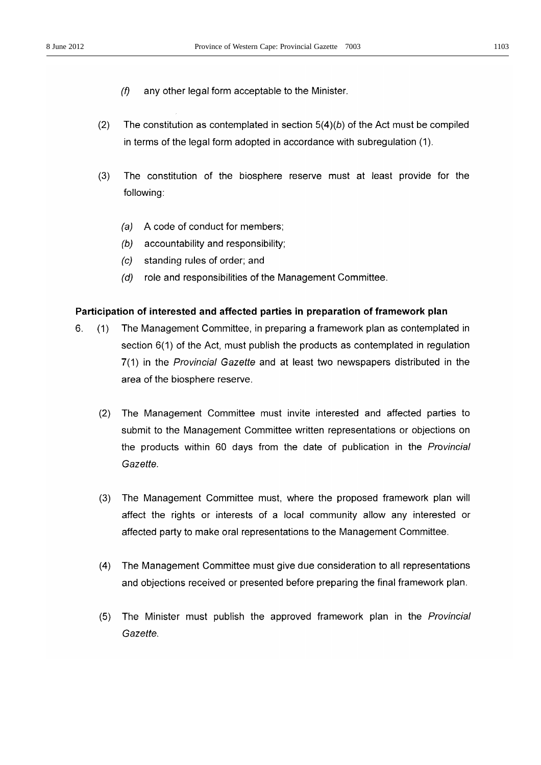- $(f)$ any other legal form acceptable to the Minister.
- $(2)$ The constitution as contemplated in section  $5(4)(b)$  of the Act must be compiled in terms of the legal form adopted in accordance with subregulation (1).
- $(3)$ The constitution of the biosphere reserve must at least provide for the following:
	- (a) A code of conduct for members:
	- accountability and responsibility;  $(b)$
	- standing rules of order; and  $(c)$
	- role and responsibilities of the Management Committee.  $(d)$

## Participation of interested and affected parties in preparation of framework plan

- $6.$ The Management Committee, in preparing a framework plan as contemplated in  $(1)$ section 6(1) of the Act, must publish the products as contemplated in regulation 7(1) in the Provincial Gazette and at least two newspapers distributed in the area of the biosphere reserve.
	- $(2)$ The Management Committee must invite interested and affected parties to submit to the Management Committee written representations or objections on the products within 60 days from the date of publication in the Provincial Gazette.
	- $(3)$ The Management Committee must, where the proposed framework plan will affect the rights or interests of a local community allow any interested or affected party to make oral representations to the Management Committee.
	- $(4)$ The Management Committee must give due consideration to all representations and objections received or presented before preparing the final framework plan.
	- The Minister must publish the approved framework plan in the *Provincial*  $(5)$ Gazette.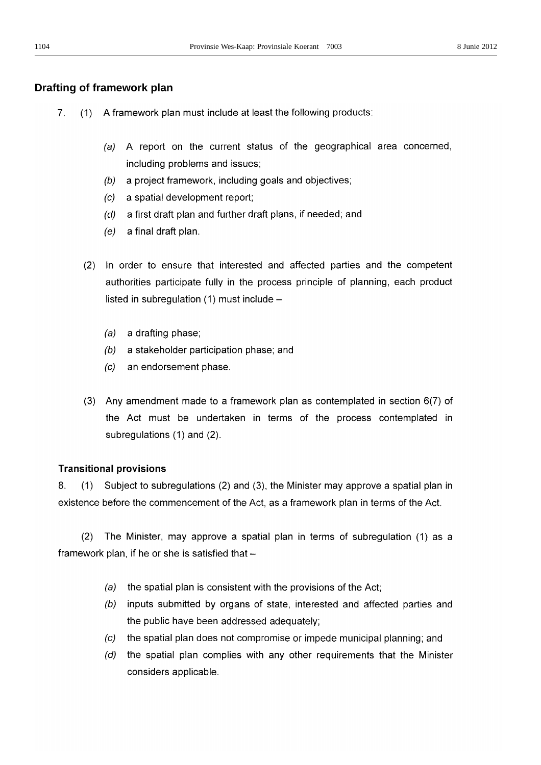## Drafting of framework plan

- 7. (1) A framework plan must include at least the following products:
	- (a) A report on the current status of the geographical area concerned, including problems and issues;
	- $(b)$ a project framework, including goals and objectives;
	- (c) a spatial development report;
	- (d) a first draft plan and further draft plans, if needed; and
	- $(e)$  a final draft plan.
	- (2) In order to ensure that interested and affected parties and the competent authorities participate fully in the process principle of planning, each product listed in subregulation (1) must include -
		- $(a)$  a drafting phase;
		- (b) a stakeholder participation phase; and
		- $(c)$ an endorsement phase.
	- (3) Any amendment made to a framework plan as contemplated in section  $6(7)$  of the Act must be undertaken in terms of the process contemplated in subregulations (1) and (2).

## **Transitional provisions**

8.  $(1)$ Subject to subregulations (2) and (3), the Minister may approve a spatial plan in existence before the commencement of the Act, as a framework plan in terms of the Act.

 $(2)$ The Minister, may approve a spatial plan in terms of subregulation (1) as a framework plan, if he or she is satisfied that -

- the spatial plan is consistent with the provisions of the Act;  $(a)$
- (b) inputs submitted by organs of state, interested and affected parties and the public have been addressed adequately;
- the spatial plan does not compromise or impede municipal planning; and  $(c)$
- (d) the spatial plan complies with any other requirements that the Minister considers applicable.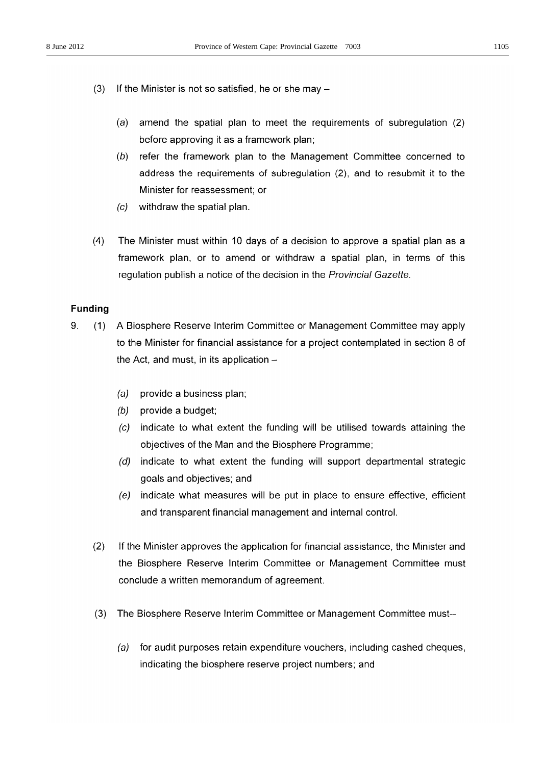- $(3)$ If the Minister is not so satisfied, he or she may  $$ 
	- amend the spatial plan to meet the requirements of subregulation (2)  $(a)$ before approving it as a framework plan;
	- (b) refer the framework plan to the Management Committee concerned to address the requirements of subregulation (2), and to resubmit it to the Minister for reassessment; or
	- withdraw the spatial plan.  $\left( c\right)$
- $(4)$ The Minister must within 10 days of a decision to approve a spatial plan as a framework plan, or to amend or withdraw a spatial plan, in terms of this regulation publish a notice of the decision in the Provincial Gazette.

## **Funding**

- 9.  $(1)$ A Biosphere Reserve Interim Committee or Management Committee may apply to the Minister for financial assistance for a project contemplated in section 8 of the Act, and must, in its application  $-$ 
	- (a) provide a business plan;
	- $(b)$  provide a budget;
	- (c) indicate to what extent the funding will be utilised towards attaining the objectives of the Man and the Biosphere Programme;
	- (d) indicate to what extent the funding will support departmental strategic goals and objectives; and
	- (e) indicate what measures will be put in place to ensure effective, efficient and transparent financial management and internal control.
	- $(2)$ If the Minister approves the application for financial assistance, the Minister and the Biosphere Reserve Interim Committee or Management Committee must conclude a written memorandum of agreement.
	- $(3)$ The Biosphere Reserve Interim Committee or Management Committee must-
		- for audit purposes retain expenditure vouchers, including cashed cheques,  $(a)$ indicating the biosphere reserve project numbers; and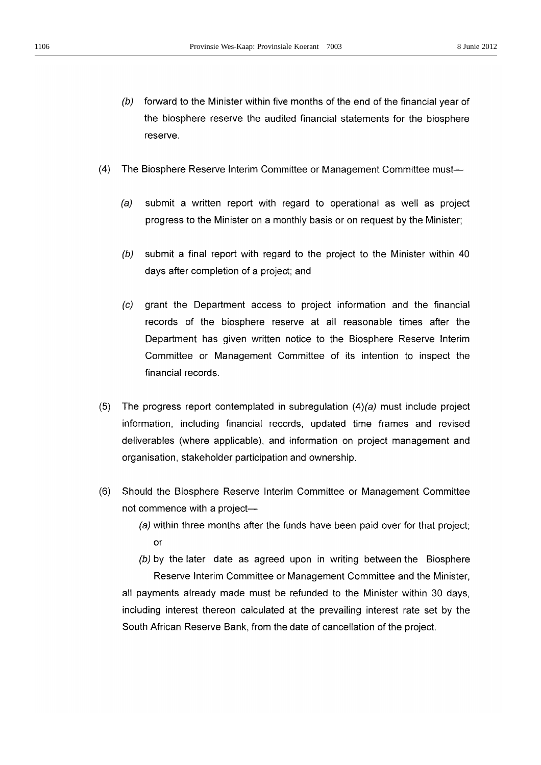- (b) forward to the Minister within five months of the end of the financial year of the biosphere reserve the audited financial statements for the biosphere reserve.
- $(4)$ The Biosphere Reserve Interim Committee or Management Committee must-
	- $(a)$ submit a written report with regard to operational as well as project progress to the Minister on a monthly basis or on request by the Minister;
	- submit a final report with regard to the project to the Minister within 40  $(b)$ days after completion of a project; and
	- $(c)$ grant the Department access to project information and the financial records of the biosphere reserve at all reasonable times after the Department has given written notice to the Biosphere Reserve Interim Committee or Management Committee of its intention to inspect the financial records.
- The progress report contemplated in subregulation  $(4)(a)$  must include project  $(5)$ information, including financial records, updated time frames and revised deliverables (where applicable), and information on project management and organisation, stakeholder participation and ownership.
- $(6)$ Should the Biosphere Reserve Interim Committee or Management Committee not commence with a project-
	- (a) within three months after the funds have been paid over for that project; or
	- (b) by the later date as agreed upon in writing between the Biosphere Reserve Interim Committee or Management Committee and the Minister,

all payments already made must be refunded to the Minister within 30 days, including interest thereon calculated at the prevailing interest rate set by the South African Reserve Bank, from the date of cancellation of the project.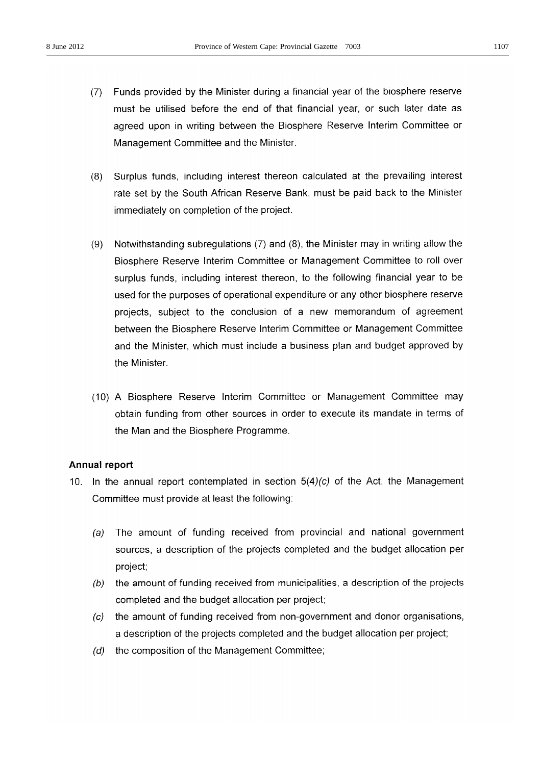- (7) Funds provided by the Minister during a financial year of the biosphere reserve must be utilised before the end of that financial year, or such later date as agreed upon in writing between the Biosphere Reserve Interim Committee or Management Committee and the Minister.
- (8) Surplus funds, including interest thereon calculated at the prevailing interest rate set by the South African Reserve Bank, must be paid back to the Minister immediately on completion of the project.
- Notwithstanding subregulations (7) and (8), the Minister may in writing allow the  $(9)$ Biosphere Reserve Interim Committee or Management Committee to roll over surplus funds, including interest thereon, to the following financial year to be used for the purposes of operational expenditure or any other biosphere reserve projects, subject to the conclusion of a new memorandum of agreement between the Biosphere Reserve Interim Committee or Management Committee and the Minister, which must include a business plan and budget approved by the Minister.
- (10) A Biosphere Reserve Interim Committee or Management Committee may obtain funding from other sources in order to execute its mandate in terms of the Man and the Biosphere Programme.

## Annual report

- 10. In the annual report contemplated in section  $5(4)(c)$  of the Act, the Management Committee must provide at least the following:
	- (a) The amount of funding received from provincial and national government sources, a description of the projects completed and the budget allocation per project;
	- the amount of funding received from municipalities, a description of the projects  $(b)$ completed and the budget allocation per project;
	- the amount of funding received from non-government and donor organisations,  $(C)$ a description of the projects completed and the budget allocation per project;
	- (d) the composition of the Management Committee;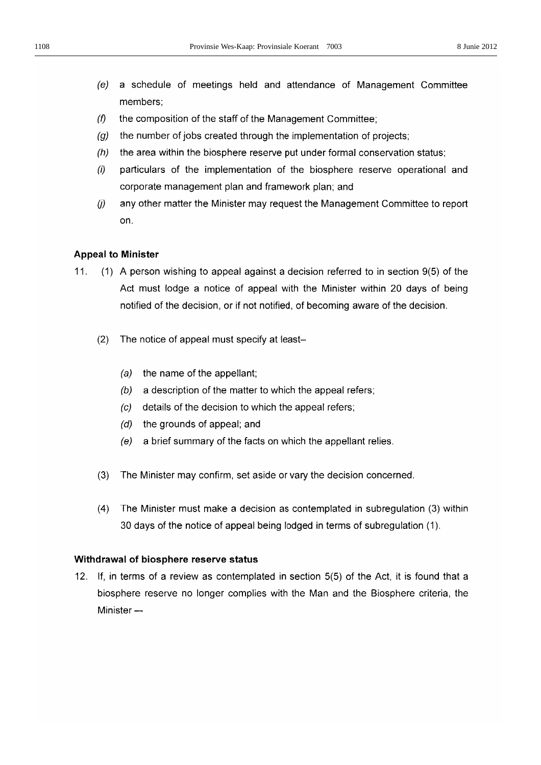- a schedule of meetings held and attendance of Management Committee  $(e)$ members;
- $(f)$ the composition of the staff of the Management Committee:
- the number of jobs created through the implementation of projects;  $(a)$
- $(h)$ the area within the biosphere reserve put under formal conservation status;
- $(i)$ particulars of the implementation of the biosphere reserve operational and corporate management plan and framework plan: and
- $(i)$ any other matter the Minister may request the Management Committee to report on.

## **Appeal to Minister**

- $11.$ (1) A person wishing to appeal against a decision referred to in section 9(5) of the Act must lodge a notice of appeal with the Minister within 20 days of being notified of the decision, or if not notified, of becoming aware of the decision.
	- $(2)$ The notice of appeal must specify at least
		- the name of the appellant;  $(a)$
		- a description of the matter to which the appeal refers;  $(b)$
		- details of the decision to which the appeal refers;  $(c)$
		- (d) the grounds of appeal; and
		- $(e)$ a brief summary of the facts on which the appellant relies.
	- $(3)$ The Minister may confirm, set aside or vary the decision concerned.
	- $(4)$ The Minister must make a decision as contemplated in subregulation (3) within 30 days of the notice of appeal being lodged in terms of subregulation (1).

## Withdrawal of biosphere reserve status

12. If, in terms of a review as contemplated in section 5(5) of the Act, it is found that a biosphere reserve no longer complies with the Man and the Biosphere criteria, the Minister-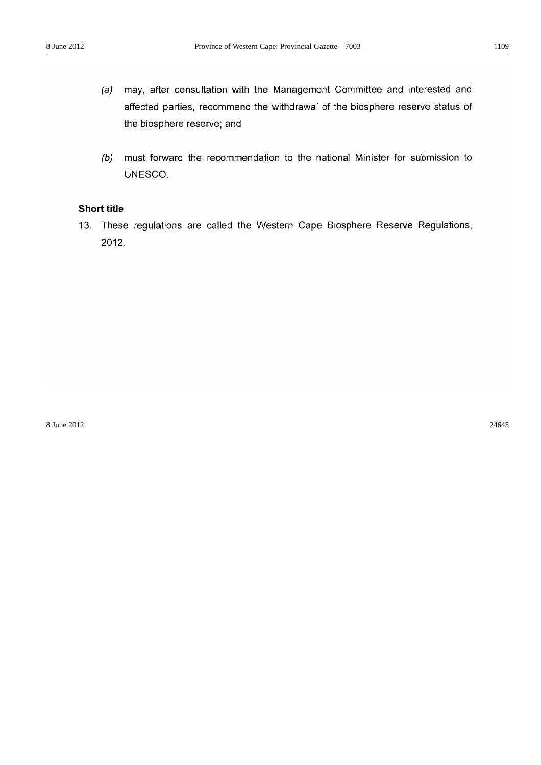- may, after consultation with the Management Committee and interested and  $(a)$ affected parties, recommend the withdrawal of the biosphere reserve status of the biosphere reserve; and
- (b) must forward the recommendation to the national Minister for submission to UNESCO.

## **Short title**

13. These regulations are called the Western Cape Biosphere Reserve Regulations, 2012.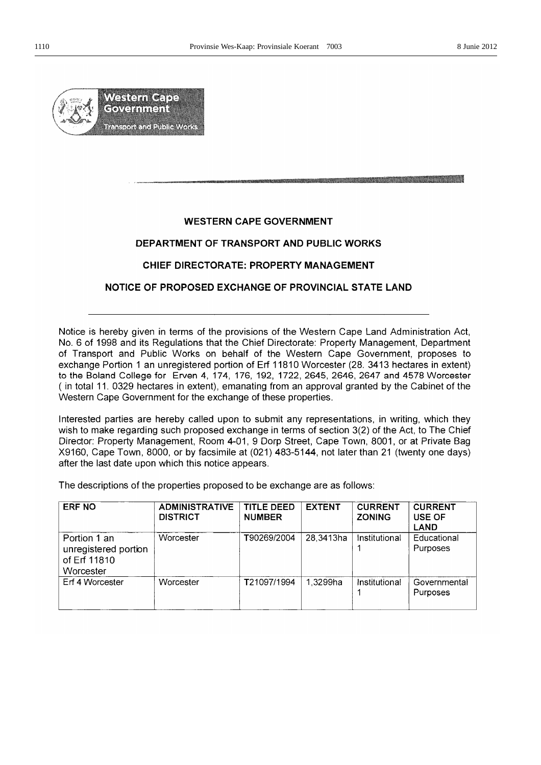

## **WESTERN CAPE GOVERNMENT**

## DEPARTMENT OF TRANSPORT AND PUBLIC WORKS

## CHIEF DIRECTORATE: PROPERTY MANAGEMENT

## NOTICE OF PROPOSED EXCHANGE OF PROVINCIAL STATE LAND

Notice is hereby given in terms of the provisions of the Western Cape Land Administration Act. No. 6 of 1998 and its Regulations that the Chief Directorate: Property Management, Department of Transport and Public Works on behalf of the Western Cape Government, proposes to exchange Portion 1 an unregistered portion of Erf 11810 Worcester (28. 3413 hectares in extent) to the Boland College for Erven 4, 174, 176, 192, 1722, 2645, 2646, 2647 and 4578 Worcester (in total 11. 0329 hectares in extent), emanating from an approval granted by the Cabinet of the Western Cape Government for the exchange of these properties.

Interested parties are hereby called upon to submit any representations, in writing, which they wish to make regarding such proposed exchange in terms of section 3(2) of the Act, to The Chief Director: Property Management, Room 4-01, 9 Dorp Street, Cape Town, 8001, or at Private Bag X9160, Cape Town, 8000, or by facsimile at (021) 483-5144, not later than 21 (twenty one days) after the last date upon which this notice appears.

The descriptions of the properties proposed to be exchange are as follows:

| <b>ERF NO</b>                                                     | <b>ADMINISTRATIVE</b><br><b>DISTRICT</b> | <b>TITLE DEED</b><br><b>NUMBER</b> | <b>EXTENT</b> | <b>CURRENT</b><br><b>ZONING</b> | <b>CURRENT</b><br>USE OF<br><b>LAND</b> |
|-------------------------------------------------------------------|------------------------------------------|------------------------------------|---------------|---------------------------------|-----------------------------------------|
| Portion 1 an<br>unregistered portion<br>of Erf 11810<br>Worcester | Worcester                                | T90269/2004                        | 28,3413ha     | Institutional                   | Educational<br>Purposes                 |
| Erf 4 Worcester                                                   | Worcester                                | T21097/1994                        | 1.3299ha      | Institutional                   | Governmental<br>Purposes                |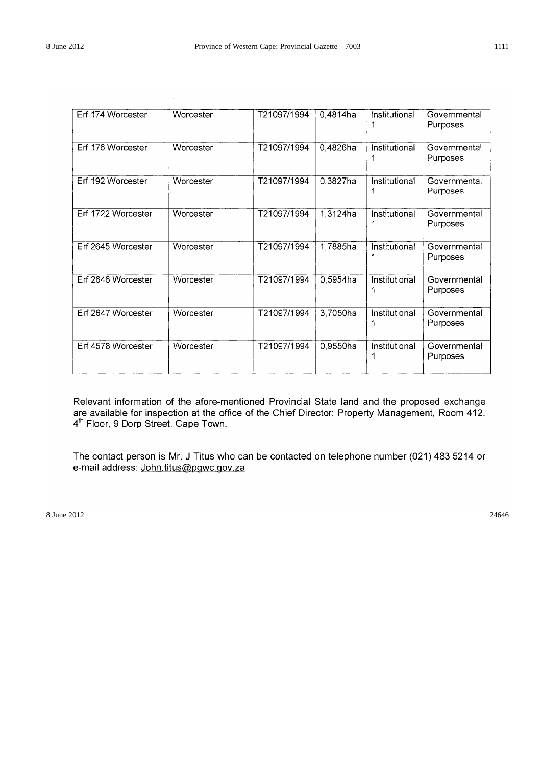| Erf 174 Worcester  | Worcester | T21097/1994 | 0,4814ha | Institutional      | Governmental<br>Purposes |
|--------------------|-----------|-------------|----------|--------------------|--------------------------|
| Erf 176 Worcester  | Worcester | T21097/1994 | 0,4826ha | Institutional      | Governmental<br>Purposes |
| Erf 192 Worcester  | Worcester | T21097/1994 | 0,3827ha | Institutional      | Governmental<br>Purposes |
| Erf 1722 Worcester | Worcester | T21097/1994 | 1,3124ha | Institutional      | Governmental<br>Purposes |
| Erf 2645 Worcester | Worcester | T21097/1994 | 1,7885ha | Institutional      | Governmental<br>Purposes |
| Erf 2646 Worcester | Worcester | T21097/1994 | 0,5954ha | Institutional      | Governmental<br>Purposes |
| Erf 2647 Worcester | Worcester | T21097/1994 | 3,7050ha | Institutional      | Governmental<br>Purposes |
| Erf 4578 Worcester | Worcester | T21097/1994 | 0,9550ha | Institutional<br>1 | Governmental<br>Purposes |

Relevant information of the afore-mentioned Provincial State land and the proposed exchange are available for inspection at the office of the Chief Director: Property Management, Room 412, 4<sup>th</sup> Floor, 9 Dorp Street, Cape Town.

The contact person is Mr. J Titus who can be contacted on telephone number (021) 483 5214 or e-mail address: John.titus@pgwc.gov.za

 $8 \text{ June } 2012$  24646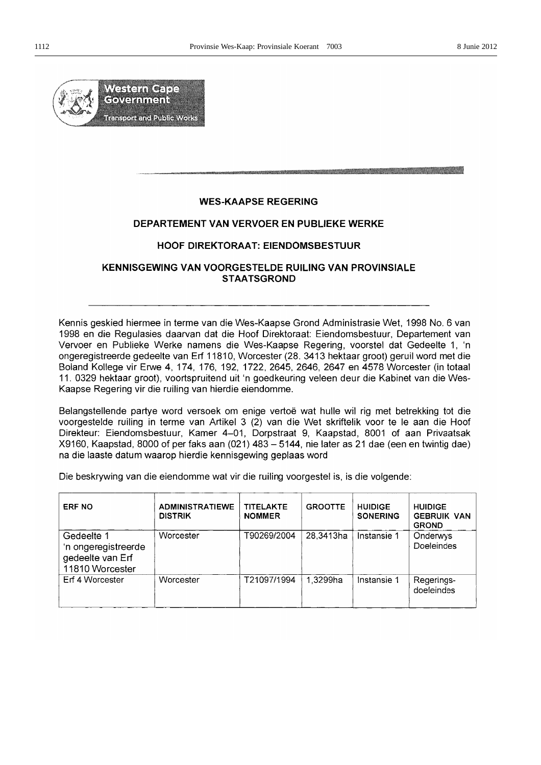a da kasa da wasan katika matsa ya kasa na matsa ya kasa ya kasa ya kasa ya kasa ya kasa ya kasa ya kasa ya ka



## **WES-KAAPSE REGERING**

## DEPARTEMENT VAN VERVOER EN PUBLIEKE WERKE

## **HOOF DIREKTORAAT: EIENDOMSBESTUUR**

## KENNISGEWING VAN VOORGESTELDE RUILING VAN PROVINSIALE **STAATSGROND**

Kennis geskied hiermee in terme van die Wes-Kaapse Grond Administrasie Wet, 1998 No. 6 van 1998 en die Regulasies daarvan dat die Hoof Direktoraat: Eiendomsbestuur, Departement van Vervoer en Publieke Werke namens die Wes-Kaapse Regering, voorstel dat Gedeelte 1, 'n ongeregistreerde gedeelte van Erf 11810, Worcester (28. 3413 hektaar groot) geruil word met die Boland Kollege vir Erwe 4, 174, 176, 192, 1722, 2645, 2646, 2647 en 4578 Worcester (in totaal 11. 0329 hektaar groot), voortspruitend uit 'n goedkeuring veleen deur die Kabinet van die Wes-Kaapse Regering vir die ruiling van hierdie eiendomme.

Belangstellende partye word versoek om enige vertoë wat hulle wil rig met betrekking tot die voorgestelde ruiling in terme van Artikel 3 (2) van die Wet skriftelik voor te le aan die Hoof Direkteur: Eiendomsbestuur, Kamer 4–01, Dorpstraat 9, Kaapstad, 8001 of aan Privaatsak X9160, Kaapstad, 8000 of per faks aan (021) 483 – 5144, nie later as 21 dae (een en twintig dae) na die laaste datum waarop hierdie kennisgewing geplaas word

Die beskrywing van die eiendomme wat vir die ruiling voorgestel is, is die volgende:

| <b>ERF NO</b>                                                            | <b>ADMINISTRATIEWE</b><br><b>DISTRIK</b> | <b>TITELAKTE</b><br><b>NOMMER</b> | <b>GROOTTE</b> | <b>HUIDIGE</b><br><b>SONERING</b> | <b>HUIDIGE</b><br><b>GEBRUIK VAN</b><br><b>GROND</b> |
|--------------------------------------------------------------------------|------------------------------------------|-----------------------------------|----------------|-----------------------------------|------------------------------------------------------|
| Gedeelte 1<br>'n ongeregistreerde<br>gedeelte van Erf<br>11810 Worcester | Worcester                                | T90269/2004                       | 28,3413ha      | Instansie 1                       | Onderwys<br>Doeleindes                               |
| Erf 4 Worcester                                                          | Worcester                                | T21097/1994                       | 1,3299ha       | Instansie 1                       | Regerings-<br>doeleindes                             |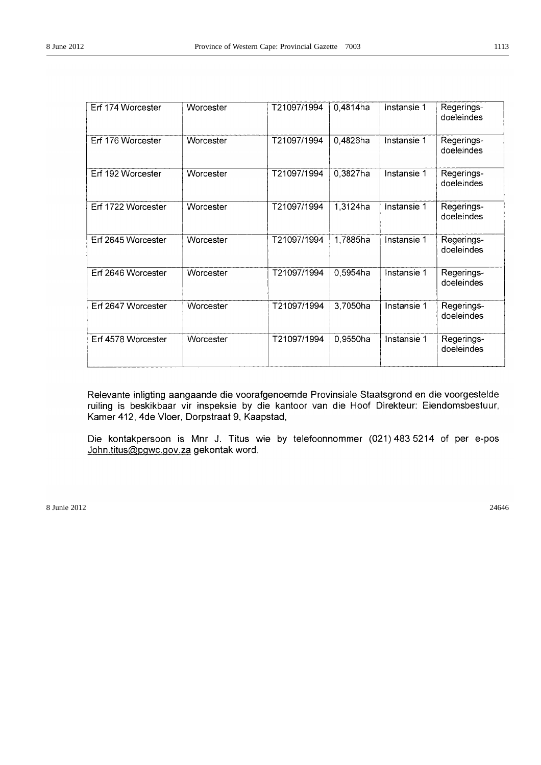| Erf 174 Worcester  | Worcester | T21097/1994 | 0,4814ha | Instansie 1 | Regerings-<br>doeleindes |
|--------------------|-----------|-------------|----------|-------------|--------------------------|
| Erf 176 Worcester  | Worcester | T21097/1994 | 0,4826ha | Instansie 1 | Regerings-<br>doeleindes |
| Erf 192 Worcester  | Worcester | T21097/1994 | 0,3827ha | Instansie 1 | Regerings-<br>doeleindes |
| Erf 1722 Worcester | Worcester | T21097/1994 | 1,3124ha | Instansie 1 | Regerings-<br>doeleindes |
| Erf 2645 Worcester | Worcester | T21097/1994 | 1,7885ha | Instansie 1 | Regerings-<br>doeleindes |
| Erf 2646 Worcester | Worcester | T21097/1994 | 0,5954ha | Instansie 1 | Regerings-<br>doeleindes |
| Erf 2647 Worcester | Worcester | T21097/1994 | 3,7050ha | Instansie 1 | Regerings-<br>doeleindes |
| Erf 4578 Worcester | Worcester | T21097/1994 | 0,9550ha | Instansie 1 | Regerings-<br>doeleindes |

Relevante inligting aangaande die voorafgenoemde Provinsiale Staatsgrond en die voorgestelde ruiling is beskikbaar vir inspeksie by die kantoor van die Hoof Direkteur: Eiendomsbestuur, Kamer 412, 4de Vloer, Dorpstraat 9, Kaapstad,

Die kontakpersoon is Mnr J. Titus wie by telefoonnommer (021) 483 5214 of per e-pos John.titus@pgwc.gov.za gekontak word.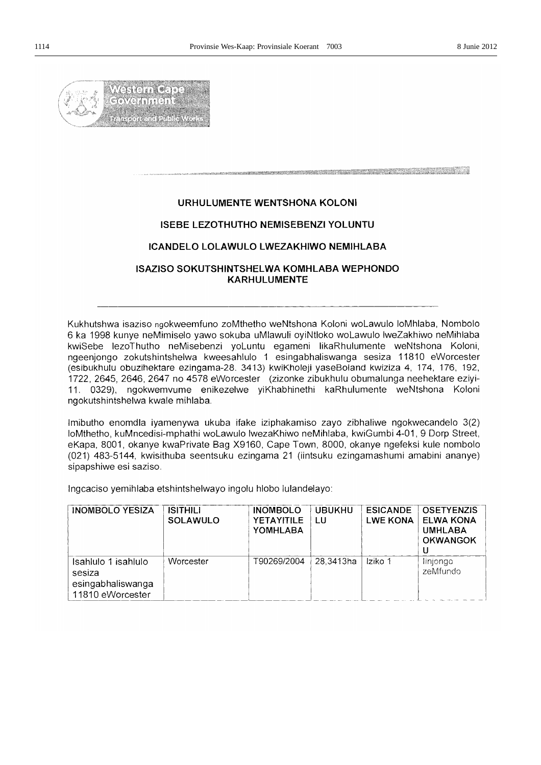

## 

## URHULUMENTE WENTSHONA KOLONI

## **ISEBE LEZOTHUTHO NEMISEBENZI YOLUNTU**

## ICANDELO LOLAWULO LWEZAKHIWO NEMIHLABA

## **ISAZISO SOKUTSHINTSHELWA KOMHLABA WEPHONDO KARHULUMENTE**

Kukhutshwa isaziso ngokweemfuno zoMthetho weNtshona Koloni woLawulo loMhlaba, Nombolo 6 ka 1998 kunye neMimiselo yawo sokuba uMlawuli oyiNtloko woLawulo lweZakhiwo neMihlaba kwiSebe lezoThutho neMisebenzi yoLuntu egameni likaRhulumente weNtshona Koloni, ngeenjongo zokutshintshelwa kweesahlulo 1 esingabhaliswanga sesiza 11810 eWorcester (esibukhulu obuzihektare ezingama-28. 3413) kwiKholeji yaseBoland kwiziza 4, 174, 176, 192, 1722, 2645, 2646, 2647 no 4578 eWorcester (zizonke zibukhulu obumalunga neehektare eziyi-11. 0329), ngokwemvume enikezelwe yiKhabhinethi kaRhulumente weNtshona Koloni ngokutshintshelwa kwale mihlaba.

Imibutho enomdla iyamenywa ukuba ifake iziphakamiso zayo zibhaliwe ngokwecandelo 3(2) loMthetho, kuMncedisi-mphathi woLawulo lwezaKhiwo neMihlaba, kwiGumbi 4-01, 9 Dorp Street, eKapa, 8001, okanye kwaPrivate Bag X9160, Cape Town, 8000, okanye ngefeksi kule nombolo (021) 483-5144, kwisithuba seentsuku ezingama 21 (iintsuku ezingamashumi amabini ananye) sipapshiwe esi saziso.

Ingcaciso yemihlaba etshintshelwayo ingolu hlobo lulandelayo:

| <b>INOMBOLO YESIZA</b>                                                 | ISITHILI<br><b>SOLAWULO</b> | <b>INOMBOLO</b><br><b>YETAYITILE</b><br>YOMHLABA | <b>UBUKHU</b><br>LU | <b>ESICANDE</b><br><b>LWE KONA</b> | <b>OSETYENZIS</b><br><b>ELWA KONA</b><br><b>UMHLABA</b><br><b>OKWANGOK</b> |
|------------------------------------------------------------------------|-----------------------------|--------------------------------------------------|---------------------|------------------------------------|----------------------------------------------------------------------------|
| Isahlulo 1 isahlulo<br>sesiza<br>esingabhaliswanga<br>11810 eWorcester | Worcester                   | T90269/2004                                      | 28,3413ha           | Iziko 1                            | linjongo<br>zeMfundo                                                       |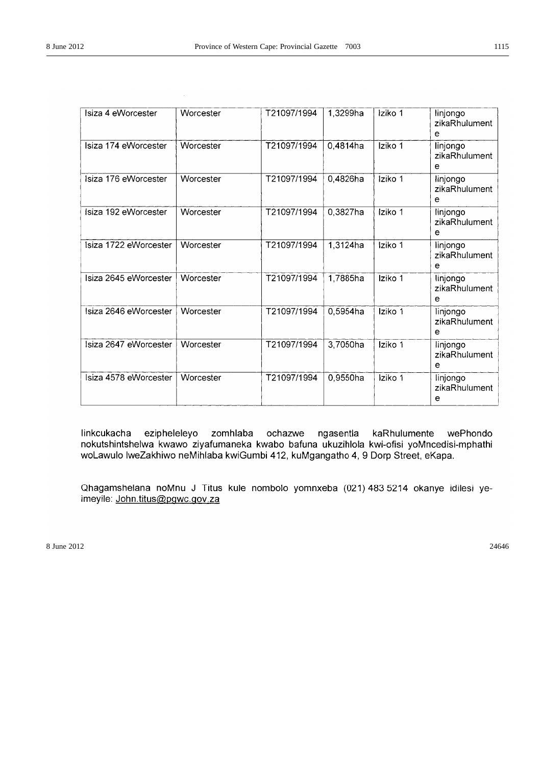| Isiza 4 eWorcester    | Worcester | T21097/1994 | 1,3299ha    | Iziko 1 | linjongo<br>zikaRhulument<br>е |
|-----------------------|-----------|-------------|-------------|---------|--------------------------------|
| Isiza 174 eWorcester  | Worcester | T21097/1994 | 0,4814ha    | Iziko 1 | linjongo<br>zikaRhulument<br>е |
| Isiza 176 eWorcester  | Worcester | T21097/1994 | 0,4826ha    | Iziko 1 | linjongo<br>zikaRhulument<br>е |
| Isiza 192 eWorcester  | Worcester | T21097/1994 | $0,3827$ ha | Iziko 1 | linjongo<br>zikaRhulument<br>e |
| Isiza 1722 eWorcester | Worcester | T21097/1994 | 1,3124ha    | Iziko 1 | linjongo<br>zikaRhulument<br>e |
| Isiza 2645 eWorcester | Worcester | T21097/1994 | 1,7885ha    | Iziko 1 | linjongo<br>zikaRhulument<br>e |
| Isiza 2646 eWorcester | Worcester | T21097/1994 | 0,5954ha    | Iziko 1 | linjongo<br>zikaRhulument<br>е |
| Isiza 2647 eWorcester | Worcester | T21097/1994 | 3,7050ha    | Iziko 1 | linjongo<br>zikaRhulument<br>е |
| Isiza 4578 eWorcester | Worcester | T21097/1994 | 0,9550ha    | Iziko 1 | linjongo<br>zikaRhulument<br>e |

linkcukacha ezipheleleyo zomhlaba ochazwe ngasentla kaRhulumente wePhondo nokutshintshelwa kwawo ziyafumaneka kwabo bafuna ukuzihlola kwi-ofisi yoMncedisi-mphathi woLawulo lweZakhiwo neMihlaba kwiGumbi 412, kuMgangatho 4, 9 Dorp Street, eKapa.

Qhagamshelana noMnu J Titus kule nombolo yomnxeba (021) 483 5214 okanye idilesi yeimeyile: John.titus@pgwc.gov.za

 $8 \text{ June } 2012$  24646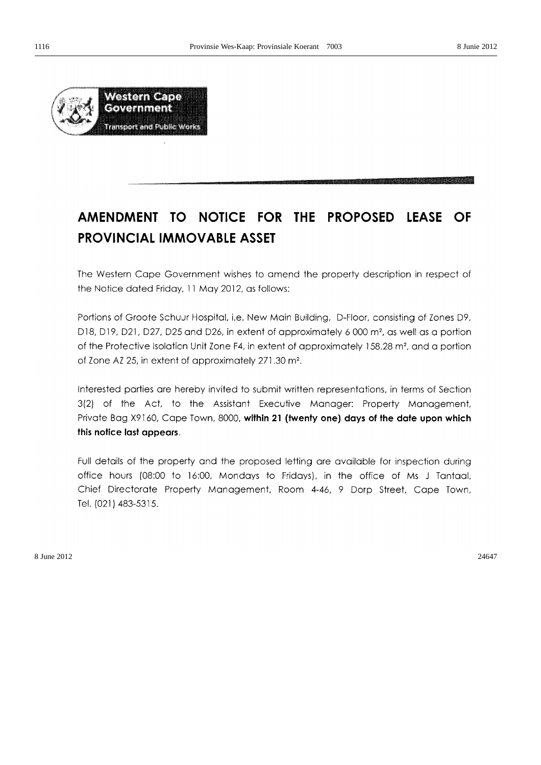

# AMENDMENT TO NOTICE FOR THE PROPOSED LEASE OF **PROVINCIAL IMMOVABLE ASSET**

The Western Cape Government wishes to amend the property description in respect of the Notice dated Friday, 11 May 2012, as follows:

Portions of Groote Schuur Hospital, i.e. New Main Building, D-Floor, consisting of Zones D9, D18, D19, D21, D27, D25 and D26, in extent of approximately 6 000 m<sup>2</sup>, as well as a portion of the Protective Isolation Unit Zone F4, in extent of approximately 158.28 m<sup>2</sup>, and a portion of Zone AZ 25, in extent of approximately 271.30 m<sup>2</sup>.

Interested parties are hereby invited to submit written representations, in terms of Section 3(2) of the Act, to the Assistant Executive Manager: Property Management, Private Bag X9160, Cape Town, 8000, within 21 (twenty one) days of the date upon which this notice last appears.

Full details of the property and the proposed letting are available for inspection during office hours (08:00 to 16:00, Mondays to Fridays), in the office of Ms J Tantaal, Chief Directorate Property Management, Room 4-46, 9 Dorp Street, Cape Town, Tel. (021) 483-5315.

 $8 \text{ June } 2012$  24647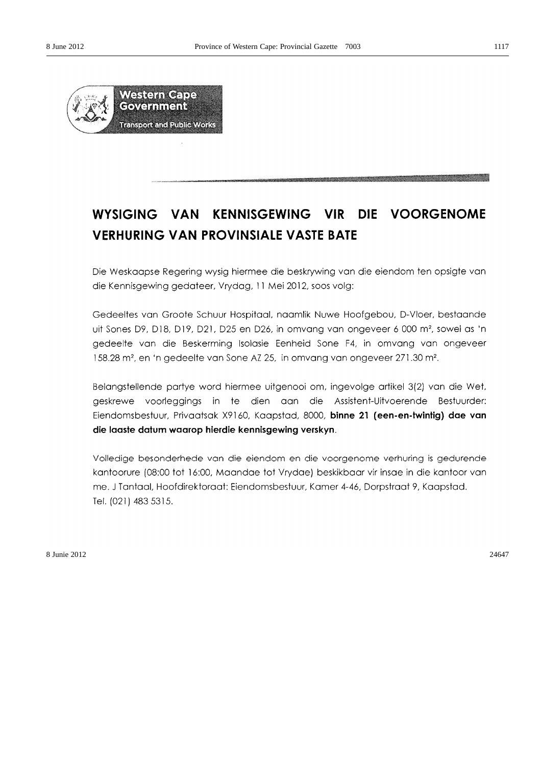

# WYSIGING VAN KENNISGEWING VIR DIE VOORGENOME **VERHURING VAN PROVINSIALE VASTE BATE**

Die Weskaapse Regering wysig hiermee die beskrywing van die eiendom ten opsigte van die Kennisgewing gedateer, Vrydag, 11 Mei 2012, soos volg:

Gedeeltes van Groote Schuur Hospitaal, naamlik Nuwe Hoofgebou, D-Vloer, bestaande uit Sones D9, D18, D19, D21, D25 en D26, in omvang van ongeveer 6 000 m<sup>2</sup>, sowel as 'n gedeelte van die Beskerming Isolasie Eenheid Sone F4, in omvang van ongeveer 158.28 m<sup>2</sup>, en 'n gedeelte van Sone AZ 25, in omvang van ongeveer 271.30 m<sup>2</sup>.

Belangstellende partye word hiermee uitgenooi om, ingevolge artikel 3(2) van die Wet, geskrewe voorleggings in te dien aan die Assistent-Uitvoerende Bestuurder: Eiendomsbestuur, Privaatsak X9160, Kaapstad, 8000, binne 21 (een-en-twintig) dae van die laaste datum waarop hierdie kennisgewing verskyn.

Volledige besonderhede van die eiendom en die voorgenome verhuring is gedurende kantoorure (08:00 tot 16:00, Maandae tot Vrydae) beskikbaar vir insae in die kantoor van me. J Tantaal, Hoofdirektoraat: Eiendomsbestuur, Kamer 4-46, Dorpstraat 9, Kaapstad. Tel. (021) 483 5315.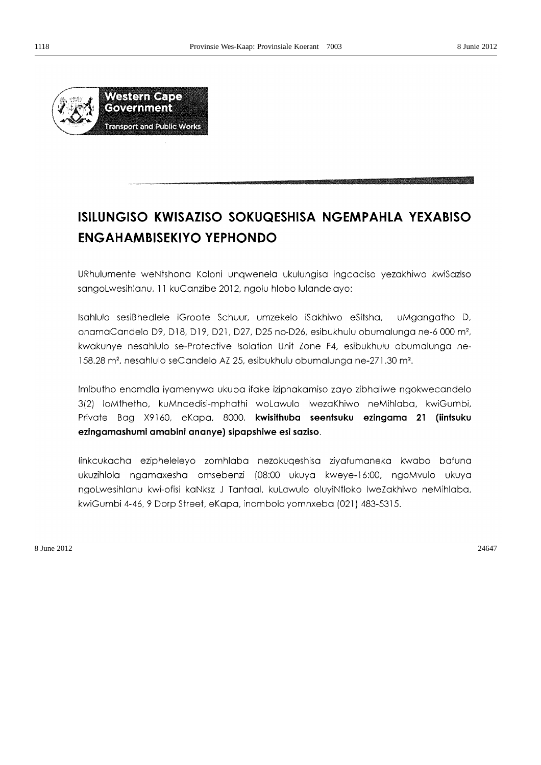

# ISILUNGISO KWISAZISO SOKUQESHISA NGEMPAHLA YEXABISO **ENGAHAMBISEKIYO YEPHONDO**

URhulumente weNtshona Koloni ungwenela ukulungisa ingcaciso yezakhiwo kwiSaziso sangoLwesihlanu, 11 kuCanzibe 2012, ngolu hlobo lulandelayo:

Isahlulo sesiBhedlele iGroote Schuur, umzekelo iSakhiwo eSitsha, uMgangatho D, onamaCandelo D9, D18, D19, D21, D27, D25 no-D26, esibukhulu obumalunga ne-6 000 m<sup>2</sup>, kwakunye nesahlulo se-Protective Isolation Unit Zone F4, esibukhulu obumalunga ne-158.28 m<sup>2</sup>, nesahlulo seCandelo AZ 25, esibukhulu obumalunga ne-271.30 m<sup>2</sup>.

Imibutho enomdla iyamenywa ukuba ifake iziphakamiso zayo zibhaliwe ngokwecandelo 3(2) loMthetho, kuMncedisi-mphathi woLawulo lwezaKhiwo neMihlaba, kwiGumbi, Private Bag X9160, eKapa, 8000, kwisithuba seentsuku ezingama 21 (iintsuku ezingamashumi amabini ananye) sipapshiwe esi saziso.

linkcukacha ezipheleleyo zomhlaba nezokuqeshisa ziyafumaneka kwabo bafuna ukuzihlola ngamaxesha omsebenzi (08:00 ukuya kweye-16:00, ngoMvulo ukuya ngoLwesihlanu kwi-ofisi kaNksz J Tantaal, kuLawulo oluyiNtloko lweZakhiwo neMihlaba, kwiGumbi 4-46, 9 Dorp Street, eKapa, inombolo yomnxeba (021) 483-5315.

 $8 \text{ June } 2012$  24647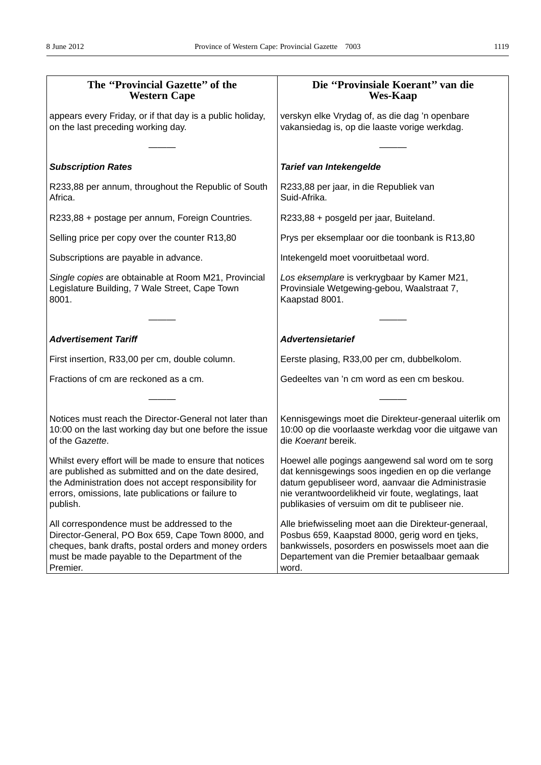| The "Provincial Gazette" of the<br><b>Western Cape</b>                                                                                                                                                                                    | Die "Provinsiale Koerant" van die<br><b>Wes-Kaap</b>                                                                                                                                                                                                                   |  |  |
|-------------------------------------------------------------------------------------------------------------------------------------------------------------------------------------------------------------------------------------------|------------------------------------------------------------------------------------------------------------------------------------------------------------------------------------------------------------------------------------------------------------------------|--|--|
| appears every Friday, or if that day is a public holiday,<br>on the last preceding working day.                                                                                                                                           | verskyn elke Vrydag of, as die dag 'n openbare<br>vakansiedag is, op die laaste vorige werkdag.                                                                                                                                                                        |  |  |
| <b>Subscription Rates</b>                                                                                                                                                                                                                 | Tarief van Intekengelde                                                                                                                                                                                                                                                |  |  |
|                                                                                                                                                                                                                                           |                                                                                                                                                                                                                                                                        |  |  |
| R233,88 per annum, throughout the Republic of South<br>Africa.                                                                                                                                                                            | R233,88 per jaar, in die Republiek van<br>Suid-Afrika.                                                                                                                                                                                                                 |  |  |
| R233,88 + postage per annum, Foreign Countries.                                                                                                                                                                                           | R233,88 + posgeld per jaar, Buiteland.                                                                                                                                                                                                                                 |  |  |
| Selling price per copy over the counter R13,80                                                                                                                                                                                            | Prys per eksemplaar oor die toonbank is R13,80                                                                                                                                                                                                                         |  |  |
| Subscriptions are payable in advance.                                                                                                                                                                                                     | Intekengeld moet vooruitbetaal word.                                                                                                                                                                                                                                   |  |  |
| Single copies are obtainable at Room M21, Provincial<br>Legislature Building, 7 Wale Street, Cape Town<br>8001.                                                                                                                           | Los eksemplare is verkrygbaar by Kamer M21,<br>Provinsiale Wetgewing-gebou, Waalstraat 7,<br>Kaapstad 8001.                                                                                                                                                            |  |  |
|                                                                                                                                                                                                                                           |                                                                                                                                                                                                                                                                        |  |  |
| <b>Advertisement Tariff</b>                                                                                                                                                                                                               | <b>Advertensietarief</b>                                                                                                                                                                                                                                               |  |  |
| First insertion, R33,00 per cm, double column.                                                                                                                                                                                            | Eerste plasing, R33,00 per cm, dubbelkolom.                                                                                                                                                                                                                            |  |  |
| Fractions of cm are reckoned as a cm.                                                                                                                                                                                                     | Gedeeltes van 'n cm word as een cm beskou.                                                                                                                                                                                                                             |  |  |
|                                                                                                                                                                                                                                           |                                                                                                                                                                                                                                                                        |  |  |
| Notices must reach the Director-General not later than<br>10:00 on the last working day but one before the issue<br>of the Gazette.                                                                                                       | Kennisgewings moet die Direkteur-generaal uiterlik om<br>10:00 op die voorlaaste werkdag voor die uitgawe van<br>die Koerant bereik.                                                                                                                                   |  |  |
| Whilst every effort will be made to ensure that notices<br>are published as submitted and on the date desired,<br>the Administration does not accept responsibility for<br>errors, omissions, late publications or failure to<br>publish. | Hoewel alle pogings aangewend sal word om te sorg<br>dat kennisgewings soos ingedien en op die verlange<br>datum gepubliseer word, aanvaar die Administrasie<br>nie verantwoordelikheid vir foute, weglatings, laat<br>publikasies of versuim om dit te publiseer nie. |  |  |
| All correspondence must be addressed to the<br>Director-General, PO Box 659, Cape Town 8000, and<br>cheques, bank drafts, postal orders and money orders<br>must be made payable to the Department of the<br>Premier.                     | Alle briefwisseling moet aan die Direkteur-generaal,<br>Posbus 659, Kaapstad 8000, gerig word en tjeks,<br>bankwissels, posorders en poswissels moet aan die<br>Departement van die Premier betaalbaar gemaak<br>word.                                                 |  |  |